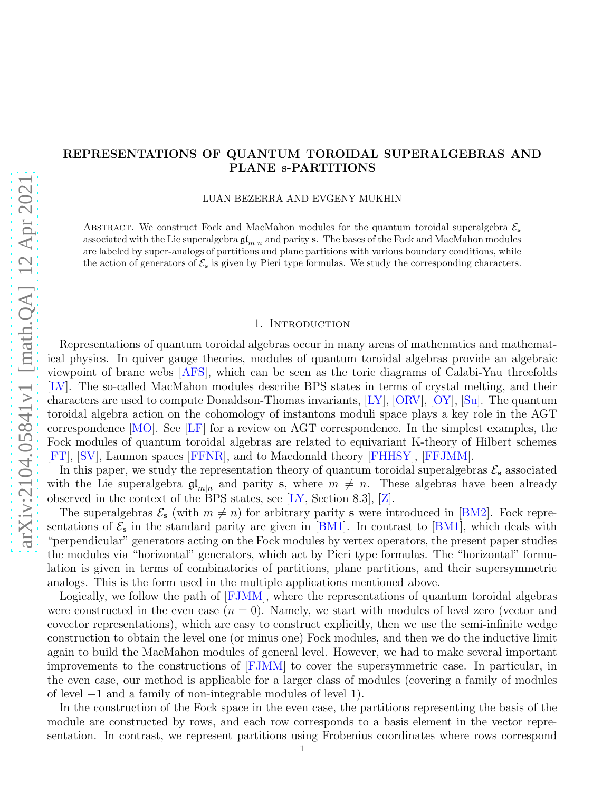# REPRESENTATIONS OF QUANTUM TOROIDAL SUPERALGEBRAS AND PLANE s-PARTITIONS

LUAN BEZERRA AND EVGENY MUKHIN

ABSTRACT. We construct Fock and MacMahon modules for the quantum toroidal superalgebra  $\mathcal{E}_s$ associated with the Lie superalgebra  $\mathfrak{gl}_{m|n}$  and parity s. The bases of the Fock and MacMahon modules are labeled by super-analogs of partitions and plane partitions with various boundary conditions, while the action of generators of  $\mathcal{E}_s$  is given by Pieri type formulas. We study the corresponding characters.

### 1. Introduction

Representations of quantum toroidal algebras occur in many areas of mathematics and mathematical physics. In quiver gauge theories, modules of quantum toroidal algebras provide an algebraic viewpoint of brane webs [\[AFS\]](#page-41-0), which can be seen as the toric diagrams of Calabi-Yau threefolds [\[LV\]](#page-41-1). The so-called MacMahon modules describe BPS states in terms of crystal melting, and their characters are used to compute Donaldson-Thomas invariants, [\[LY\]](#page-41-2), [\[ORV\]](#page-41-3), [\[OY\]](#page-41-4), [\[Su\]](#page-41-5). The quantum toroidal algebra action on the cohomology of instantons moduli space plays a key role in the AGT correspondence [\[MO\]](#page-41-6). See [\[LF\]](#page-41-7) for a review on AGT correspondence. In the simplest examples, the Fock modules of quantum toroidal algebras are related to equivariant K-theory of Hilbert schemes [\[FT\]](#page-41-8), [\[SV\]](#page-41-9), Laumon spaces [\[FFNR\]](#page-41-10), and to Macdonald theory [\[FHHSY\]](#page-41-11), [\[FFJMM\]](#page-41-12).

In this paper, we study the representation theory of quantum toroidal superalgebras  $\mathcal{E}_s$  associated with the Lie superalgebra  $\mathfrak{gl}_{m|n}$  and parity s, where  $m \neq n$ . These algebras have been already observed in the context of the BPS states, see [\[LY,](#page-41-2) Section 8.3], [\[Z\]](#page-41-13).

The superalgebras  $\mathcal{E}_s$  (with  $m \neq n$ ) for arbitrary parity s were introduced in [\[BM2\]](#page-41-14). Fock representations of  $\mathcal{E}_s$  in the standard parity are given in [\[BM1\]](#page-41-15). In contrast to [BM1], which deals with "perpendicular" generators acting on the Fock modules by vertex operators, the present paper studies the modules via "horizontal" generators, which act by Pieri type formulas. The "horizontal" formulation is given in terms of combinatorics of partitions, plane partitions, and their supersymmetric analogs. This is the form used in the multiple applications mentioned above.

Logically, we follow the path of [\[FJMM\]](#page-41-16), where the representations of quantum toroidal algebras were constructed in the even case  $(n = 0)$ . Namely, we start with modules of level zero (vector and covector representations), which are easy to construct explicitly, then we use the semi-infinite wedge construction to obtain the level one (or minus one) Fock modules, and then we do the inductive limit again to build the MacMahon modules of general level. However, we had to make several important improvements to the constructions of [\[FJMM\]](#page-41-16) to cover the supersymmetric case. In particular, in the even case, our method is applicable for a larger class of modules (covering a family of modules of level −1 and a family of non-integrable modules of level 1).

In the construction of the Fock space in the even case, the partitions representing the basis of the module are constructed by rows, and each row corresponds to a basis element in the vector representation. In contrast, we represent partitions using Frobenius coordinates where rows correspond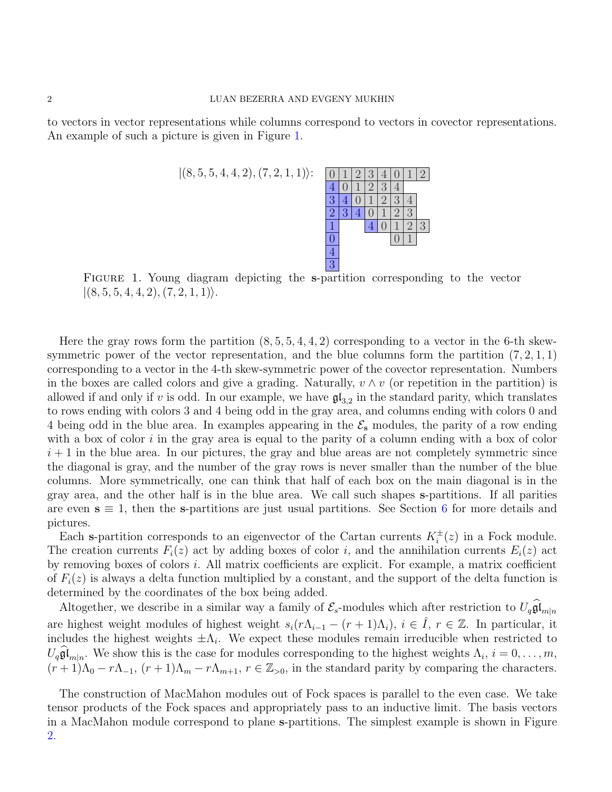to vectors in vector representations while columns correspond to vectors in covector representations. An example of such a picture is given in Figure [1.](#page-1-0)



<span id="page-1-0"></span>Figure 1. Young diagram depicting the s-partition corresponding to the vector  $|(8, 5, 5, 4, 4, 2), (7, 2, 1, 1)\rangle.$ 

Here the gray rows form the partition  $(8, 5, 5, 4, 4, 2)$  corresponding to a vector in the 6-th skewsymmetric power of the vector representation, and the blue columns form the partition  $(7, 2, 1, 1)$ corresponding to a vector in the 4-th skew-symmetric power of the covector representation. Numbers in the boxes are called colors and give a grading. Naturally,  $v \wedge v$  (or repetition in the partition) is allowed if and only if v is odd. In our example, we have  $\mathfrak{gl}_{3,2}$  in the standard parity, which translates to rows ending with colors 3 and 4 being odd in the gray area, and columns ending with colors 0 and 4 being odd in the blue area. In examples appearing in the  $\mathcal{E}_s$  modules, the parity of a row ending with a box of color  $i$  in the gray area is equal to the parity of a column ending with a box of color  $i + 1$  in the blue area. In our pictures, the gray and blue areas are not completely symmetric since the diagonal is gray, and the number of the gray rows is never smaller than the number of the blue columns. More symmetrically, one can think that half of each box on the main diagonal is in the gray area, and the other half is in the blue area. We call such shapes s-partitions. If all parities are even  $s \equiv 1$ , then the s-partitions are just usual partitions. See Section [6](#page-24-0) for more details and pictures.

Each s-partition corresponds to an eigenvector of the Cartan currents  $K_i^{\pm}(z)$  in a Fock module. The creation currents  $F_i(z)$  act by adding boxes of color i, and the annihilation currents  $E_i(z)$  act by removing boxes of colors i. All matrix coefficients are explicit. For example, a matrix coefficient of  $F_i(z)$  is always a delta function multiplied by a constant, and the support of the delta function is determined by the coordinates of the box being added.

Altogether, we describe in a similar way a family of  $\mathcal{E}_s$ -modules which after restriction to  $U_q \mathfrak{gl}_{m|n}$ are highest weight modules of highest weight  $s_i(r\Lambda_{i-1} - (r+1)\Lambda_i)$ ,  $i \in \hat{I}$ ,  $r \in \mathbb{Z}$ . In particular, it includes the highest weights  $\pm \Lambda_i$ . We expect these modules remain irreducible when restricted to  $U_q \mathfrak{gl}_{m|n}$ . We show this is the case for modules corresponding to the highest weights  $\Lambda_i$ ,  $i = 0, \ldots, m$ ,  $(r+1)\Lambda_0 - r\Lambda_{-1}, (r+1)\Lambda_m - r\Lambda_{m+1}, r \in \mathbb{Z}_{>0}$ , in the standard parity by comparing the characters.

The construction of MacMahon modules out of Fock spaces is parallel to the even case. We take tensor products of the Fock spaces and appropriately pass to an inductive limit. The basis vectors in a MacMahon module correspond to plane s-partitions. The simplest example is shown in Figure [2.](#page-2-0)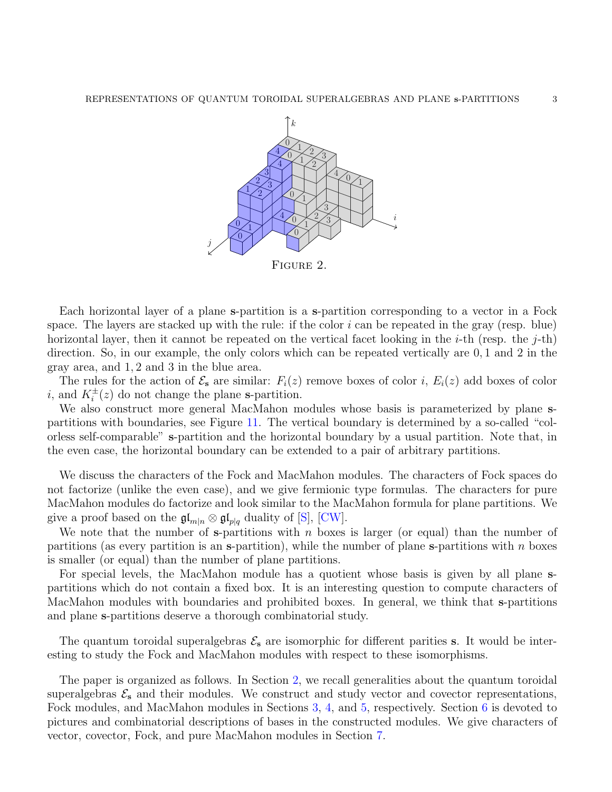<span id="page-2-0"></span>

Each horizontal layer of a plane s-partition is a s-partition corresponding to a vector in a Fock space. The layers are stacked up with the rule: if the color  $i$  can be repeated in the gray (resp. blue) horizontal layer, then it cannot be repeated on the vertical facet looking in the *i*-th (resp. the *j*-th) direction. So, in our example, the only colors which can be repeated vertically are 0, 1 and 2 in the

gray area, and 1, 2 and 3 in the blue area.

The rules for the action of  $\mathcal{E}_s$  are similar:  $F_i(z)$  remove boxes of color i,  $E_i(z)$  add boxes of color i, and  $K_i^{\pm}(z)$  do not change the plane s-partition.

We also construct more general MacMahon modules whose basis is parameterized by plane spartitions with boundaries, see Figure [11.](#page-32-0) The vertical boundary is determined by a so-called "colorless self-comparable" s-partition and the horizontal boundary by a usual partition. Note that, in the even case, the horizontal boundary can be extended to a pair of arbitrary partitions.

We discuss the characters of the Fock and MacMahon modules. The characters of Fock spaces do not factorize (unlike the even case), and we give fermionic type formulas. The characters for pure MacMahon modules do factorize and look similar to the MacMahon formula for plane partitions. We give a proof based on the  $\mathfrak{gl}_{m|n} \otimes \mathfrak{gl}_{p|q}$  duality of [\[S\]](#page-41-17), [\[CW\]](#page-41-18).

We note that the number of s-partitions with  $n$  boxes is larger (or equal) than the number of partitions (as every partition is an s-partition), while the number of plane s-partitions with  $n$  boxes is smaller (or equal) than the number of plane partitions.

For special levels, the MacMahon module has a quotient whose basis is given by all plane spartitions which do not contain a fixed box. It is an interesting question to compute characters of MacMahon modules with boundaries and prohibited boxes. In general, we think that s-partitions and plane s-partitions deserve a thorough combinatorial study.

The quantum toroidal superalgebras  $\mathcal{E}_s$  are isomorphic for different parities s. It would be interesting to study the Fock and MacMahon modules with respect to these isomorphisms.

The paper is organized as follows. In Section [2,](#page-3-0) we recall generalities about the quantum toroidal superalgebras  $\mathcal{E}_s$  and their modules. We construct and study vector and covector representations, Fock modules, and MacMahon modules in Sections [3,](#page-7-0) [4,](#page-12-0) and [5,](#page-18-0) respectively. Section [6](#page-24-0) is devoted to pictures and combinatorial descriptions of bases in the constructed modules. We give characters of vector, covector, Fock, and pure MacMahon modules in Section [7.](#page-33-0)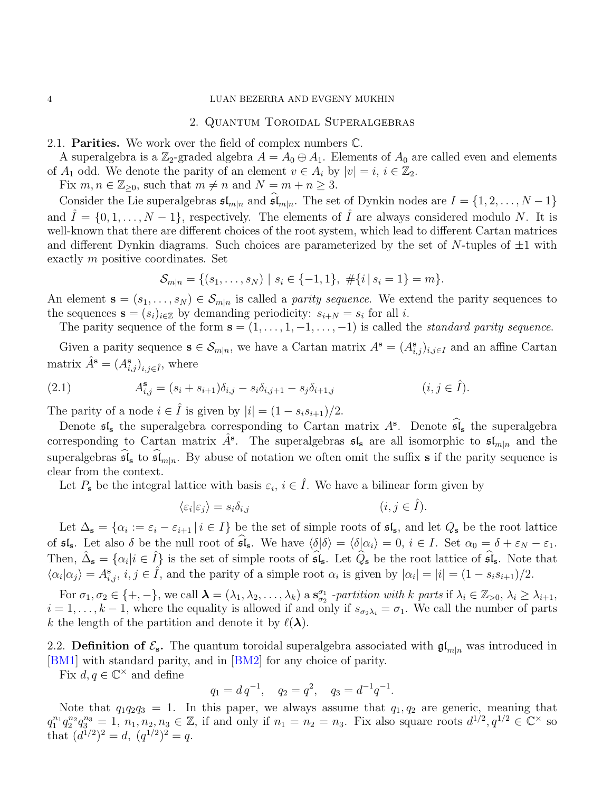### <span id="page-3-0"></span>4 LUAN BEZERRA AND EVGENY MUKHIN

### 2. Quantum Toroidal Superalgebras

2.1. Parities. We work over the field of complex numbers C.

A superalgebra is a  $\mathbb{Z}_2$ -graded algebra  $A = A_0 \oplus A_1$ . Elements of  $A_0$  are called even and elements of  $A_1$  odd. We denote the parity of an element  $v \in A_i$  by  $|v|=i, i \in \mathbb{Z}_2$ .

Fix  $m, n \in \mathbb{Z}_{\geq 0}$ , such that  $m \neq n$  and  $N = m + n \geq 3$ .

Consider the Lie superalgebras  $\mathfrak{sl}_{m|n}$  and  $\widehat{\mathfrak{sl}}_{m|n}$ . The set of Dynkin nodes are  $I = \{1, 2, ..., N-1\}$ and  $\hat{I} = \{0, 1, \ldots, N - 1\}$ , respectively. The elements of  $\hat{I}$  are always considered modulo N. It is well-known that there are different choices of the root system, which lead to different Cartan matrices and different Dynkin diagrams. Such choices are parameterized by the set of  $N$ -tuples of  $\pm 1$  with exactly m positive coordinates. Set

$$
\mathcal{S}_{m|n} = \{ (s_1, \ldots, s_N) \mid s_i \in \{-1, 1\}, \# \{i \mid s_i = 1\} = m \}.
$$

An element  $\mathbf{s} = (s_1, \ldots, s_N) \in \mathcal{S}_{m|n}$  is called a *parity sequence*. We extend the parity sequences to the sequences  $\mathbf{s} = (s_i)_{i \in \mathbb{Z}}$  by demanding periodicity:  $s_{i+N} = s_i$  for all i.

The parity sequence of the form  $\mathbf{s} = (1, \ldots, 1, -1, \ldots, -1)$  is called the *standard parity sequence*.

Given a parity sequence  $\mathbf{s} \in \mathcal{S}_{m|n}$ , we have a Cartan matrix  $A^{\mathbf{s}} = (A^{\mathbf{s}}_{i,j})_{i,j \in I}$  and an affine Cartan matrix  $\hat{A}^{\mathbf{s}} = (A^{\mathbf{s}}_{i,j})_{i,j \in \hat{I}}$ , where

<span id="page-3-1"></span>(2.1) 
$$
A_{i,j}^{\mathbf{s}} = (s_i + s_{i+1})\delta_{i,j} - s_i\delta_{i,j+1} - s_j\delta_{i+1,j} \qquad (i, j \in \hat{I}).
$$

The parity of a node  $i \in \hat{I}$  is given by  $|i| = (1 - s_i s_{i+1})/2$ .

Denote  $\mathfrak{sl}_s$  the superalgebra corresponding to Cartan matrix  $A^s$ . Denote  $\widehat{\mathfrak{sl}}_s$  the superalgebra corresponding to Cartan matrix  $\hat{A}^s$ . The superalgebras  $\mathfrak{sl}_s$  are all isomorphic to  $\mathfrak{sl}_{m|n}$  and the superalgebras  $\widehat{\mathfrak{sl}}_s$  to  $\widehat{\mathfrak{sl}}_{m|n}$ . By abuse of notation we often omit the suffix s if the parity sequence is clear from the context.

Let  $P_{s}$  be the integral lattice with basis  $\varepsilon_{i}, i \in \hat{I}$ . We have a bilinear form given by

$$
\langle \varepsilon_i | \varepsilon_j \rangle = s_i \delta_{i,j} \tag{i, j \in \hat{I}}.
$$

Let  $\Delta_{\mathbf{s}} = {\alpha_i := \varepsilon_i - \varepsilon_{i+1} | i \in I}$  be the set of simple roots of  $\mathfrak{sl}_s$ , and let  $Q_{\mathbf{s}}$  be the root lattice of  $\mathfrak{sl}_s$ . Let also  $\delta$  be the null root of  $\widehat{\mathfrak{sl}}_s$ . We have  $\langle \delta | \delta \rangle = \langle \delta | \alpha_i \rangle = 0$ ,  $i \in I$ . Set  $\alpha_0 = \delta + \varepsilon_N - \varepsilon_1$ . Then,  $\hat{\Delta}_{\mathbf{s}} = {\alpha_i | i \in \hat{I}}$  is the set of simple roots of  $\hat{\mathfrak{sl}}_{\mathbf{s}}$ . Let  $\widehat{Q}_{\mathbf{s}}$  be the root lattice of  $\widehat{\mathfrak{sl}}_{\mathbf{s}}$ . Note that  $\langle \alpha_i | \alpha_j \rangle = A_{i,j}^s, i, j \in \hat{I}$ , and the parity of a simple root  $\alpha_i$  is given by  $|\alpha_i| = |i| = (1 - s_i s_{i+1})/2$ .

For  $\sigma_1, \sigma_2 \in \{+, -\}$ , we call  $\boldsymbol{\lambda} = (\lambda_1, \lambda_2, \dots, \lambda_k)$  a  $\mathbf{s}_{\sigma_2}^{\sigma_1}$  -partition with k parts if  $\lambda_i \in \mathbb{Z}_{>0}, \lambda_i \geq \lambda_{i+1}$ ,  $i = 1, \ldots, k-1$ , where the equality is allowed if and only if  $s_{\sigma_2 \lambda_i} = \sigma_1$ . We call the number of parts k the length of the partition and denote it by  $\ell(\lambda)$ .

2.2. Definition of  $\mathcal{E}_s$ . The quantum toroidal superalgebra associated with  $\mathfrak{gl}_{m|n}$  was introduced in [\[BM1\]](#page-41-15) with standard parity, and in [\[BM2\]](#page-41-14) for any choice of parity.

Fix  $d, q \in \mathbb{C}^{\times}$  and define

$$
q_1 = d q^{-1}, \quad q_2 = q^2, \quad q_3 = d^{-1} q^{-1}.
$$

Note that  $q_1q_2q_3 = 1$ . In this paper, we always assume that  $q_1, q_2$  are generic, meaning that  $q_1^{n_1} q_2^{n_2} q_3^{n_3} = 1, n_1, n_2, n_3 \in \mathbb{Z}$ , if and only if  $n_1 = n_2 = n_3$ . Fix also square roots  $d^{1/2}, q^{1/2} \in \mathbb{C}^{\times}$  so that  $(d^{1/2})^2 = d$ ,  $(q^{1/2})^2 = q$ .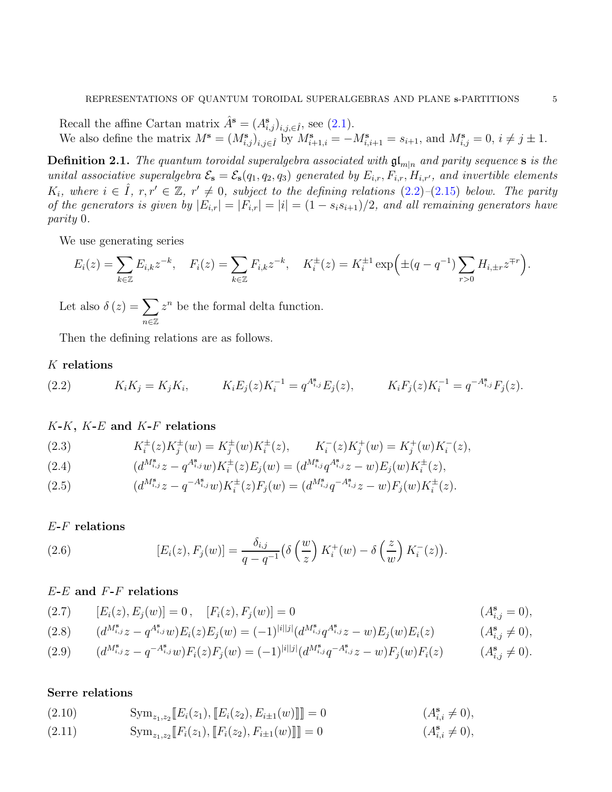Recall the affine Cartan matrix  $\hat{A}^{\mathbf{s}} = (A^{\mathbf{s}}_{i,j})_{i,j,\in \hat{I}}$ , see [\(2.1\)](#page-3-1). We also define the matrix  $M^{\mathbf{s}} = (M^{\mathbf{s}}_{i,j})_{i,j\in\hat{I}}$  by  $M^{\mathbf{s}}_{i+1,i} = -M^{\mathbf{s}}_{i,i+1} = s_{i+1}$ , and  $M^{\mathbf{s}}_{i,j} = 0, i \neq j \pm 1$ .

**Definition 2.1.** The quantum toroidal superalgebra associated with  $\mathfrak{gl}_{m|n}$  and parity sequence s is the unital associative superalgebra  $\mathcal{E}_s = \mathcal{E}_s(q_1, q_2, q_3)$  generated by  $E_{i,r}, F_{i,r}, H_{i,r'}$ , and invertible elements  $K_i$ , where  $i \in \hat{I}$ ,  $r, r' \in \mathbb{Z}$ ,  $r' \neq 0$ , subject to the defining relations  $(2.2)$ - $(2.15)$  below. The parity of the generators is given by  $|E_{i,r}| = |F_{i,r}| = |i| = (1 - s_i s_{i+1})/2$ , and all remaining generators have parity 0.

We use generating series

$$
E_i(z) = \sum_{k \in \mathbb{Z}} E_{i,k} z^{-k}, \quad F_i(z) = \sum_{k \in \mathbb{Z}} F_{i,k} z^{-k}, \quad K_i^{\pm}(z) = K_i^{\pm 1} \exp\left(\pm (q - q^{-1}) \sum_{r > 0} H_{i, \pm r} z^{\mp r}\right).
$$

Let also  $\delta(z) = \sum$ n∈Z  $z^n$  be the formal delta function.

Then the defining relations are as follows.

# $K$  relations

<span id="page-4-0"></span>(2.2) 
$$
K_i K_j = K_j K_i, \qquad K_i E_j(z) K_i^{-1} = q^{A_{i,j}^s} E_j(z), \qquad K_i F_j(z) K_i^{-1} = q^{-A_{i,j}^s} F_j(z).
$$

# $K-K$ ,  $K-E$  and  $K-F$  relations

(2.3) 
$$
K_i^{\pm}(z)K_j^{\pm}(w) = K_j^{\pm}(w)K_i^{\pm}(z), \qquad K_i^{-}(z)K_j^{+}(w) = K_j^{+}(w)K_i^{-}(z),
$$

(2.4) 
$$
(d^{M^s_{i,j}}z - q^{A^s_{i,j}}w)K_i^{\pm}(z)E_j(w) = (d^{M^s_{i,j}}q^{A^s_{i,j}}z - w)E_j(w)K_i^{\pm}(z),
$$

(2.5) 
$$
(d^{M^s_{i,j}}z - q^{-A^s_{i,j}}w)K_i^{\pm}(z)F_j(w) = (d^{M^s_{i,j}}q^{-A^s_{i,j}}z - w)F_j(w)K_i^{\pm}(z).
$$

### E-F relations

(2.6) 
$$
[E_i(z), F_j(w)] = \frac{\delta_{i,j}}{q - q^{-1}} \left( \delta\left(\frac{w}{z}\right) K_i^+(w) - \delta\left(\frac{z}{w}\right) K_i^-(z) \right).
$$

# $E$ - $E$  and  $F$ - $F$  relations

(2.7) 
$$
[E_i(z), E_j(w)] = 0, \quad [F_i(z), F_j(w)] = 0
$$
 (A<sup>s</sup><sub>i,j</sub> = 0),

$$
(2.8) \qquad (d^{M^{\mathbf{s}}_{i,j}}z - q^{A^{\mathbf{s}}_{i,j}}w)E_i(z)E_j(w) = (-1)^{|i||j|} (d^{M^{\mathbf{s}}_{i,j}}q^{A^{\mathbf{s}}_{i,j}}z - w)E_j(w)E_i(z) \qquad (A^{\mathbf{s}}_{i,j} \neq 0),
$$

$$
(2.9) \qquad (d^{M^{\mathbf{s}}_{i,j}}z - q^{-A^{\mathbf{s}}_{i,j}}w)F_i(z)F_j(w) = (-1)^{|i||j|} (d^{M^{\mathbf{s}}_{i,j}}q^{-A^{\mathbf{s}}_{i,j}}z - w)F_j(w)F_i(z) \qquad (A^{\mathbf{s}}_{i,j} \neq 0).
$$

# Serre relations

(2.10) 
$$
\text{Sym}_{z_1, z_2}[[E_i(z_1), [[E_i(z_2), E_{i \pm 1}(w)]]]] = 0 \qquad (A_{i,i}^s \neq 0),
$$

(2.11) 
$$
\text{Sym}_{z_1, z_2} [F_i(z_1), [F_i(z_2), F_{i \pm 1}(w)]]] = 0 \qquad (A_{i,i}^s \neq 0),
$$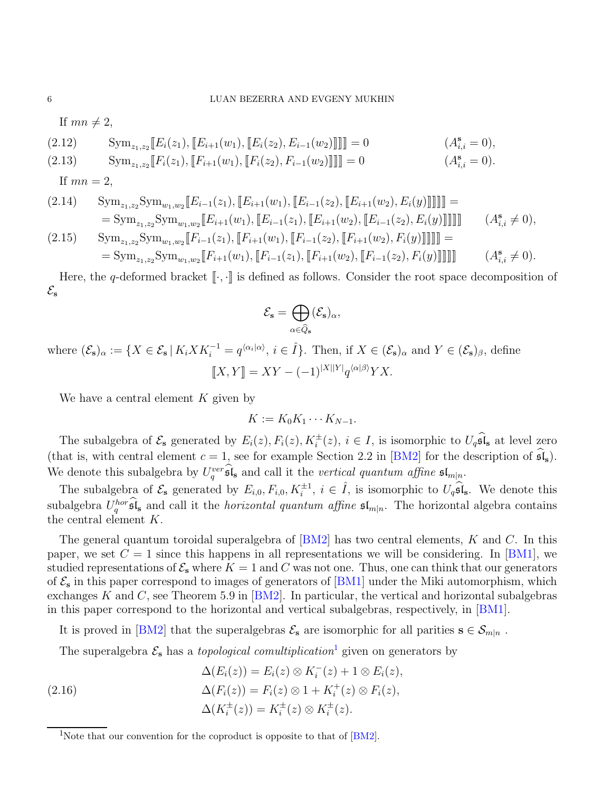If  $mn \neq 2$ ,

(2.12) 
$$
\text{Sym}_{z_1, z_2} \llbracket E_i(z_1), \llbracket E_{i+1}(w_1), \llbracket E_i(z_2), E_{i-1}(w_2) \rrbracket \rrbracket = 0 \qquad (A_{i,i}^s = 0), \n\text{Sym}_{z_1, z_2} \llbracket F_i(z_1), \llbracket F_{i+1}(w_1), \llbracket F_i(z_2), F_{i-1}(w_2) \rrbracket \rrbracket = 0 \qquad (A_{i,i}^s = 0).
$$

If  $mn = 2$ ,

$$
(2.14) \quad \operatorname{Sym}_{z_1, z_2} \operatorname{Sym}_{w_1, w_2} [E_{i-1}(z_1), [E_{i+1}(w_1), [E_{i-1}(z_2), [E_{i+1}(w_2), E_i(y)]]]]] =
$$
  
\n
$$
= \operatorname{Sym}_{z_1, z_2} \operatorname{Sym}_{w_1, w_2} [E_{i+1}(w_1), [E_{i-1}(z_1), [E_{i+1}(w_2), [E_{i-1}(z_2), E_i(y)]]]]] \quad (A_{i,i}^s \neq 0),
$$
  
\n
$$
(2.15) \quad \operatorname{Sym}_{z_1, z_2} \operatorname{Sym}_{w_1, w_2} [E_{i+1}(w_1), [E_{i-1}(z_1), [E_{i+1}(w_2), [E_{i-1}(z_2), E_i(y)]]]] \quad (A_{i,i}^s \neq 0),
$$

<span id="page-5-0"></span>
$$
(2.15) \quad \text{Sym}_{z_1, z_2} \text{Sym}_{w_1, w_2} [F_{i-1}(z_1), [F_{i+1}(w_1), [F_{i-1}(z_2), [F_{i+1}(w_2), F_i(y)]]]]] =
$$
  
= Sym<sub>z\_1, z\_2</sub> Sym<sub>w\_1, w\_2</sub> [F<sub>i+1</sub>(w<sub>1</sub>), [F<sub>i-1</sub>(z<sub>1</sub>), [F<sub>i+1</sub>(w<sub>2</sub>), [F<sub>i-1</sub>(z<sub>2</sub>), F<sub>i</sub>(y)]]]] ] (A<sub>i,j</sub><sup>s</sup> ≠ 0).

Here, the q-deformed bracket  $[\cdot, \cdot]$  is defined as follows. Consider the root space decomposition of  $\mathcal{E}_{\mathbf{s}}$ 

$$
\mathcal{E}_{\mathbf{s}} = \bigoplus_{\alpha \in \widehat{Q}_{\mathbf{s}}} (\mathcal{E}_{\mathbf{s}})_{\alpha},
$$

where  $(\mathcal{E}_s)_{\alpha} := \{ X \in \mathcal{E}_s \mid K_i X K_i^{-1} = q^{\langle \alpha_i | \alpha \rangle}, i \in \hat{I} \}.$  Then, if  $X \in (\mathcal{E}_s)_{\alpha}$  and  $Y \in (\mathcal{E}_s)_{\beta}$ , define  $[[X, Y]] = XY - (-1)^{|X||Y|} q^{\langle \alpha | \beta \rangle} YX.$ 

We have a central element  $K$  given by

$$
K := K_0 K_1 \cdots K_{N-1}.
$$

The subalgebra of  $\mathcal{E}_s$  generated by  $E_i(z)$ ,  $F_i(z)$ ,  $K_i^{\pm}(z)$ ,  $i \in I$ , is isomorphic to  $U_q \widehat{\mathfrak{sl}}_s$  at level zero (that is, with central element  $c = 1$ , see for example Section 2.2 in [\[BM2\]](#page-41-14) for the description of  $\mathfrak{sl}_s$ ). We denote this subalgebra by  $U_q^{ver} \hat{\mathfrak{sl}}_s$  and call it the vertical quantum affine  $\mathfrak{sl}_{m|n}$ .

The subalgebra of  $\mathcal{E}_s$  generated by  $E_{i,0}, F_{i,0}, K_i^{\pm 1}, i \in \hat{I}$ , is isomorphic to  $U_q \widehat{\mathfrak{sl}}_s$ . We denote this subalgebra  $U_q^{hor}$ , sides and call it the *horizontal quantum affine*  $\mathfrak{sl}_{m|n}$ . The horizontal algebra contains the central element K.

The general quantum toroidal superalgebra of  $[BM2]$  has two central elements, K and C. In this paper, we set  $C = 1$  since this happens in all representations we will be considering. In [\[BM1\]](#page-41-15), we studied representations of  $\mathcal{E}_s$  where  $K = 1$  and C was not one. Thus, one can think that our generators of  $\mathcal{E}_s$  in this paper correspond to images of generators of [\[BM1\]](#page-41-15) under the Miki automorphism, which exchanges K and C, see Theorem 5.9 in  $[BM2]$ . In particular, the vertical and horizontal subalgebras in this paper correspond to the horizontal and vertical subalgebras, respectively, in [\[BM1\]](#page-41-15).

It is proved in [\[BM2\]](#page-41-14) that the superalgebras  $\mathcal{E}_s$  are isomorphic for all parities  $s \in \mathcal{S}_{m|n}$ .

The superalgebra  $\mathcal{E}_s$  has a *topological comultiplication*<sup>[1](#page-5-1)</sup> given on generators by

<span id="page-5-2"></span>(2.16)  
\n
$$
\Delta(E_i(z)) = E_i(z) \otimes K_i^-(z) + 1 \otimes E_i(z),
$$
\n
$$
\Delta(F_i(z)) = F_i(z) \otimes 1 + K_i^+(z) \otimes F_i(z),
$$
\n
$$
\Delta(K_i^{\pm}(z)) = K_i^{\pm}(z) \otimes K_i^{\pm}(z).
$$

<span id="page-5-1"></span><sup>&</sup>lt;sup>1</sup>Note that our convention for the coproduct is opposite to that of  $[BM2]$ .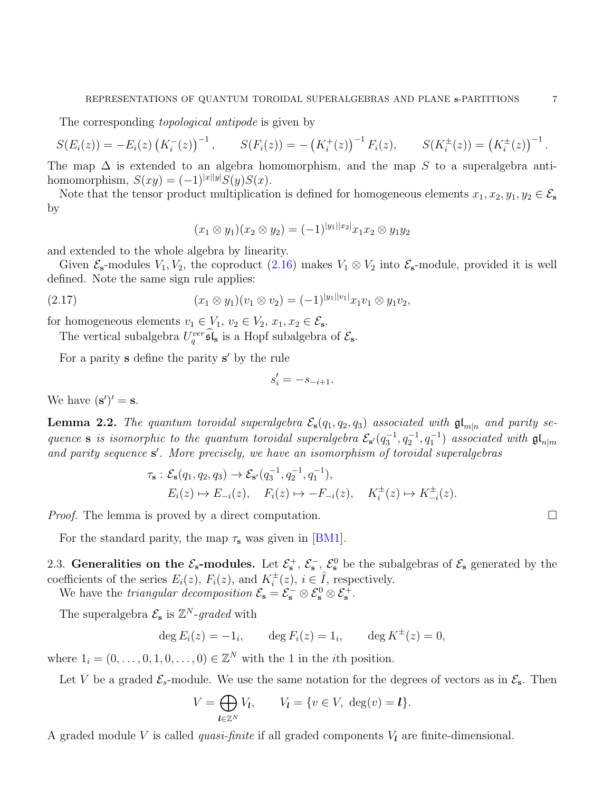The corresponding *topological antipode* is given by

$$
S(E_i(z)) = -E_i(z) (K_i^-(z))^{-1}, \qquad S(F_i(z)) = -(K_i^+(z))^{-1} F_i(z), \qquad S(K_i^{\pm}(z)) = (K_i^{\pm}(z))^{-1}.
$$

The map  $\Delta$  is extended to an algebra homomorphism, and the map S to a superalgebra antihomomorphism,  $S(xy) = (-1)^{|x||y|}S(y)S(x)$ .

Note that the tensor product multiplication is defined for homogeneous elements  $x_1, x_2, y_1, y_2 \in \mathcal{E}_s$ by

$$
(x_1 \otimes y_1)(x_2 \otimes y_2) = (-1)^{|y_1||x_2|} x_1 x_2 \otimes y_1 y_2
$$

and extended to the whole algebra by linearity.

Given  $\mathcal{E}_{s}$ -modules  $V_1, V_2$ , the coproduct [\(2.16\)](#page-5-2) makes  $V_1 \otimes V_2$  into  $\mathcal{E}_{s}$ -module, provided it is well defined. Note the same sign rule applies:

<span id="page-6-1"></span>(x<sup>1</sup> ⊗ y1)(v<sup>1</sup> ⊗ v2) = (−1)<sup>|</sup>y1||v1<sup>|</sup> (2.17) x1v<sup>1</sup> ⊗ y1v2,

for homogeneous elements  $v_1 \in V_1$ ,  $v_2 \in V_2$ ,  $x_1, x_2 \in \mathcal{E}_s$ .

The vertical subalgebra  $U_q^{ver}$ **s** $\hat{\mathbf{s}}$  is a Hopf subalgebra of  $\mathcal{E}_{\mathbf{s}}$ .

For a parity **s** define the parity **s'** by the rule

$$
s_i' = -s_{-i+1}.
$$

We have  $(\mathbf{s}')' = \mathbf{s}$ .

<span id="page-6-0"></span>**Lemma 2.2.** The quantum toroidal superalgebra  $\mathcal{E}_s(q_1, q_2, q_3)$  associated with  $\mathfrak{gl}_{m|n}$  and parity sequence s is isomorphic to the quantum toroidal superalgebra  $\mathcal{E}_{s'}(q_3^{-1}, q_2^{-1}, q_1^{-1})$  associated with  $\mathfrak{gl}_{n|m}$ and parity sequence s'. More precisely, we have an isomorphism of toroidal superalgebras

$$
\tau_{s}: \mathcal{E}_{s}(q_{1}, q_{2}, q_{3}) \to \mathcal{E}_{s'}(q_{3}^{-1}, q_{2}^{-1}, q_{1}^{-1}),
$$
  
\n
$$
E_{i}(z) \mapsto E_{-i}(z), \quad F_{i}(z) \mapsto -F_{-i}(z), \quad K_{i}^{\pm}(z) \mapsto K_{-i}^{\pm}(z).
$$

*Proof.* The lemma is proved by a direct computation.  $\square$ 

For the standard parity, the map  $\tau_s$  was given in [\[BM1\]](#page-41-15).

2.3. Generalities on the  $\mathcal{E}_s$ -modules. Let  $\mathcal{E}_s^+$ ,  $\mathcal{E}_s^-$ ,  $\mathcal{E}_s^0$  be the subalgebras of  $\mathcal{E}_s$  generated by the coefficients of the series  $E_i(z)$ ,  $F_i(z)$ , and  $K_i^{\pm}(z)$ ,  $i \in \hat{I}$ , respectively.

We have the *triangular decomposition*  $\mathcal{E}_s = \mathcal{E}_s^- \otimes \mathcal{E}_s^0 \otimes \mathcal{E}_s^+$ .

The superalgebra  $\mathcal{E}_s$  is  $\mathbb{Z}^N$ -graded with

deg  $E_i(z) = -1_i$ ,  $\deg F_i(z) = 1_i$ ,  $\deg K^{\pm}(z) = 0$ ,

where  $1_i = (0, \ldots, 0, 1, 0, \ldots, 0) \in \mathbb{Z}^N$  with the 1 in the *i*th position.

Let V be a graded  $\mathcal{E}_{s}$ -module. We use the same notation for the degrees of vectors as in  $\mathcal{E}_{s}$ . Then

$$
V = \bigoplus_{\mathbf{l} \in \mathbb{Z}^N} V_{\mathbf{l}}, \qquad V_{\mathbf{l}} = \{ v \in V, \ \deg(v) = \mathbf{l} \}.
$$

A graded module V is called *quasi-finite* if all graded components  $V_l$  are finite-dimensional.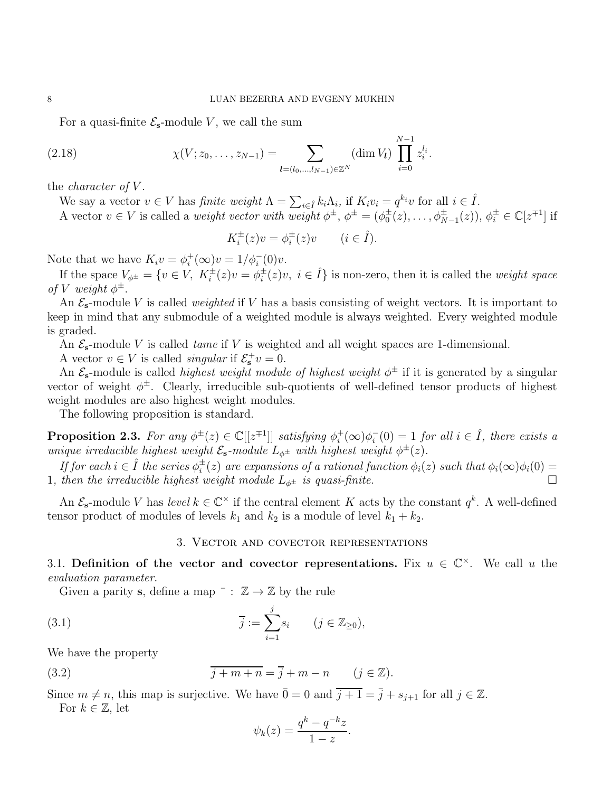N

For a quasi-finite  $\mathcal{E}_{s}$ -module V, we call the sum

<span id="page-7-3"></span>(2.18) 
$$
\chi(V; z_0, \dots, z_{N-1}) = \sum_{\substack{l=(l_0, \dots, l_{N-1}) \in \mathbb{Z}^N}} (\dim V_l) \prod_{i=0}^{N-1} z_i^{l_i}.
$$

the *character* of  $V$ .

We say a vector  $v \in V$  has *finite weight*  $\Lambda = \sum_{i \in \hat{I}} k_i \Lambda_i$ , if  $K_i v_i = q^{k_i} v$  for all  $i \in \hat{I}$ .

A vector  $v \in V$  is called a *weight vector with weight*  $\phi^{\pm}$ ,  $\phi^{\pm} = (\phi_0^{\pm}(z), \ldots, \phi_{N-1}^{\pm}(z)), \phi_i^{\pm} \in \mathbb{C}[z^{\mp 1}]$  if

$$
K_i^{\pm}(z)v = \phi_i^{\pm}(z)v \qquad (i \in \hat{I}).
$$

Note that we have  $K_i v = \phi_i^+(\infty)v = 1/\phi_i^-(0)v$ .

If the space  $V_{\phi^{\pm}} = \{v \in V, K_i^{\pm}(z)v = \phi_i^{\pm}$  $i^{\pm}(z)v, i \in \hat{I}$  is non-zero, then it is called the *weight space* of V weight  $\phi^{\pm}$ .

An  $\mathcal{E}_s$ -module V is called *weighted* if V has a basis consisting of weight vectors. It is important to keep in mind that any submodule of a weighted module is always weighted. Every weighted module is graded.

An  $\mathcal{E}_{s}$ -module V is called *tame* if V is weighted and all weight spaces are 1-dimensional.

A vector  $v \in V$  is called *singular* if  $\mathcal{E}_s^+v = 0$ .

An  $\mathcal{E}_{s}$ -module is called *highest weight module of highest weight*  $\phi^{\pm}$  if it is generated by a singular vector of weight  $\phi^{\pm}$ . Clearly, irreducible sub-quotients of well-defined tensor products of highest weight modules are also highest weight modules.

The following proposition is standard.

**Proposition 2.3.** For any  $\phi^{\pm}(z) \in \mathbb{C}[[z^{\mp 1}]]$  satisfying  $\phi_i^+$  $i^+(\infty)\phi_i^$  $i<sub>i</sub>(0) = 1$  for all  $i \in \hat{I}$ , there exists a unique irreducible highest weight  $\mathcal{E}_{s}$ -module  $L_{\phi^{\pm}}$  with highest weight  $\phi^{\pm}(z)$ .

If for each  $i \in \hat{I}$  the series  $\phi_i^{\pm}$  $i_i^{\pm}(z)$  are expansions of a rational function  $\phi_i(z)$  such that  $\phi_i(\infty)\phi_i(0)=0$ 1, then the irreducible highest weight module  $L_{\phi^{\pm}}$  is quasi-finite.

<span id="page-7-0"></span>An  $\mathcal{E}_{s}$ -module V has level  $k \in \mathbb{C}^{\times}$  if the central element K acts by the constant  $q^{k}$ . A well-defined tensor product of modules of levels  $k_1$  and  $k_2$  is a module of level  $k_1 + k_2$ .

### 3. Vector and covector representations

3.1. Definition of the vector and covector representations. Fix  $u \in \mathbb{C}^{\times}$ . We call u the evaluation parameter.

Given a parity s, define a map  $\overline{\phantom{a}} : \mathbb{Z} \to \mathbb{Z}$  by the rule

<span id="page-7-2"></span>(3.1) 
$$
\overline{j} := \sum_{i=1}^{j} s_i \qquad (j \in \mathbb{Z}_{\geq 0}),
$$

We have the property

<span id="page-7-1"></span>(3.2) 
$$
\overline{j+m+n} = \overline{j} + m-n \qquad (j \in \mathbb{Z}).
$$

Since  $m \neq n$ , this map is surjective. We have  $\overline{0} = 0$  and  $\overline{j+1} = \overline{j} + s_{j+1}$  for all  $j \in \mathbb{Z}$ . For  $k \in \mathbb{Z}$ , let

$$
\psi_k(z) = \frac{q^k - q^{-k}z}{1 - z}.
$$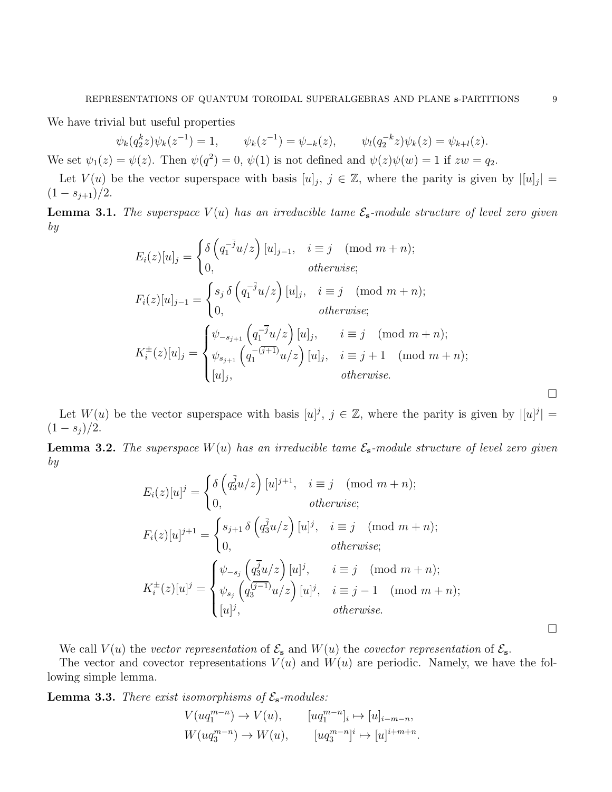We have trivial but useful properties

 $\psi_k(q_2^kz)\psi_k(z^{-1}% ,\hat{z}_{k}^{\prime\prime}\hat{z}_{k}^{k+1})$  $) = 1, \qquad \psi_k(z^{-1}) = \psi_{-k}(z), \qquad \psi_l(q_2^{-k}z)\psi_k(z) = \psi_{k+l}(z).$ We set  $\psi_1(z) = \psi(z)$ . Then  $\psi(q^2) = 0$ ,  $\psi(1)$  is not defined and  $\psi(z)\psi(w) = 1$  if  $zw = q_2$ .

Let  $V(u)$  be the vector superspace with basis  $[u]_j$ ,  $j \in \mathbb{Z}$ , where the parity is given by  $|[u]_j| =$  $(1-s_{j+1})/2$ .

**Lemma 3.1.** The superspace  $V(u)$  has an irreducible tame  $\mathcal{E}_{s}$ -module structure of level zero given by

$$
E_i(z)[u]_j = \begin{cases} \delta\left(q_1^{-\overline{j}}u/z\right)[u]_{j-1}, & i \equiv j \pmod{m+n};\\ 0, & otherwise; \end{cases}
$$
  
\n
$$
F_i(z)[u]_{j-1} = \begin{cases} s_j \delta\left(q_1^{-\overline{j}}u/z\right)[u]_j, & i \equiv j \pmod{m+n};\\ 0, & otherwise; \end{cases}
$$
  
\n
$$
K_i^{\pm}(z)[u]_j = \begin{cases} \psi_{-s_{j+1}}\left(q_1^{-\overline{j}}u/z\right)[u]_j, & i \equiv j \pmod{m+n};\\ \psi_{s_{j+1}}\left(q_1^{-(\overline{j+1})}u/z\right)[u]_j, & i \equiv j+1 \pmod{m+n};\\ [u]_j, & otherwise. \end{cases}
$$

Let  $W(u)$  be the vector superspace with basis  $[u]^j$ ,  $j \in \mathbb{Z}$ , where the parity is given by  $|[u]^j| =$  $(1 - s_j)/2$ .

**Lemma 3.2.** The superspace  $W(u)$  has an irreducible tame  $\mathcal{E}_s$ -module structure of level zero given by

$$
E_i(z)[u]^j = \begin{cases} \delta\left(q_3^{\bar{j}}u/z\right)[u]^{j+1}, & i \equiv j \pmod{m+n};\\ 0, & otherwise; \end{cases}
$$
  

$$
F_i(z)[u]^{j+1} = \begin{cases} s_{j+1} \delta\left(q_3^{\bar{j}}u/z\right)[u]^j, & i \equiv j \pmod{m+n};\\ 0, & otherwise; \end{cases}
$$
  

$$
K_i^{\pm}(z)[u]^j = \begin{cases} \psi_{-s_j}\left(q_3^{\bar{j}}u/z\right)[u]^j, & i \equiv j \pmod{m+n};\\ \psi_{s_j}\left(q_3^{\bar{j-1}}u/z\right)[u]^j, & i \equiv j-1 \pmod{m+n};\\ [u]^j, & otherwise. \end{cases}
$$

We call  $V(u)$  the vector representation of  $\mathcal{E}_s$  and  $W(u)$  the covector representation of  $\mathcal{E}_s$ .

The vector and covector representations  $V(u)$  and  $W(u)$  are periodic. Namely, we have the following simple lemma.

<span id="page-8-0"></span>**Lemma 3.3.** There exist isomorphisms of  $\mathcal{E}_{s}$ -modules:

$$
V(uq_1^{m-n}) \to V(u), \t [uq_1^{m-n}]_i \mapsto [u]_{i-m-n},
$$
  

$$
W(uq_3^{m-n}) \to W(u), \t [uq_3^{m-n}]^i \mapsto [u]^{i+m+n}.
$$

 $\Box$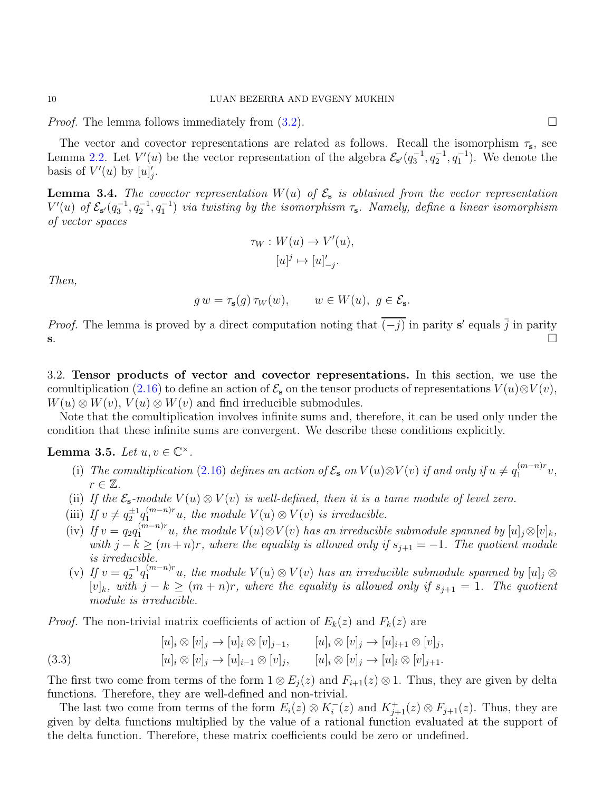*Proof.* The lemma follows immediately from  $(3.2)$ .

The vector and covector representations are related as follows. Recall the isomorphism  $\tau_s$ , see Lemma [2.2.](#page-6-0) Let  $V'(u)$  be the vector representation of the algebra  $\mathcal{E}_{s'}(q_3^{-1}, q_2^{-1}, q_1^{-1})$ . We denote the basis of  $V'(u)$  by  $[u]'_j$ .

<span id="page-9-2"></span>**Lemma 3.4.** The covector representation  $W(u)$  of  $\mathcal{E}_s$  is obtained from the vector representation  $V'(u)$  of  $\mathcal{E}_{s'}(q_3^{-1},q_2^{-1},q_1^{-1})$  via twisting by the isomorphism  $\tau_s$ . Namely, define a linear isomorphism of vector spaces

$$
\tau_W: W(u) \to V'(u),
$$

$$
[u]^j \mapsto [u]_{-j}'.
$$

Then,

$$
g w = \tau_s(g) \tau_W(w), \qquad w \in W(u), \ g \in \mathcal{E}_s.
$$

*Proof.* The lemma is proved by a direct computation noting that  $\overline{(-j)}$  in parity s' equals  $\overline{j}$  in parity  $s.$ 

3.2. Tensor products of vector and covector representations. In this section, we use the comultiplication [\(2.16\)](#page-5-2) to define an action of  $\mathcal{E}_s$  on the tensor products of representations  $V(u) \otimes V(v)$ ,  $W(u) \otimes W(v)$ ,  $V(u) \otimes W(v)$  and find irreducible submodules.

Note that the comultiplication involves infinite sums and, therefore, it can be used only under the condition that these infinite sums are convergent. We describe these conditions explicitly.

<span id="page-9-1"></span>Lemma 3.5. Let  $u, v \in \mathbb{C}^{\times}$ .

- (i) The comultiplication [\(2.16\)](#page-5-2) defines an action of  $\mathcal{E}_s$  on  $V(u) \otimes V(v)$  if and only if  $u \neq q_1^{(m-n)r}$  $x_1^{(m-n)r}v,$  $r \in \mathbb{Z}$ .
- (ii) If the  $\mathcal{E}_s$ -module  $V(u) \otimes V(v)$  is well-defined, then it is a tame module of level zero.
- (iii) If  $v \neq q_2^{\pm 1} q_1^{(m-n)r}u$ , the module  $V(u) \otimes V(v)$  is irreducible.
- (iv) If  $v = q_2 q_1^{(m-n)r}u$ , the module  $V(u) \otimes V(v)$  has an irreducible submodule spanned by  $[u]_j \otimes [v]_k$ , with  $j - k \geq (m + n)r$ , where the equality is allowed only if  $s_{j+1} = -1$ . The quotient module is irreducible.
- (v) If  $v = q_2^{-1} q_1^{(m-n)r} u$ , the module  $V(u) \otimes V(v)$  has an irreducible submodule spanned by  $[u]_j \otimes$  $[v]_k$ , with  $j - k \ge (m + n)r$ , where the equality is allowed only if  $s_{j+1} = 1$ . The quotient module is irreducible.

*Proof.* The non-trivial matrix coefficients of action of  $E_k(z)$  and  $F_k(z)$  are

<span id="page-9-0"></span>(3.3) 
$$
[u]_i \otimes [v]_j \to [u]_i \otimes [v]_{j-1}, \qquad [u]_i \otimes [v]_j \to [u]_{i+1} \otimes [v]_j, [u]_i \otimes [v]_j \to [u]_{i-1} \otimes [v]_j, \qquad [u]_i \otimes [v]_j \to [u]_i \otimes [v]_{j+1}.
$$

The first two come from terms of the form  $1 \otimes E_j(z)$  and  $F_{i+1}(z) \otimes 1$ . Thus, they are given by delta functions. Therefore, they are well-defined and non-trivial.

The last two come from terms of the form  $E_i(z) \otimes K_i^-(z)$  and  $K_{j+1}^+(z) \otimes F_{j+1}(z)$ . Thus, they are given by delta functions multiplied by the value of a rational function evaluated at the support of the delta function. Therefore, these matrix coefficients could be zero or undefined.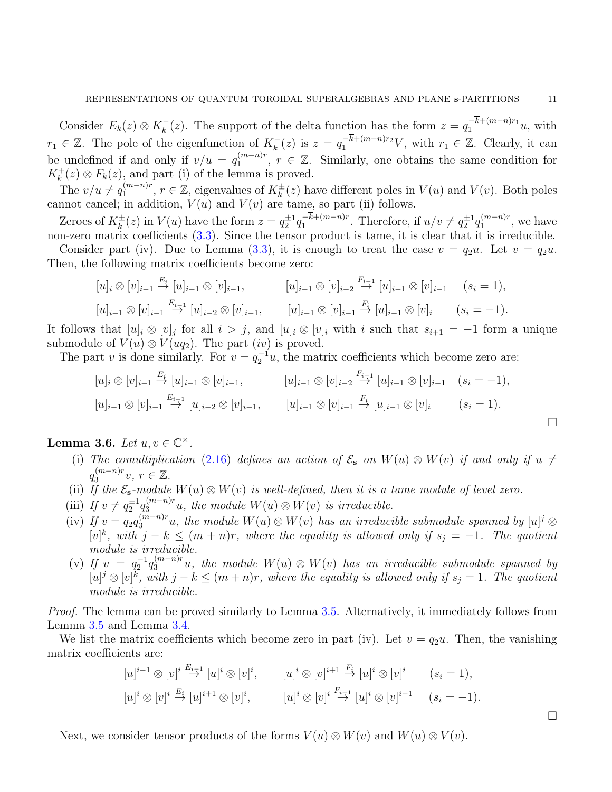Consider  $E_k(z) \otimes K_k^{-}(z)$ . The support of the delta function has the form  $z = q_1^{-k+(m-n)r_1}u$ , with  $r_1 \in \mathbb{Z}$ . The pole of the eigenfunction of  $K_k^-(z)$  is  $z = q_1^{-k+(m-n)r_2}V$ , with  $r_1 \in \mathbb{Z}$ . Clearly, it can be undefined if and only if  $v/u = q_1^{(m-n)r}$  $\binom{(m-n)r}{1}$ ,  $r \in \mathbb{Z}$ . Similarly, one obtains the same condition for  $K_k^+(z) \otimes F_k(z)$ , and part (i) of the lemma is proved.

The  $v/u \neq q_1^{(m-n)r}$  $\lambda_1^{(m-n)r}$ ,  $r \in \mathbb{Z}$ , eigenvalues of  $K_k^{\pm}(z)$  have different poles in  $V(u)$  and  $V(v)$ . Both poles cannot cancel; in addition,  $V(u)$  and  $V(v)$  are tame, so part (ii) follows.

Zeroes of  $K_k^{\pm}(z)$  in  $V(u)$  have the form  $z = q_2^{\pm 1} q_1^{-k+(m-n)r}$  $e^{-k+(m-n)r}$ . Therefore, if  $u/v \neq q_2^{\pm 1}q_1^{(m-n)r}$  $1^{(m-n)r}$ , we have non-zero matrix coefficients  $(3.3)$ . Since the tensor product is tame, it is clear that it is irreducible.

Consider part (iv). Due to Lemma [\(3.3\)](#page-8-0), it is enough to treat the case  $v = q_2u$ . Let  $v = q_2u$ . Then, the following matrix coefficients become zero:

$$
[u]_i \otimes [v]_{i-1} \stackrel{E_i}{\to} [u]_{i-1} \otimes [v]_{i-1}, \qquad [u]_{i-1} \otimes [v]_{i-2} \stackrel{F_{i-1}}{\to} [u]_{i-1} \otimes [v]_{i-1} \qquad (s_i = 1),
$$
  

$$
[u]_{i-1} \otimes [v]_{i-1} \stackrel{E_{i-1}}{\to} [u]_{i-2} \otimes [v]_{i-1}, \qquad [u]_{i-1} \otimes [v]_{i-1} \stackrel{F_i}{\to} [u]_{i-1} \otimes [v]_i \qquad (s_i = -1).
$$

It follows that  $[u]_i \otimes [v]_j$  for all  $i > j$ , and  $[u]_i \otimes [v]_i$  with i such that  $s_{i+1} = -1$  form a unique submodule of  $V(u) \otimes V(uq_2)$ . The part  $(iv)$  is proved.

The part v is done similarly. For  $v = q_2^{-1}u$ , the matrix coefficients which become zero are:

$$
[u]_i \otimes [v]_{i-1} \stackrel{E_i}{\to} [u]_{i-1} \otimes [v]_{i-1}, \qquad [u]_{i-1} \otimes [v]_{i-2} \stackrel{F_{i-1}}{\to} [u]_{i-1} \otimes [v]_{i-1} \quad (s_i = -1),
$$
  

$$
[u]_{i-1} \otimes [v]_{i-1} \stackrel{E_{i-1}}{\to} [u]_{i-2} \otimes [v]_{i-1}, \qquad [u]_{i-1} \otimes [v]_{i-1} \stackrel{F_i}{\to} [u]_{i-1} \otimes [v]_i \qquad (s_i = 1).
$$

 $\Box$ 

 $\Box$ 

<span id="page-10-0"></span>Lemma 3.6. Let  $u, v \in \mathbb{C}^{\times}$ .

- (i) The comultiplication [\(2.16\)](#page-5-2) defines an action of  $\mathcal{E}_s$  on  $W(u) \otimes W(v)$  if and only if  $u \neq$  $q_3^{(m-n)r}$  $\binom{(m-n)r}{3}$ ,  $r \in \mathbb{Z}$ .
- (ii) If the  $\mathcal{E}_s$ -module  $W(u) \otimes W(v)$  is well-defined, then it is a tame module of level zero.
- (iii) If  $v \neq q_2^{\pm 1} q_3^{(m-n)r}u$ , the module  $W(u) \otimes W(v)$  is irreducible.
- (iv) If  $v = q_2 q_3^{(m-n)r}u$ , the module  $W(u) \otimes W(v)$  has an irreducible submodule spanned by  $[u]^j \otimes$  $[v]^k$ , with  $j - k \leq (m + n)r$ , where the equality is allowed only if  $s_j = -1$ . The quotient module is irreducible.
- (v) If  $v = q_2^{-1} q_3^{(m-n)r} u$ , the module  $W(u) \otimes W(v)$  has an irreducible submodule spanned by  $[u]^j \otimes [v]^k$ , with  $j - k \leq (m + n)r$ , where the equality is allowed only if  $s_j = 1$ . The quotient module is irreducible.

Proof. The lemma can be proved similarly to Lemma [3.5.](#page-9-1) Alternatively, it immediately follows from Lemma [3.5](#page-9-1) and Lemma [3.4.](#page-9-2)

We list the matrix coefficients which become zero in part (iv). Let  $v = q_2u$ . Then, the vanishing matrix coefficients are:

$$
[u]^{i-1} \otimes [v]^i \stackrel{E_{i-1}}{\rightarrow} [u]^i \otimes [v]^i, \qquad [u]^i \otimes [v]^{i+1} \stackrel{F_i}{\rightarrow} [u]^i \otimes [v]^i \qquad (s_i = 1),
$$
  

$$
[u]^i \otimes [v]^i \stackrel{E_i}{\rightarrow} [u]^{i+1} \otimes [v]^i, \qquad [u]^i \otimes [v]^i \stackrel{F_{i-1}}{\rightarrow} [u]^i \otimes [v]^{i-1} \qquad (s_i = -1).
$$

Next, we consider tensor products of the forms  $V(u) \otimes W(v)$  and  $W(u) \otimes V(v)$ .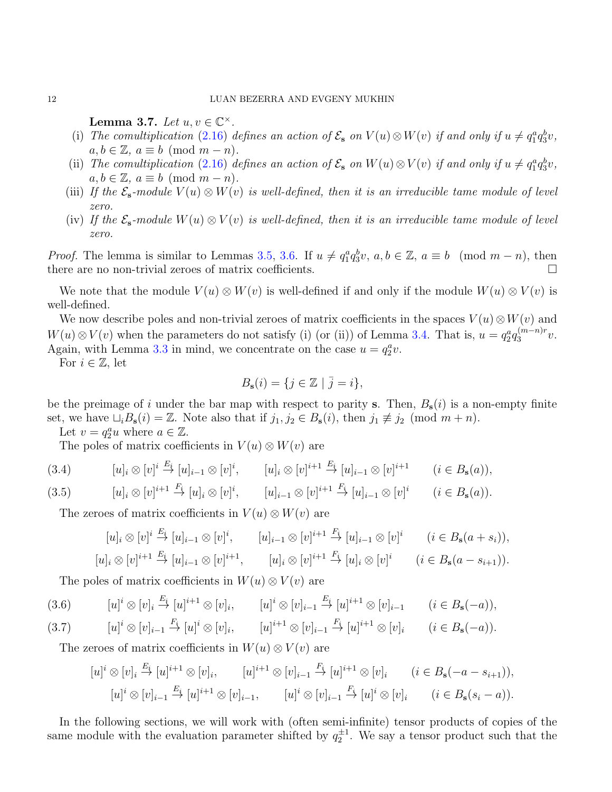Lemma 3.7. Let  $u, v \in \mathbb{C}^{\times}$ .

- (i) The comultiplication [\(2.16\)](#page-5-2) defines an action of  $\mathcal{E}_s$  on  $V(u) \otimes W(v)$  if and only if  $u \neq q_1^a q_3^b v$ ,  $a, b \in \mathbb{Z}$ ,  $a \equiv b \pmod{m-n}$ .
- (ii) The comultiplication [\(2.16\)](#page-5-2) defines an action of  $\mathcal{E}_s$  on  $W(u) \otimes V(v)$  if and only if  $u \neq q_1^a q_3^b v$ ,  $a, b \in \mathbb{Z}$ ,  $a \equiv b \pmod{m-n}$ .
- (iii) If the  $\mathcal{E}_s$ -module  $V(u) \otimes W(v)$  is well-defined, then it is an irreducible tame module of level zero.
- (iv) If the  $\mathcal{E}_s$ -module  $W(u) \otimes V(v)$  is well-defined, then it is an irreducible tame module of level zero.

*Proof.* The lemma is similar to Lemmas [3.5,](#page-9-1) [3.6.](#page-10-0) If  $u \neq q_1^a q_3^b v$ ,  $a, b \in \mathbb{Z}$ ,  $a \equiv b \pmod{m-n}$ , then there are no non-trivial zeroes of matrix coefficients.

We note that the module  $V(u) \otimes W(v)$  is well-defined if and only if the module  $W(u) \otimes V(v)$  is well-defined.

We now describe poles and non-trivial zeroes of matrix coefficients in the spaces  $V(u) \otimes W(v)$  and  $W(u) \otimes V(v)$  when the parameters do not satisfy (i) (or (ii)) of Lemma [3.4.](#page-9-2) That is,  $u = q_2^a q_3^{(m-n)r}$  $\frac{(m-n)r}{3}v.$ Again, with Lemma [3.3](#page-8-0) in mind, we concentrate on the case  $u = q_2^a v$ .

For  $i \in \mathbb{Z}$ , let

$$
B_{\mathbf{s}}(i) = \{ j \in \mathbb{Z} \mid \overline{j} = i \},
$$

be the preimage of i under the bar map with respect to parity s. Then,  $B_s(i)$  is a non-empty finite set, we have  $\sqcup_i B_{s}(i) = \mathbb{Z}$ . Note also that if  $j_1, j_2 \in B_{s}(i)$ , then  $j_1 \not\equiv j_2 \pmod{m+n}$ .

Let  $v = q_2^a u$  where  $a \in \mathbb{Z}$ .

The poles of matrix coefficients in  $V(u) \otimes W(v)$  are

<span id="page-11-0"></span>
$$
(3.4) \t [u]_i \otimes [v]^i \stackrel{E_i}{\to} [u]_{i-1} \otimes [v]^i, \t [u]_i \otimes [v]^{i+1} \stackrel{E_i}{\to} [u]_{i-1} \otimes [v]^{i+1} \t (i \in B_s(a)),
$$

$$
(3.5) \t [u]_i \otimes [v]^{i+1} \stackrel{F_i}{\to} [u]_i \otimes [v]^i, \t [u]_{i-1} \otimes [v]^{i+1} \stackrel{F_i}{\to} [u]_{i-1} \otimes [v]^i \t (i \in B_s(a)).
$$

The zeroes of matrix coefficients in  $V(u) \otimes W(v)$  are

$$
[u]_i \otimes [v]^i \stackrel{E_i}{\to} [u]_{i-1} \otimes [v]^i, \qquad [u]_{i-1} \otimes [v]^{i+1} \stackrel{F_i}{\to} [u]_{i-1} \otimes [v]^i \qquad (i \in B_{\mathbf{s}}(a+s_i)),
$$
  

$$
[u]_i \otimes [v]^{i+1} \stackrel{E_i}{\to} [u]_{i-1} \otimes [v]^{i+1}, \qquad [u]_i \otimes [v]^{i+1} \stackrel{F_i}{\to} [u]_i \otimes [v]^i \qquad (i \in B_{\mathbf{s}}(a-s_{i+1})).
$$

The poles of matrix coefficients in  $W(u) \otimes V(v)$  are

<span id="page-11-1"></span>
$$
(3.6) \t [u]^i \otimes [v]_i \stackrel{E_i}{\to} [u]^{i+1} \otimes [v]_i, \t [u]^i \otimes [v]_{i-1} \stackrel{E_i}{\to} [u]^{i+1} \otimes [v]_{i-1} \t (i \in B_s(-a)),
$$

$$
(3.7) \t [u]^i \otimes [v]_{i-1} \xrightarrow{F_i} [u]^i \otimes [v]_i, \t [u]^{i+1} \otimes [v]_{i-1} \xrightarrow{F_i} [u]^{i+1} \otimes [v]_i \t (i \in B_s(-a)).
$$

The zeroes of matrix coefficients in  $W(u) \otimes V(v)$  are

$$
[u]^i \otimes [v]_i \stackrel{E_i}{\to} [u]^{i+1} \otimes [v]_i, \qquad [u]^{i+1} \otimes [v]_{i-1} \stackrel{F_i}{\to} [u]^{i+1} \otimes [v]_i \qquad (i \in B_{\mathbf{s}}(-a - s_{i+1})),
$$
  
\n
$$
[u]^i \otimes [v]_{i-1} \stackrel{E_i}{\to} [u]^{i+1} \otimes [v]_{i-1}, \qquad [u]^i \otimes [v]_{i-1} \stackrel{F_i}{\to} [u]^i \otimes [v]_i \qquad (i \in B_{\mathbf{s}}(s_i - a)).
$$

In the following sections, we will work with (often semi-infinite) tensor products of copies of the same module with the evaluation parameter shifted by  $q_2^{\pm 1}$ . We say a tensor product such that the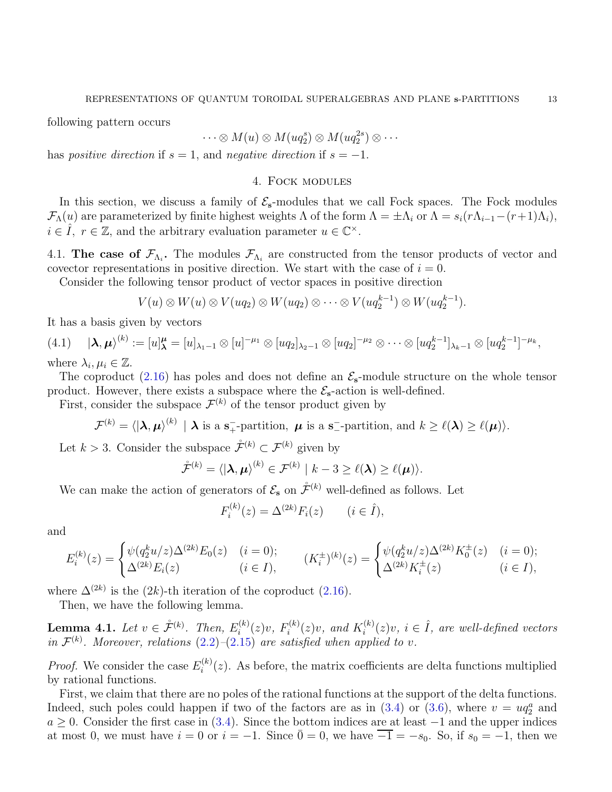following pattern occurs

$$
\cdots \otimes M(u) \otimes M( uq_2^s) \otimes M(uq_2^{2s}) \otimes \cdots
$$

<span id="page-12-0"></span>has *positive direction* if  $s = 1$ , and *negative direction* if  $s = -1$ .

### 4. Fock modules

In this section, we discuss a family of  $\mathcal{E}_{s}$ -modules that we call Fock spaces. The Fock modules  $\mathcal{F}_{\Lambda}(u)$  are parameterized by finite highest weights  $\Lambda$  of the form  $\Lambda = \pm \Lambda_i$  or  $\Lambda = s_i(r\Lambda_{i-1}-(r+1)\Lambda_i)$ ,  $i \in \hat{I}$ ,  $r \in \mathbb{Z}$ , and the arbitrary evaluation parameter  $u \in \mathbb{C}^{\times}$ .

<span id="page-12-2"></span>4.1. The case of  $\mathcal{F}_{\Lambda_i}$ . The modules  $\mathcal{F}_{\Lambda_i}$  are constructed from the tensor products of vector and covector representations in positive direction. We start with the case of  $i = 0$ .

Consider the following tensor product of vector spaces in positive direction

$$
V(u) \otimes W(u) \otimes V(uq_2) \otimes W(uq_2) \otimes \cdots \otimes V(uq_2^{k-1}) \otimes W(uq_2^{k-1}).
$$

It has a basis given by vectors

 $(4.1) \quad |\lambda, \mu\rangle^{(k)} := [u]_{\lambda}^{\mu} = [u]_{\lambda_1-1} \otimes [u]^{-\mu_1} \otimes [uq_2]_{\lambda_2-1} \otimes [uq_2]^{-\mu_2} \otimes \cdots \otimes [uq_2^{k-1}]_{\lambda_k-1} \otimes [uq_2^{k-1}]^{-\mu_k},$ where  $\lambda_i, \mu_i \in \mathbb{Z}$ .

The coproduct [\(2.16\)](#page-5-2) has poles and does not define an  $\mathcal{E}_{s}$ -module structure on the whole tensor product. However, there exists a subspace where the  $\mathcal{E}_{s}$ -action is well-defined.

First, consider the subspace  $\mathcal{F}^{(k)}$  of the tensor product given by

$$
\mathcal{F}^{(k)} = \langle | \boldsymbol{\lambda}, \boldsymbol{\mu} \rangle^{(k)} \mid \boldsymbol{\lambda} \text{ is a s+-partition, } \boldsymbol{\mu} \text{ is a s--partition, and } k \geq \ell(\boldsymbol{\lambda}) \geq \ell(\boldsymbol{\mu}) \rangle.
$$

Let  $k > 3$ . Consider the subspace  $\mathcal{F}^{(k)} \subset \mathcal{F}^{(k)}$  given by

$$
\mathring{\mathcal{F}}^{(k)} = \langle | \boldsymbol{\lambda}, \boldsymbol{\mu} \rangle^{(k)} \in \mathcal{F}^{(k)} \mid k - 3 \geq \ell(\boldsymbol{\lambda}) \geq \ell(\boldsymbol{\mu}) \rangle.
$$

We can make the action of generators of  $\mathcal{E}_s$  on  $\mathcal{F}^{(k)}$  well-defined as follows. Let

$$
F_i^{(k)}(z) = \Delta^{(2k)} F_i(z)
$$
  $(i \in \hat{I}),$ 

and

$$
E_i^{(k)}(z) = \begin{cases} \psi(q_2^k u/z) \Delta^{(2k)} E_0(z) & (i = 0); \\ \Delta^{(2k)} E_i(z) & (i \in I), \end{cases} \qquad (K_i^{\pm})^{(k)}(z) = \begin{cases} \psi(q_2^k u/z) \Delta^{(2k)} K_0^{\pm}(z) & (i = 0); \\ \Delta^{(2k)} K_i^{\pm}(z) & (i \in I), \end{cases}
$$

where  $\Delta^{(2k)}$  is the (2k)-th iteration of the coproduct [\(2.16\)](#page-5-2).

Then, we have the following lemma.

<span id="page-12-1"></span>**Lemma 4.1.** Let  $v \in \mathring{\mathcal{F}}^{(k)}$ . Then,  $E_i^{(k)}$  $f_i^{(k)}(z)v, F_i^{(k)}$  $i^{(k)}(z)v$ , and  $K_i^{(k)}$  $i_i^{(k)}(z)v, i \in \hat{I}$ , are well-defined vectors in  $\mathcal{F}^{(k)}$ . Moreover, relations  $(2.2)$ - $(2.15)$  are satisfied when applied to v.

*Proof.* We consider the case  $E_i^{(k)}$  $i^{(k)}(z)$ . As before, the matrix coefficients are delta functions multiplied by rational functions.

First, we claim that there are no poles of the rational functions at the support of the delta functions. Indeed, such poles could happen if two of the factors are as in  $(3.4)$  or  $(3.6)$ , where  $v = uq_2^a$  and  $a \geq 0$ . Consider the first case in [\(3.4\)](#page-11-0). Since the bottom indices are at least  $-1$  and the upper indices at most 0, we must have  $i = 0$  or  $i = -1$ . Since  $\overline{0} = 0$ , we have  $\overline{-1} = -s_0$ . So, if  $s_0 = -1$ , then we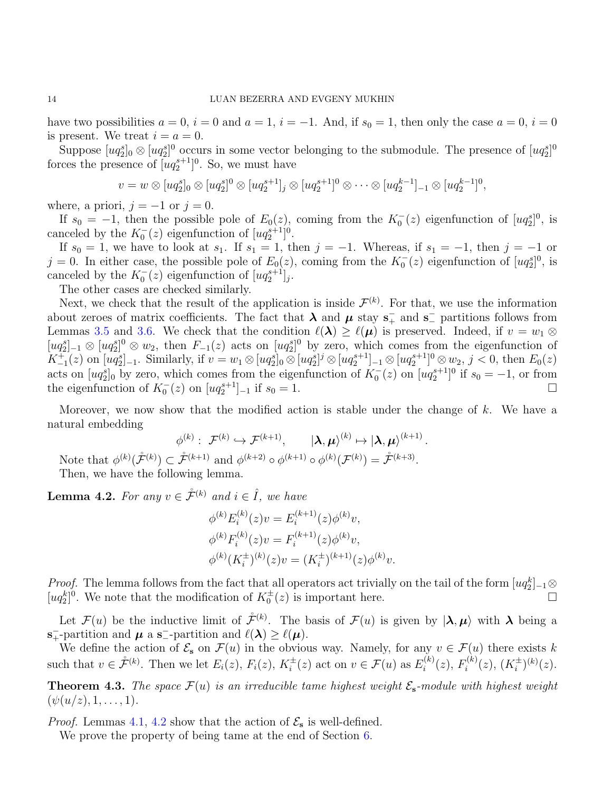have two possibilities  $a = 0$ ,  $i = 0$  and  $a = 1$ ,  $i = -1$ . And, if  $s_0 = 1$ , then only the case  $a = 0$ ,  $i = 0$ is present. We treat  $i = a = 0$ .

Suppose  $[ uq_2^s]_0 \otimes [ uq_2^s]_0$  occurs in some vector belonging to the submodule. The presence of  $[ uq_2^s]_0$ forces the presence of  $[uq_2^{s+1}]^0$ . So, we must have

$$
v = w \otimes [uq_2^s]_0 \otimes [uq_2^s]^0 \otimes [uq_2^{s+1}]_j \otimes [uq_2^{s+1}]^0 \otimes \cdots \otimes [uq_2^{k-1}]_{-1} \otimes [uq_2^{k-1}]^0,
$$

where, a priori,  $j = -1$  or  $j = 0$ .

If  $s_0 = -1$ , then the possible pole of  $E_0(z)$ , coming from the  $K_0(z)$  eigenfunction of  $[uq_2^s]$ <sup>0</sup>, is canceled by the  $K_0^-(z)$  eigenfunction of  $[uq_2^{s+1}]^0$ .

If  $s_0 = 1$ , we have to look at  $s_1$ . If  $s_1 = 1$ , then  $j = -1$ . Whereas, if  $s_1 = -1$ , then  $j = -1$  or  $j = 0$ . In either case, the possible pole of  $E_0(z)$ , coming from the  $K_0(z)$  eigenfunction of  $[uq_2^s]$ <sup>0</sup>, is canceled by the  $K_0^-(z)$  eigenfunction of  $[uq_2^{s+1}]_j$ .

The other cases are checked similarly.

Next, we check that the result of the application is inside  $\mathcal{F}^{(k)}$ . For that, we use the information about zeroes of matrix coefficients. The fact that  $\lambda$  and  $\mu$  stay  $s_+^-$  and  $s_-^-$  partitions follows from Lemmas [3.5](#page-9-1) and [3.6.](#page-10-0) We check that the condition  $\ell(\lambda) \geq \ell(\mu)$  is preserved. Indeed, if  $v = w_1 \otimes$  $[ug_2^s]_{-1} \otimes [uq_2^s]_{-1} \otimes w_2$ , then  $F_{-1}(z)$  acts on  $[uq_2^s]_{-1}$  by zero, which comes from the eigenfunction of  $K_{-1}^+(z)$  on  $[ug_2^s]_{-1}$ . Similarly, if  $v = w_1 \otimes [uq_2^s]_0 \otimes [uq_2^{s+1}] \otimes [uq_2^{s+1}]_{-1} \otimes [uq_2^{s+1}]^0 \otimes w_2$ ,  $j < 0$ , then  $E_0(z)$ acts on  $[uq_2^s]_0$  by zero, which comes from the eigenfunction of  $K_0^-(z)$  on  $[uq_2^{s+1}]_0^0$  if  $s_0 = -1$ , or from the eigenfunction of  $K_0^-(z)$  on  $[ uq_2^{s+1}]_{-1}$  if  $s_0 = 1$ .

Moreover, we now show that the modified action is stable under the change of  $k$ . We have a natural embedding

$$
\phi^{(k)}: \mathcal{F}^{(k)} \hookrightarrow \mathcal{F}^{(k+1)}, \qquad |\lambda, \mu\rangle^{(k)} \mapsto |\lambda, \mu\rangle^{(k+1)}.
$$
  

$$
\subset \mathring{\mathcal{F}}^{(k+1)} \text{ and } \phi^{(k+2)} \circ \phi^{(k+1)} \circ \phi^{(k)}(\mathcal{F}^{(k)}) = \mathring{\mathcal{F}}^{(k+3)}.
$$

Note that  $\phi^{(k)}(\mathcal{F}^{(k)}),$ Then, we have the following lemma.

<span id="page-13-0"></span>**Lemma 4.2.** For any  $v \in \mathring{\mathcal{F}}^{(k)}$  and  $i \in \hat{I}$ , we have

$$
\phi^{(k)} E_i^{(k)}(z)v = E_i^{(k+1)}(z)\phi^{(k)}v,
$$
  
\n
$$
\phi^{(k)} F_i^{(k)}(z)v = F_i^{(k+1)}(z)\phi^{(k)}v,
$$
  
\n
$$
\phi^{(k)} (K_i^{\pm})^{(k)}(z)v = (K_i^{\pm})^{(k+1)}(z)\phi^{(k)}v.
$$

*Proof.* The lemma follows from the fact that all operators act trivially on the tail of the form  $[uq_2^k]_{-1}$  $[uq_2^k]^0$ . We note that the modification of  $K_0^{\pm}(z)$  is important here.

Let  $\mathcal{F}(u)$  be the inductive limit of  $\mathcal{F}^{(k)}$ . The basis of  $\mathcal{F}(u)$  is given by  $|\lambda, \mu\rangle$  with  $\lambda$  being a  $\mathbf{s}_+^-$ -partition and  $\boldsymbol{\mu}$  a  $\mathbf{s}_-^-$ -partition and  $\ell(\boldsymbol{\lambda}) \geq \ell(\boldsymbol{\mu})$ .

We define the action of  $\mathcal{E}_s$  on  $\mathcal{F}(u)$  in the obvious way. Namely, for any  $v \in \mathcal{F}(u)$  there exists k such that  $v \in \mathcal{F}^{(k)}$ . Then we let  $E_i(z)$ ,  $F_i(z)$ ,  $K_i^{\pm}$  $i^{\pm}(z)$  act on  $v \in \mathcal{F}(u)$  as  $E_i^{(k)}$  $f_i^{(k)}(z), F_i^{(k)}$  $i^{(k)}(z)$ ,  $(K_i^{\pm})$  $(\frac{1}{i})^{(k)}(z).$ 

<span id="page-13-1"></span>**Theorem 4.3.** The space  $\mathcal{F}(u)$  is an irreducible tame highest weight  $\mathcal{E}_{s}$ -module with highest weight  $(\psi(u/z), 1, \ldots, 1).$ 

*Proof.* Lemmas [4.1,](#page-12-1) [4.2](#page-13-0) show that the action of  $\mathcal{E}_s$  is well-defined.

We prove the property of being tame at the end of Section [6.](#page-24-0)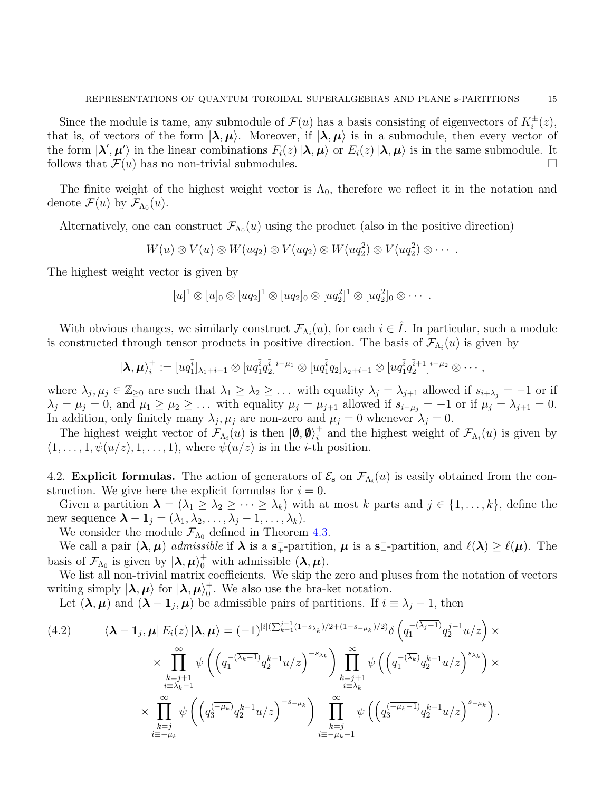Since the module is tame, any submodule of  $\mathcal{F}(u)$  has a basis consisting of eigenvectors of  $K_i^{\pm}(z)$ , that is, of vectors of the form  $|\lambda, \mu\rangle$ . Moreover, if  $|\lambda, \mu\rangle$  is in a submodule, then every vector of the form  $|\lambda', \mu'\rangle$  in the linear combinations  $F_i(z) |\lambda, \mu\rangle$  or  $E_i(z) |\lambda, \mu\rangle$  is in the same submodule. It follows that  $\mathcal{F}(u)$  has no non-trivial submodules.

The finite weight of the highest weight vector is  $\Lambda_0$ , therefore we reflect it in the notation and denote  $\mathcal{F}(u)$  by  $\mathcal{F}_{\Lambda_0}(u)$ .

Alternatively, one can construct  $\mathcal{F}_{\Lambda_0}(u)$  using the product (also in the positive direction)

$$
W(u)\otimes V(u)\otimes W(uq_2)\otimes V(uq_2)\otimes W(uq_2^2)\otimes V(uq_2^2)\otimes\cdots.
$$

The highest weight vector is given by

$$
[u]^1 \otimes [u]_0 \otimes [uq_2]^1 \otimes [uq_2]_0 \otimes [uq_2^2]^1 \otimes [uq_2^2]_0 \otimes \cdots
$$

With obvious changes, we similarly construct  $\mathcal{F}_{\Lambda_i}(u)$ , for each  $i \in \hat{I}$ . In particular, such a module is constructed through tensor products in positive direction. The basis of  $\mathcal{F}_{\Lambda_i}(u)$  is given by

$$
|\lambda,\mu\rangle_i^+ := [u q_1^{\bar{i}}]_{\lambda_1+i-1} \otimes [u q_1^{\bar{i}} q_2^{\bar{i}}]^{i-\mu_1} \otimes [u q_1^{\bar{i}} q_2]_{\lambda_2+i-1} \otimes [u q_1^{\bar{i}} q_2^{\bar{i}+1}]^{i-\mu_2} \otimes \cdots,
$$

where  $\lambda_j, \mu_j \in \mathbb{Z}_{\geq 0}$  are such that  $\lambda_1 \geq \lambda_2 \geq \ldots$  with equality  $\lambda_j = \lambda_{j+1}$  allowed if  $s_{i+\lambda_j} = -1$  or if  $\lambda_j = \mu_j = 0$ , and  $\mu_1 \ge \mu_2 \ge \ldots$  with equality  $\mu_j = \mu_{j+1}$  allowed if  $s_{i-\mu_j} = -1$  or if  $\mu_j = \lambda_{j+1} = 0$ . In addition, only finitely many  $\lambda_j, \mu_j$  are non-zero and  $\mu_j = 0$  whenever  $\lambda_j = 0$ .

The highest weight vector of  $\mathcal{F}_{\Lambda_i}(u)$  is then  $|\phi, \phi\rangle_i^+$ <sup>+</sup> and the highest weight of  $\mathcal{F}_{\Lambda_i}(u)$  is given by  $(1, \ldots, 1, \psi(u/z), 1, \ldots, 1)$ , where  $\psi(u/z)$  is in the *i*-th position.

4.2. Explicit formulas. The action of generators of  $\mathcal{E}_s$  on  $\mathcal{F}_{\Lambda_i}(u)$  is easily obtained from the construction. We give here the explicit formulas for  $i = 0$ .

Given a partition  $\lambda = (\lambda_1 \geq \lambda_2 \geq \cdots \geq \lambda_k)$  with at most k parts and  $j \in \{1, \ldots, k\}$ , define the new sequence  $\boldsymbol{\lambda} - \mathbf{1}_j = (\lambda_1, \lambda_2, \dots, \lambda_j - 1, \dots, \lambda_k).$ 

We consider the module  $\mathcal{F}_{\Lambda_0}$  defined in Theorem [4.3.](#page-13-1)

We call a pair  $(\lambda, \mu)$  admissible if  $\lambda$  is a s<sub>+</sub>-partition,  $\mu$  is a s<sub>-</sub>-partition, and  $\ell(\lambda) \geq \ell(\mu)$ . The basis of  $\mathcal{F}_{\Lambda_0}$  is given by  $|\lambda, \mu\rangle_0^+$  with admissible  $(\lambda, \mu)$ .

We list all non-trivial matrix coefficients. We skip the zero and pluses from the notation of vectors writing simply  $|\lambda, \mu\rangle$  for  $|\lambda, \mu\rangle_0^+$  $<sub>0</sub><sup>+</sup>$ . We also use the bra-ket notation.</sub>

Let  $(\lambda, \mu)$  and  $(\lambda - 1_j, \mu)$  be admissible pairs of partitions. If  $i \equiv \lambda_j - 1$ , then

$$
(4.2) \qquad \langle \lambda - \mathbf{1}_j, \mu | E_i(z) | \lambda, \mu \rangle = (-1)^{|i| (\sum_{k=1}^{j-1} (1 - s_{\lambda_k})/2 + (1 - s_{-\mu_k})/2)} \delta \left( q_1^{-(\overline{\lambda_j - 1})} q_2^{j-1} u/z \right) \times \times \prod_{\substack{k=j+1 \\ i \equiv \lambda_k - 1}}^{\infty} \psi \left( \left( q_1^{-(\overline{\lambda_k - 1})} q_2^{k-1} u/z \right)^{-s_{\lambda_k}} \right) \prod_{\substack{k=j+1 \\ i \equiv \lambda_k}}^{\infty} \psi \left( \left( q_1^{-(\overline{\lambda_k})} q_2^{k-1} u/z \right)^{s_{\lambda_k}} \right) \times \times \prod_{\substack{k=j \\ i \equiv -\mu_k}}^{\infty} \psi \left( \left( q_3^{\overline{(-\mu_k)}} q_2^{k-1} u/z \right)^{-s_{-\mu_k}} \right) \prod_{\substack{k=j \\ i \equiv -\mu_k - 1}}^{\infty} \psi \left( \left( q_3^{\overline{(-\mu_k - 1)}} q_2^{k-1} u/z \right)^{s_{-\mu_k}} \right).
$$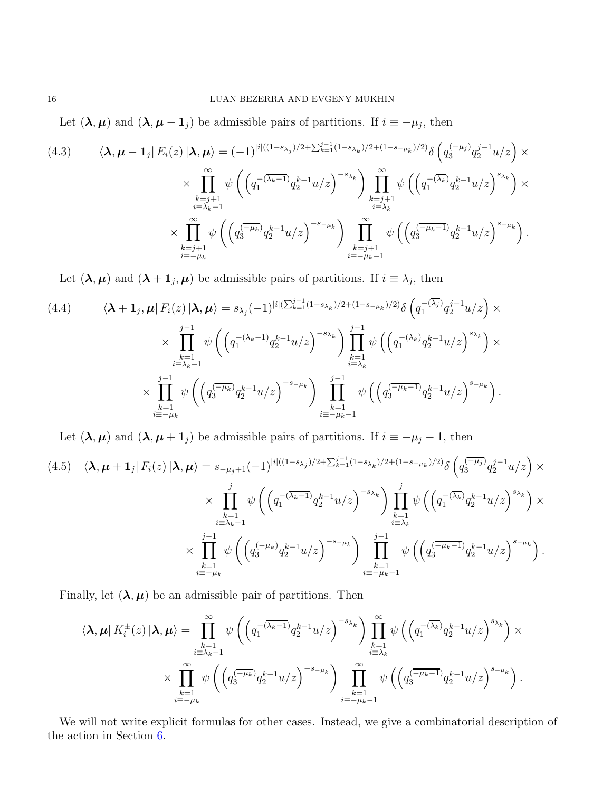Let  $(\lambda, \mu)$  and  $(\lambda, \mu - 1_j)$  be admissible pairs of partitions. If  $i \equiv -\mu_j$ , then

$$
(4.3) \qquad \langle \lambda, \mu - 1_j | E_i(z) | \lambda, \mu \rangle = (-1)^{|i|((1-s_{\lambda_j})/2 + \sum_{k=1}^{j-1} (1-s_{\lambda_k})/2 + (1-s_{-\mu_k})/2)} \delta \left( q_3^{\overline{(-\mu_j)}} q_2^{j-1} u/z \right) \times \times \prod_{\substack{k=j+1 \ i \equiv \lambda_k - 1}}^{\infty} \psi \left( \left( q_1^{-(\overline{\lambda_k}-1)} q_2^{k-1} u/z \right)^{-s_{\lambda_k}} \right) \prod_{\substack{k=j+1 \ i \equiv \lambda_k}}^{\infty} \psi \left( \left( q_1^{-(\overline{\lambda_k})} q_2^{k-1} u/z \right)^{s_{\lambda_k}} \right) \times \times \prod_{\substack{k=j+1 \ i \equiv -\mu_k}}^{\infty} \psi \left( \left( q_3^{\overline{(-\mu_k)}} q_2^{k-1} u/z \right)^{-s_{-\mu_k}} \right) \prod_{\substack{k=j+1 \ i \equiv -\mu_k - 1}}^{\infty} \psi \left( \left( q_3^{\overline{(-\mu_k-1)}} q_2^{k-1} u/z \right)^{s_{-\mu_k}} \right).
$$

Let  $(\lambda, \mu)$  and  $(\lambda + 1_j, \mu)$  be admissible pairs of partitions. If  $i \equiv \lambda_j$ , then

$$
(4.4) \qquad \langle \lambda + \mathbf{1}_j, \mu | F_i(z) | \lambda, \mu \rangle = s_{\lambda_j} (-1)^{|i| (\sum_{k=1}^{j-1} (1-s_{\lambda_k})/2 + (1-s_{-\mu_k})/2)} \delta \left( q_1^{-(\overline{\lambda_j})} q_2^{j-1} u/z \right) \times \times \prod_{\substack{k=1 \\ i \equiv \lambda_k - 1}}^{j-1} \psi \left( \left( q_1^{-(\overline{\lambda_k} - 1)} q_2^{k-1} u/z \right)^{-s_{\lambda_k}} \right) \prod_{\substack{k=1 \\ i \equiv \lambda_k}}^{j-1} \psi \left( \left( q_1^{-(\overline{\lambda_k})} q_2^{k-1} u/z \right)^{s_{\lambda_k}} \right) \times \times \prod_{\substack{k=1 \\ i \equiv -\mu_k}}^{j-1} \psi \left( \left( q_3^{(-\mu_k)} q_2^{k-1} u/z \right)^{-s_{-\mu_k}} \right) \prod_{\substack{k=1 \\ i \equiv -\mu_k - 1}}^{j-1} \psi \left( \left( q_3^{(-\mu_k - 1)} q_2^{k-1} u/z \right)^{s_{-\mu_k}} \right).
$$

Let  $(\lambda, \mu)$  and  $(\lambda, \mu + 1_j)$  be admissible pairs of partitions. If  $i \equiv -\mu_j - 1$ , then

$$
(4.5) \langle \lambda, \mu + 1_j | F_i(z) | \lambda, \mu \rangle = s_{-\mu_j+1}(-1)^{|i|((1-s_{\lambda_j})/2 + \sum_{k=1}^{j-1} (1-s_{\lambda_k})/2 + (1-s_{-\mu_k})/2)} \delta \left( q_3^{\overline{(-\mu_j)}} q_2^{j-1} u/z \right) \times \times \prod_{\substack{k=1 \ i \equiv \lambda_k-1}}^j \psi \left( \left( q_1^{-(\overline{\lambda_k}-1)} q_2^{k-1} u/z \right)^{-s_{\lambda_k}} \right) \prod_{\substack{k=1 \ i \equiv \lambda_k}}^j \psi \left( \left( q_1^{-(\overline{\lambda_k})} q_2^{k-1} u/z \right)^{s_{\lambda_k}} \right) \times \times \prod_{\substack{k=1 \ i \equiv -\mu_k}}^{j-1} \psi \left( \left( q_3^{\overline{(-\mu_k)}} q_2^{k-1} u/z \right)^{-s_{-\mu_k}} \right) \prod_{\substack{k=1 \ i \equiv -\mu_k-1}}^{j-1} \psi \left( \left( q_3^{\overline{(-\mu_k-1)}} q_2^{k-1} u/z \right)^{s_{-\mu_k}} \right).
$$

Finally, let  $(\lambda, \mu)$  be an admissible pair of partitions. Then

$$
\langle \lambda, \mu | K_i^{\pm}(z) | \lambda, \mu \rangle = \prod_{\substack{k=1 \ k \geq 1}}^{\infty} \psi \left( \left( q_1^{-(\overline{\lambda_k}-1)} q_2^{k-1} u/z \right)^{-s_{\lambda_k}} \right) \prod_{\substack{k=1 \ k \geq 1}}^{\infty} \psi \left( \left( q_1^{-(\overline{\lambda_k})} q_2^{k-1} u/z \right)^{s_{\lambda_k}} \right) \times \prod_{\substack{k=1 \ k \geq 1}}^{\infty} \psi \left( \left( q_3^{-(\overline{\lambda_k})} q_2^{k-1} u/z \right)^{s_{\lambda_k}} \right) \times \prod_{\substack{k=1 \ k \geq -\mu_k}}^{\infty} \psi \left( \left( q_3^{-(\overline{\lambda_k})} q_2^{k-1} u/z \right)^{s_{-\mu_k}} \right).
$$

We will not write explicit formulas for other cases. Instead, we give a combinatorial description of the action in Section [6.](#page-24-0)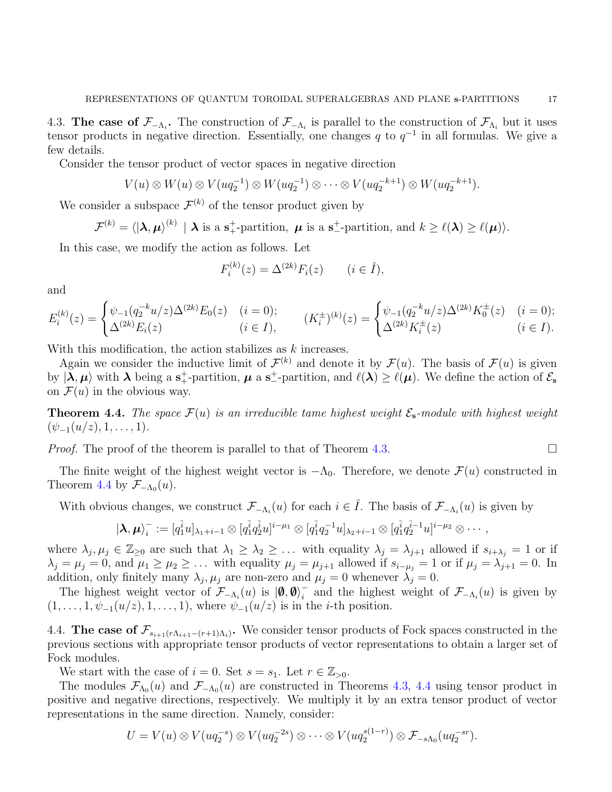4.3. The case of  $\mathcal{F}_{-\Lambda_i}$ . The construction of  $\mathcal{F}_{-\Lambda_i}$  is parallel to the construction of  $\mathcal{F}_{\Lambda_i}$  but it uses tensor products in negative direction. Essentially, one changes q to  $q^{-1}$  in all formulas. We give a few details.

Consider the tensor product of vector spaces in negative direction

$$
V(u) \otimes W(u) \otimes V(uq_2^{-1}) \otimes W(uq_2^{-1}) \otimes \cdots \otimes V(uq_2^{-k+1}) \otimes W(uq_2^{-k+1}).
$$

We consider a subspace  $\mathcal{F}^{(k)}$  of the tensor product given by

$$
\mathcal{F}^{(k)} = \langle | \boldsymbol{\lambda}, \boldsymbol{\mu} \rangle^{(k)} | \boldsymbol{\lambda} \text{ is a s}_+^+\text{-partition}, \boldsymbol{\mu} \text{ is a s}_-^-\text{-partition, and } k \geq \ell(\boldsymbol{\lambda}) \geq \ell(\boldsymbol{\mu}) \rangle.
$$

In this case, we modify the action as follows. Let

$$
F_i^{(k)}(z) = \Delta^{(2k)} F_i(z) \qquad (i \in \hat{I}),
$$

and

$$
E_i^{(k)}(z) = \begin{cases} \psi_{-1}(q_2^{-k}u/z)\Delta^{(2k)}E_0(z) & (i=0);\\ \Delta^{(2k)}E_i(z) & (i \in I), \end{cases} \qquad (K_i^{\pm})^{(k)}(z) = \begin{cases} \psi_{-1}(q_2^{-k}u/z)\Delta^{(2k)}K_0^{\pm}(z) & (i=0);\\ \Delta^{(2k)}K_i^{\pm}(z) & (i \in I). \end{cases}
$$

With this modification, the action stabilizes as k increases.

Again we consider the inductive limit of  $\mathcal{F}^{(k)}$  and denote it by  $\mathcal{F}(u)$ . The basis of  $\mathcal{F}(u)$  is given by  $|\lambda, \mu\rangle$  with  $\lambda$  being a s<sup>+</sup>-partition,  $\mu$  a s<sup>+</sup>-partition, and  $\ell(\lambda) \geq \ell(\mu)$ . We define the action of  $\mathcal{E}_{s}$ on  $\mathcal{F}(u)$  in the obvious way.

<span id="page-16-0"></span>**Theorem 4.4.** The space  $\mathcal{F}(u)$  is an irreducible tame highest weight  $\mathcal{E}_s$ -module with highest weight  $(\psi_{-1}(u/z), 1, \ldots, 1).$ 

*Proof.* The proof of the theorem is parallel to that of Theorem [4.3.](#page-13-1)

The finite weight of the highest weight vector is  $-\Lambda_0$ . Therefore, we denote  $\mathcal{F}(u)$  constructed in Theorem [4.4](#page-16-0) by  $\mathcal{F}_{-\Lambda_0}(u)$ .

With obvious changes, we construct  $\mathcal{F}_{-\Lambda_i}(u)$  for each  $i \in \hat{I}$ . The basis of  $\mathcal{F}_{-\Lambda_i}(u)$  is given by

$$
|{\boldsymbol{\lambda}},{\boldsymbol{\mu}}\rangle_i^-:= [q_1^{\bar{i}}u]_{\lambda_1+i-1}\otimes [q_1^{\bar{i}}q_2^{\bar{i}}u]^{i-\mu_1}\otimes [q_1^{\bar{i}}q_2^{-1}u]_{\lambda_2+i-1}\otimes [q_1^{\bar{i}}q_2^{\bar{i}-1}u]^{i-\mu_2}\otimes\cdots,
$$

where  $\lambda_j, \mu_j \in \mathbb{Z}_{\geq 0}$  are such that  $\lambda_1 \geq \lambda_2 \geq \ldots$  with equality  $\lambda_j = \lambda_{j+1}$  allowed if  $s_{i+\lambda_j} = 1$  or if  $\lambda_j = \mu_j = 0$ , and  $\mu_1 \ge \mu_2 \ge \ldots$  with equality  $\mu_j = \mu_{j+1}$  allowed if  $s_{i-\mu_j} = 1$  or if  $\mu_j = \lambda_{j+1} = 0$ . In addition, only finitely many  $\lambda_j, \mu_j$  are non-zero and  $\mu_j = 0$  whenever  $\lambda_j = 0$ .

The highest weight vector of  $\mathcal{F}_{-\Lambda_i}(u)$  is  $|\phi, \phi\rangle_i^ \bar{i}$  and the highest weight of  $\mathcal{F}_{\Lambda_i}(u)$  is given by  $(1, \ldots, 1, \psi_{-1}(u/z), 1, \ldots, 1)$ , where  $\psi_{-1}(u/z)$  is in the *i*-th position.

<span id="page-16-1"></span>4.4. The case of  $\mathcal{F}_{s_{i+1}(r\Lambda_{i+1}-(r+1)\Lambda_i)}$ . We consider tensor products of Fock spaces constructed in the previous sections with appropriate tensor products of vector representations to obtain a larger set of Fock modules.

We start with the case of  $i = 0$ . Set  $s = s_1$ . Let  $r \in \mathbb{Z}_{>0}$ .

The modules  $\mathcal{F}_{\Lambda_0}(u)$  and  $\mathcal{F}_{-\Lambda_0}(u)$  are constructed in Theorems [4.3,](#page-13-1) [4.4](#page-16-0) using tensor product in positive and negative directions, respectively. We multiply it by an extra tensor product of vector representations in the same direction. Namely, consider:

$$
U = V(u) \otimes V(uq_2^{-s}) \otimes V(uq_2^{-2s}) \otimes \cdots \otimes V(uq_2^{s(1-r)}) \otimes \mathcal{F}_{-s\Lambda_0}(uq_2^{-sr}).
$$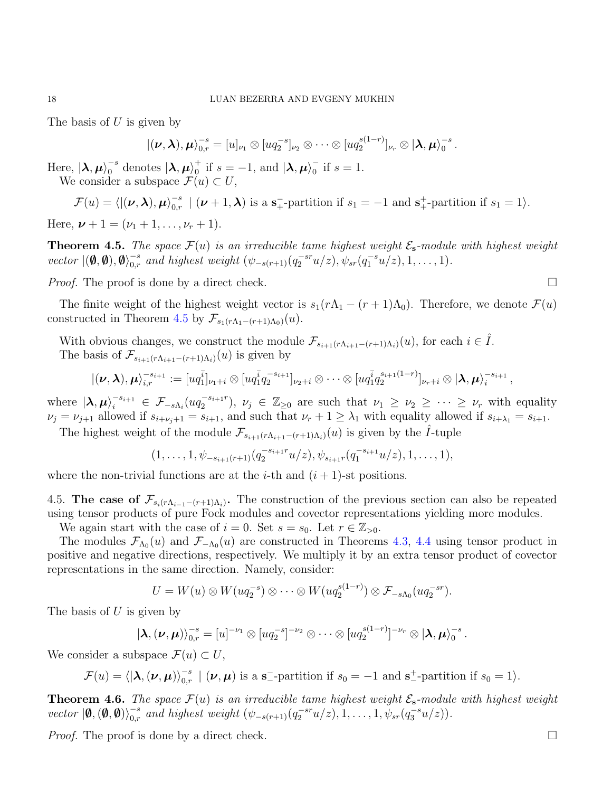The basis of  $U$  is given by

$$
|(\boldsymbol{\nu},\boldsymbol{\lambda}),\boldsymbol{\mu}\rangle_{0,r}^{-s}=[u]_{\nu_1}\otimes [uq_2^{-s}]_{\nu_2}\otimes\cdots\otimes [uq_2^{s(1-r)}]_{\nu_r}\otimes |\boldsymbol{\lambda},\boldsymbol{\mu}\rangle_0^{-s}.
$$

Here,  $|\lambda, \mu\rangle_0^{-s}$  $_0^{-s}$  denotes  $|\boldsymbol\lambda,\boldsymbol\mu\rangle_0^+$  $\frac{1}{0}$  if  $s = -1$ , and  $\ket{\lambda, \mu}_{0}^{-1}$  $_{0}^{-}$  if  $s=1$ . We consider a subspace  $\mathcal{F}(u) \subset U$ ,

$$
\mathcal{F}(u) = \langle |(\boldsymbol{\nu}, \boldsymbol{\lambda}), \boldsymbol{\mu} \rangle_{0,r}^{-s} \mid (\boldsymbol{\nu} + 1, \boldsymbol{\lambda}) \text{ is a s}_+^{-\text{-partition if } s_1 = -1 \text{ and s}_+^-\text{-partition if } s_1 = 1 \rangle.
$$

Here,  $\nu + 1 = (\nu_1 + 1, \ldots, \nu_r + 1).$ 

<span id="page-17-0"></span>**Theorem 4.5.** The space  $\mathcal{F}(u)$  is an irreducible tame highest weight  $\mathcal{E}_{s}$ -module with highest weight vector  $\vert (\boldsymbol{\emptyset}, \boldsymbol{\emptyset}), \boldsymbol{\emptyset} \rangle_{0,r}^{-s}$  and highest weight  $(\psi_{-s(r+1)}(q_2^{-sr}u/z), \psi_{sr}(q_1^{-s}u/z), 1, \ldots, 1)$ .

*Proof.* The proof is done by a direct check.

The finite weight of the highest weight vector is  $s_1(r\Lambda_1 - (r+1)\Lambda_0)$ . Therefore, we denote  $\mathcal{F}(u)$ constructed in Theorem [4.5](#page-17-0) by  $\mathcal{F}_{s_1(r\Lambda_1-(r+1)\Lambda_0)}(u)$ .

With obvious changes, we construct the module  $\mathcal{F}_{s_{i+1}(r\Lambda_{i+1}-(r+1)\Lambda_i)}(u)$ , for each  $i \in \hat{I}$ . The basis of  $\mathcal{F}_{s_{i+1}(r\Lambda_{i+1}-(r+1)\Lambda_i)}(u)$  is given by

$$
|(\nu,\lambda),\mu\rangle_{i,r}^{-s_{i+1}}:=[uq_{1}^{\overline{i}}]_{\nu_1+i}\otimes [uq_{1}^{\overline{i}}q_{2}^{-s_{i+1}}]_{\nu_2+i}\otimes \cdots \otimes [uq_{1}^{\overline{i}}q_{2}^{s_{i+1}(1-r)}]_{\nu_r+i}\otimes |\lambda,\mu\rangle_{i}^{-s_{i+1}},
$$

where  $|\lambda, \mu\rangle_i^{-s_{i+1}} \in \mathcal{F}_{-s\Lambda_i}(uq_2^{-s_{i+1}r})$  $(\mathcal{L}_2^{s_{i+1}r}), \nu_j \in \mathbb{Z}_{\geq 0}$  are such that  $\nu_1 \geq \nu_2 \geq \cdots \geq \nu_r$  with equality  $\nu_j = \nu_{j+1}$  allowed if  $s_{i+\nu_j+1} = s_{i+1}$ , and such that  $\nu_r + 1 \geq \lambda_1$  with equality allowed if  $s_{i+\lambda_1} = s_{i+1}$ .

The highest weight of the module  $\mathcal{F}_{s_{i+1}(r\Lambda_{i+1}-(r+1)\Lambda_i)}(u)$  is given by the  $\hat{I}$ -tuple

$$
(1,\ldots,1,\psi_{-s_{i+1}(r+1)}(q_2^{-s_{i+1}r}u/z),\psi_{s_{i+1}r}(q_1^{-s_{i+1}}u/z),1,\ldots,1),
$$

where the non-trivial functions are at the *i*-th and  $(i + 1)$ -st positions.

4.5. The case of  $\mathcal{F}_{s_i(r\Lambda_{i-1}-(r+1)\Lambda_i)}$ . The construction of the previous section can also be repeated using tensor products of pure Fock modules and covector representations yielding more modules.

We again start with the case of  $i = 0$ . Set  $s = s_0$ . Let  $r \in \mathbb{Z}_{>0}$ .

The modules  $\mathcal{F}_{\Lambda_0}(u)$  and  $\mathcal{F}_{-\Lambda_0}(u)$  are constructed in Theorems [4.3,](#page-13-1) [4.4](#page-16-0) using tensor product in positive and negative directions, respectively. We multiply it by an extra tensor product of covector representations in the same direction. Namely, consider:

$$
U = W(u) \otimes W(uq_2^{-s}) \otimes \cdots \otimes W(uq_2^{s(1-r)}) \otimes \mathcal{F}_{-s\Lambda_0}(uq_2^{-sr}).
$$

The basis of  $U$  is given by

$$
|\boldsymbol{\lambda},(\boldsymbol{\nu},\boldsymbol{\mu})\rangle_{0,r}^{-s}=[u]^{-\nu_1}\otimes [uq_2^{-s}]^{-\nu_2}\otimes\cdots\otimes [uq_2^{s(1-r)}]^{-\nu_r}\otimes |\boldsymbol{\lambda},\boldsymbol{\mu}\rangle_0^{-s}.
$$

We consider a subspace  $\mathcal{F}(u) \subset U$ ,

$$
\mathcal{F}(u) = \langle | \boldsymbol{\lambda}, (\boldsymbol{\nu}, \boldsymbol{\mu}) \rangle_{0,r}^{-s} \mid (\boldsymbol{\nu}, \boldsymbol{\mu}) \text{ is a s--partition if } s_0 = -1 \text{ and s--partition if } s_0 = 1 \rangle.
$$

<span id="page-17-1"></span>**Theorem 4.6.** The space  $\mathcal{F}(u)$  is an irreducible tame highest weight  $\mathcal{E}_{s}$ -module with highest weight vector  $|\mathbf{0}, (\mathbf{0}, \mathbf{0})\rangle_{0,r}^{-s}$  and highest weight  $(\psi_{-s(r+1)}(q_2^{-sr}u/z), 1, \ldots, 1, \psi_{sr}(q_3^{-s}u/z)).$ 

*Proof.* The proof is done by a direct check.  $\square$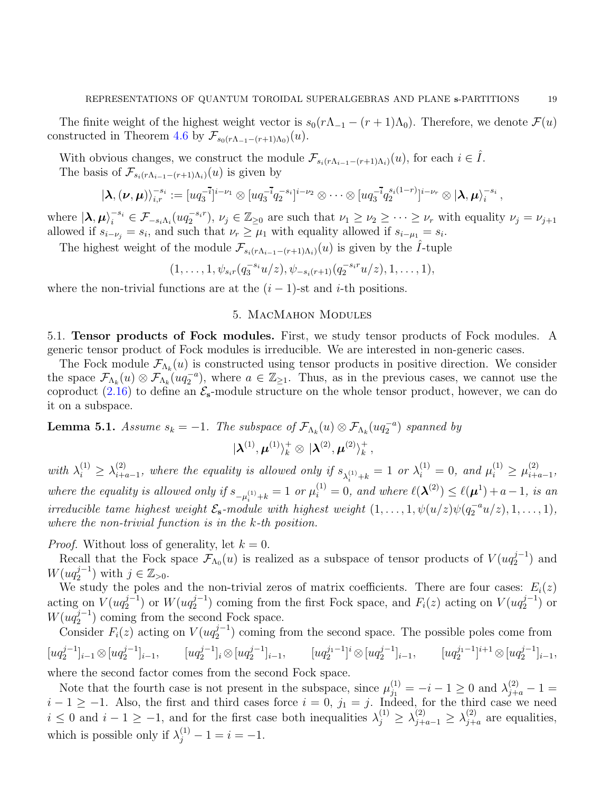The finite weight of the highest weight vector is  $s_0(r\Lambda_{-1} - (r+1)\Lambda_0)$ . Therefore, we denote  $\mathcal{F}(u)$ constructed in Theorem [4.6](#page-17-1) by  $\mathcal{F}_{s_0(r\Lambda_{-1}-(r+1)\Lambda_0)}(u)$ .

With obvious changes, we construct the module  $\mathcal{F}_{s_i(r\Lambda_{i-1}-(r+1)\Lambda_i)}(u)$ , for each  $i \in \hat{I}$ . The basis of  $\mathcal{F}_{s_i(r\Lambda_{i-1}-(r+1)\Lambda_i)}(u)$  is given by

$$
|\lambda,(\nu,\mu)\rangle_{i,r}^{-s_i} := [u q_3^{-\bar{i}}]^{i-\nu_1} \otimes [u q_3^{-\bar{i}} q_2^{-s_i}]^{i-\nu_2} \otimes \cdots \otimes [u q_3^{-\bar{i}} q_2^{s_i(1-r)}]^{i-\nu_r} \otimes |\lambda,\mu\rangle_i^{-s_i},
$$

where  $|\lambda, \mu\rangle_i^{-s_i} \in \mathcal{F}_{-s_i\Lambda_i}(uq_2^{-s_i r}), \nu_j \in \mathbb{Z}_{\geq 0}$  are such that  $\nu_1 \geq \nu_2 \geq \cdots \geq \nu_r$  with equality  $\nu_j = \nu_{j+1}$ allowed if  $s_{i-\nu_j} = s_i$ , and such that  $\nu_r \geq \mu_1$  with equality allowed if  $s_{i-\mu_1} = s_i$ .

The highest weight of the module  $\mathcal{F}_{s_i(r\Lambda_{i-1}-(r+1)\Lambda_i)}(u)$  is given by the *Î*-tuple

$$
(1,\ldots,1,\psi_{s_ir}(q_3^{-s_i}u/z),\psi_{-s_i(r+1)}(q_2^{-s_ir}u/z),1,\ldots,1),
$$

<span id="page-18-0"></span>where the non-trivial functions are at the  $(i - 1)$ -st and i-th positions.

### 5. MacMahon Modules

5.1. Tensor products of Fock modules. First, we study tensor products of Fock modules. A generic tensor product of Fock modules is irreducible. We are interested in non-generic cases.

The Fock module  $\mathcal{F}_{\Lambda_k}(u)$  is constructed using tensor products in positive direction. We consider the space  $\mathcal{F}_{\Lambda_k}(u) \otimes \mathcal{F}_{\Lambda_k}(u q_2^{-a})$ , where  $a \in \mathbb{Z}_{\geq 1}$ . Thus, as in the previous cases, we cannot use the coproduct [\(2.16\)](#page-5-2) to define an  $\mathcal{E}_{s}$ -module structure on the whole tensor product, however, we can do it on a subspace.

<span id="page-18-1"></span>**Lemma 5.1.** Assume  $s_k = -1$ . The subspace of  $\mathcal{F}_{\Lambda_k}(u) \otimes \mathcal{F}_{\Lambda_k}(uq_2^{-a})$  spanned by

$$
|{\boldsymbol{\lambda}}^{(1)},{\boldsymbol{\mu}}^{(1)}\rangle_k^+\otimes|{\boldsymbol{\lambda}}^{(2)},{\boldsymbol{\mu}}^{(2)}\rangle_k^+ \,,
$$

with  $\lambda_i^{(1)} \geq \lambda_{i+i}^{(2)}$ (2)  $\mu_{i+a-1}$ , where the equality is allowed only if  $s_{\lambda_i^{(1)}+k} = 1$  or  $\lambda_i^{(1)} = 0$ , and  $\mu_i^{(1)} \ge \mu_{i+a}^{(2)}$  $\frac{(2)}{i+a-1},$ where the equality is allowed only if  $s_{-\mu_i^{(1)}+k} = 1$  or  $\mu_i^{(1)} = 0$ , and where  $\ell(\lambda^{(2)}) \leq \ell(\mu^1) + a - 1$ , is an irreducible tame highest weight  $\mathcal{E}_{s}$ -module with highest weight  $(1,\ldots,1,\psi(u/z)\psi(q_{2}^{-a}u/z),1,\ldots,1),$ where the non-trivial function is in the k-th position.

*Proof.* Without loss of generality, let  $k = 0$ .

Recall that the Fock space  $\mathcal{F}_{\Lambda_0}(u)$  is realized as a subspace of tensor products of  $V(uq_2^{j-1})$  $i_2^{j-1})$  and  $W(uq_2^{j-1})$  $j^{-1}_{2}$ ) with  $j \in \mathbb{Z}_{>0}$ .

We study the poles and the non-trivial zeros of matrix coefficients. There are four cases:  $E_i(z)$ acting on  $V(uq_2^{j-1})$  $_2^{j-1})$  or  $W(uq_2^{j-1})$  $2^{j-1}$ ) coming from the first Fock space, and  $F_i(z)$  acting on  $V(uq_2^{j-1})$  $i_2^{j-1})$  or  $W(uq_2^{j-1})$  $2^{J-1}$ ) coming from the second Fock space.

Consider  $F_i(z)$  acting on  $V(uq_2^{j-1})$  $2^{j-1}$ ) coming from the second space. The possible poles come from  $\left[uq_2^{j-1}\right]$  $_{2}^{j-1}]_{i-1}\otimes [uq_{2}^{j-1}]$  $\left[uq_2^{j-1}\right]_{i-1}, \qquad \left[uq_2^{j-1}\right]$  $_{2}^{j-1}]_{i}\otimes [uq_{2}^{j-1}]$  $\left[uq_2^{j_1-1}\right]_{i-1}, \qquad \left[uq_2^{j_1-1}\right]$  $\left[ uq_{2}^{j-1}\right]^{i}\otimes\left[ uq_{2}^{j-1}\right]$  $\left[uq_2^{j_1-1}\right]_{i-1}, \qquad \left[uq_2^{j_1-1}\right]$  $_{2}^{j_{1}-1}]^{i+1}\otimes [uq_{2}^{j-1}]$  $\left[\begin{smallmatrix} j & -1 \\ 2 & 1 \end{smallmatrix}\right]_{i-1},$ 

where the second factor comes from the second Fock space.

Note that the fourth case is not present in the subspace, since  $\mu_{j_1}^{(1)} = -i - 1 \ge 0$  and  $\lambda_{j+a}^{(2)} - 1 =$  $i-1 \geq -1$ . Also, the first and third cases force  $i = 0$ ,  $j_1 = j$ . Indeed, for the third case we need  $i \leq 0$  and  $i-1 \geq -1$ , and for the first case both inequalities  $\lambda_j^{(1)} \geq \lambda_{j+a-1}^{(2)} \geq \lambda_{j+1}^{(2)}$  $j+a}^{(2)}$  are equalities, which is possible only if  $\lambda_j^{(1)} - 1 = i = -1$ .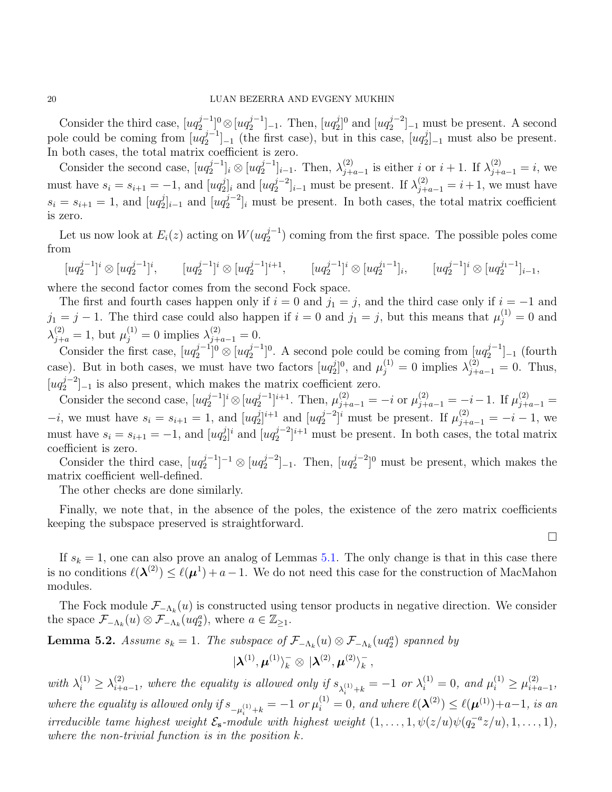Consider the third case,  $[uq_2^{j-1}]$  $_{2}^{j-1}]^{0}\otimes [uq_{2}^{j-1}]$  $\left[\begin{smallmatrix} j-1 \\ 2 \end{smallmatrix}\right]_{-1}$ . Then,  $\left[uq_2^j\right]$  $_{2}^{j}$ ]<sup>0</sup> and  $[ uq_{2}^{j-2} ]$  $\binom{1}{2}$ -1 must be present. A second pole could be coming from  $[uq_2^{j-1}]$  $\left[\begin{matrix}j-1\\2\end{matrix}\right]_{-1}$  (the first case), but in this case,  $\left[uq_2^j\right]$  $2]_{-1}$  must also be present. In both cases, the total matrix coefficient is zero.

Consider the second case,  $[uq_2^{j-1}]$  $_{2}^{j-1}]_i\otimes [uq_{2}^{j-1}]$  $\{\lambda_j^{j-1}\}_{i-1}$ . Then,  $\lambda_{j+1}^{(2)}$  $j_{+a-1}^{(2)}$  is either *i* or *i* + 1. If  $\lambda_{j+a-1}^{(2)} = i$ , we must have  $s_i = s_{i+1} = -1$ , and  $[uq_2^j]$  $_{2}^{j}]_{i}$  and  $\left[ uq_{2}^{j-2}\right]$  $\sum_{i=1}^{j-2}$  must be present. If  $\lambda_{j+a-1}^{(2)} = i+1$ , we must have  $s_i = s_{i+1} = 1$ , and  $[uq_2^j]$  $_{2}^{j}]_{i-1}$  and [ $uq_{2}^{j-2}$  $2^{j-2}$ <sub>i</sub> must be present. In both cases, the total matrix coefficient is zero.

Let us now look at  $E_i(z)$  acting on  $W(uq_2^{j-1})$  $2^{j-1}$ ) coming from the first space. The possible poles come from

 $\left[uq_2^{j-1}\right]$  $_{2}^{j-1}]^i\otimes[uq_{2}^{j-1}]$  $\left[uq_2^{j-1}\right]$ <sup>i</sup>,  $\left[uq_2^{j-1}\right]$  $_{2}^{j-1}]^i\otimes[uq_{2}^{j-1}]$  $\left[uq_2^{j-1}\right]^{i+1}, \qquad \left[uq_2^{j-1}\right]$  $\left[uq_2^{j_1-1}\right]_i, \qquad \left[uq_2^{j-1}\right]_i$  $\left[\begin{matrix}i&\&aq_2^{j_1-1}\\a&\&b\end{matrix}\right]_{i-1},$ 

where the second factor comes from the second Fock space.

The first and fourth cases happen only if  $i = 0$  and  $j_1 = j$ , and the third case only if  $i = -1$  and  $j_1 = j - 1$ . The third case could also happen if  $i = 0$  and  $j_1 = j$ , but this means that  $\mu_j^{(1)} = 0$  and  $\lambda_{j+a}^{(2)} = 1$ , but  $\mu_j^{(1)} = 0$  implies  $\lambda_{j+a-1}^{(2)} = 0$ .

Consider the first case,  $[uq_2^{j-1}]$  $_{2}^{j-1}]^{0}\otimes [uq_{2}^{j-1}]$  $\left[\begin{matrix} 2 & -1 \\ 2 & 0 \end{matrix}\right]$ <sup>0</sup>. A second pole could be coming from  $\left[\begin{matrix} uq_2^j & -1 \\ u & v_2^j \end{matrix}\right]$  $\binom{j-1}{2}_{-1}$  (fourth case). But in both cases, we must have two factors  $[uq_2]$  $\lambda_{j=2}^{(j)}$ , and  $\mu_{j}^{(1)} = 0$  implies  $\lambda_{j+a-1}^{(2)} = 0$ . Thus,  $\left[uq_2^{j-2}\right]$  $\binom{1}{2}$  = 1 is also present, which makes the matrix coefficient zero.

Consider the second case,  $[uq_2^{j-1}]$  $\lfloor \frac{j-1}{2} \rfloor^i \otimes \lfloor uq_2^{j-1} \rfloor$  $[\mu_2^{j-1}]^{i+1}$ . Then,  $\mu_{j+a-1}^{(2)} = -i$  or  $\mu_{j+a-1}^{(2)} = -i-1$ . If  $\mu_{j+a-1}^{(2)} =$  $-i$ , we must have  $s_i = s_{i+1} = 1$ , and  $[uq_2]$  $_{2}^{j}$ <sub>2</sub><sup>i+1</sup> and [ $uq_{2}^{j-2}$  $\mu_2^{j-2}$ <sup>*i*</sup> must be present. If  $\mu_{j+a-1}^{(2)} = -i - 1$ , we must have  $s_i = s_{i+1} = -1$ , and  $[uq_2^j]$  $_{2}^{j}$ ]<sup>*i*</sup> and [ $uq_{2}^{j-2}$  $\binom{j-2}{2}^{i+1}$  must be present. In both cases, the total matrix coefficient is zero.

Consider the third case,  $[uq_2^{j-1}]$  $\lfloor uq_2^{j-1} \rfloor^{-1} \otimes \lfloor uq_2^{j-2} \rfloor$  $\left[\begin{matrix}i-2\\2\end{matrix}\right]_{-1}$ . Then,  $\left[uq_2^{j-2}\right]$  $2^{j-2}$ <sup>0</sup> must be present, which makes the matrix coefficient well-defined.

The other checks are done similarly.

Finally, we note that, in the absence of the poles, the existence of the zero matrix coefficients keeping the subspace preserved is straightforward.

If  $s_k = 1$ , one can also prove an analog of Lemmas [5.1.](#page-18-1) The only change is that in this case there is no conditions  $\ell(\mathbf{\lambda}^{(2)}) \leq \ell(\mathbf{\mu}^1) + a - 1$ . We do not need this case for the construction of MacMahon modules.

The Fock module  $\mathcal{F}_{-\Lambda_k}(u)$  is constructed using tensor products in negative direction. We consider the space  $\mathcal{F}_{-\Lambda_k}(u) \otimes \mathcal{F}_{-\Lambda_k}(uq_2^a)$ , where  $a \in \mathbb{Z}_{\geq 1}$ .

<span id="page-19-0"></span>**Lemma 5.2.** Assume 
$$
s_k = 1
$$
. The subspace of  $\mathcal{F}_{-\Lambda_k}(u) \otimes \mathcal{F}_{-\Lambda_k}(uq_2^a)$  spanned by  $|\lambda^{(1)}, \mu^{(1)}\rangle_k^- \otimes |\lambda^{(2)}, \mu^{(2)}\rangle_k^-$ ,

with  $\lambda_i^{(1)} \geq \lambda_{i+i}^{(2)}$  $\sum_{i+a-1}^{(2)}$ , where the equality is allowed only if  $s_{\lambda_i^{(1)}+k} = -1$  or  $\lambda_i^{(1)} = 0$ , and  $\mu_i^{(1)} \ge \mu_{i+i}^{(2)}$  $\frac{(2)}{i+a-1},$ where the equality is allowed only if  $s_{-\mu_i^{(1)}+k} = -1$  or  $\mu_i^{(1)} = 0$ , and where  $\ell(\lambda^{(2)}) \leq \ell(\mu^{(1)})+a-1$ , is an irreducible tame highest weight  $\mathcal{E}_{s}$ -module with highest weight  $(1,\ldots,1,\psi(z/u)\psi(q_{2}^{-a}z/u),1,\ldots,1),$ where the non-trivial function is in the position  $k$ .

 $\Box$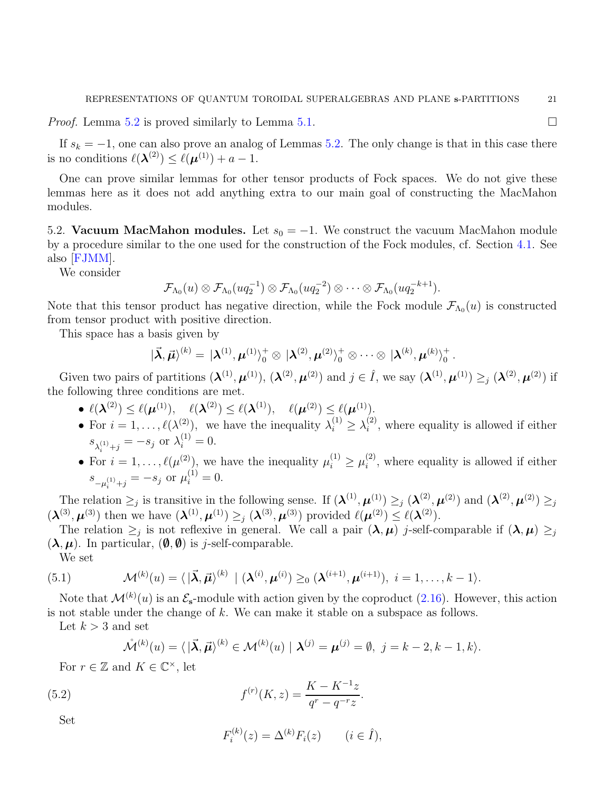*Proof.* Lemma [5.2](#page-19-0) is proved similarly to Lemma [5.1.](#page-18-1)

If  $s_k = -1$ , one can also prove an analog of Lemmas [5.2.](#page-19-0) The only change is that in this case there is no conditions  $\ell(\lambda^{(2)}) \leq \ell(\mu^{(1)}) + a - 1$ .

One can prove similar lemmas for other tensor products of Fock spaces. We do not give these lemmas here as it does not add anything extra to our main goal of constructing the MacMahon modules.

5.2. Vacuum MacMahon modules. Let  $s_0 = -1$ . We construct the vacuum MacMahon module by a procedure similar to the one used for the construction of the Fock modules, cf. Section [4.1.](#page-12-2) See also [\[FJMM\]](#page-41-16).

We consider

$$
\mathcal{F}_{\Lambda_0}(u)\otimes \mathcal{F}_{\Lambda_0}(uq_2^{-1})\otimes \mathcal{F}_{\Lambda_0}(uq_2^{-2})\otimes \cdots \otimes \mathcal{F}_{\Lambda_0}(uq_2^{-k+1}).
$$

Note that this tensor product has negative direction, while the Fock module  $\mathcal{F}_{\Lambda_0}(u)$  is constructed from tensor product with positive direction.

This space has a basis given by

$$
|\vec{\boldsymbol{\lambda}},\vec{\boldsymbol{\mu}}\rangle^{(k)}=|\boldsymbol{\lambda}^{(1)},\boldsymbol{\mu}^{(1)}\rangle_0^+\otimes|\boldsymbol{\lambda}^{(2)},\boldsymbol{\mu}^{(2)}\rangle_0^+\otimes\cdots\otimes|\boldsymbol{\lambda}^{(k)},\boldsymbol{\mu}^{(k)}\rangle_0^+.
$$

Given two pairs of partitions  $(\lambda^{(1)}, \mu^{(1)})$ ,  $(\lambda^{(2)}, \mu^{(2)})$  and  $j \in \hat{I}$ , we say  $(\lambda^{(1)}, \mu^{(1)}) \geq_j (\lambda^{(2)}, \mu^{(2)})$  if the following three conditions are met.

- $\ell(\boldsymbol{\lambda}^{(2)}) \leq \ell(\boldsymbol{\mu}^{(1)}), \quad \ell(\boldsymbol{\lambda}^{(2)}) \leq \ell(\boldsymbol{\lambda}^{(1)}), \quad \ell(\boldsymbol{\mu}^{(2)}) \leq \ell(\boldsymbol{\mu}^{(1)}).$
- For  $i = 1, ..., \ell(\lambda^{(2)})$ , we have the inequality  $\lambda_i^{(1)} \geq \lambda_i^{(2)}$  $i^{(2)}$ , where equality is allowed if either  $s_{\lambda_i^{(1)}+j} = -s_j$  or  $\lambda_i^{(1)} = 0$ .
- For  $i = 1, \ldots, \ell(\mu^{(2)})$ , we have the inequality  $\mu_i^{(1)} \ge \mu_i^{(2)}$  $i^{(2)}$ , where equality is allowed if either  $s_{-\mu_i^{(1)}+j} = -s_j$  or  $\mu_i^{(1)} = 0$ .

The relation  $\geq_j$  is transitive in the following sense. If  $(\lambda^{(1)}, \mu^{(1)}) \geq_j (\lambda^{(2)}, \mu^{(2)})$  and  $(\lambda^{(2)}, \mu^{(2)}) \geq_j$  $(\boldsymbol{\lambda}^{(3)},\boldsymbol{\mu}^{(3)})$  then we have  $(\boldsymbol{\lambda}^{(1)},\boldsymbol{\mu}^{(1)})\geq_j (\boldsymbol{\lambda}^{(3)},\boldsymbol{\mu}^{(3)})$  provided  $\ell(\boldsymbol{\mu}^{(2)})\leq \ell(\boldsymbol{\lambda}^{(2)})$ .

The relation  $\geq_j$  is not reflexive in general. We call a pair  $(\lambda, \mu)$  j-self-comparable if  $(\lambda, \mu) \geq_j$  $(\lambda, \mu)$ . In particular,  $(\emptyset, \emptyset)$  is j-self-comparable.

We set

(5.1) 
$$
\mathcal{M}^{(k)}(u) = \langle |\vec{\boldsymbol{\lambda}}, \vec{\boldsymbol{\mu}}\rangle^{(k)} | (\boldsymbol{\lambda}^{(i)}, \boldsymbol{\mu}^{(i)}) \geq_0 (\boldsymbol{\lambda}^{(i+1)}, \boldsymbol{\mu}^{(i+1)}), i = 1, \ldots, k-1 \rangle.
$$

Note that  $\mathcal{M}^{(k)}(u)$  is an  $\mathcal{E}_{s}$ -module with action given by the coproduct  $(2.16)$ . However, this action is not stable under the change of k. We can make it stable on a subspace as follows.

Let  $k > 3$  and set

<span id="page-20-0"></span>
$$
\mathring{\mathcal{M}}^{(k)}(u) = \langle |\vec{\boldsymbol{\lambda}}, \vec{\boldsymbol{\mu}} \rangle^{(k)} \in \mathcal{M}^{(k)}(u) | \boldsymbol{\lambda}^{(j)} = \boldsymbol{\mu}^{(j)} = \emptyset, \ j = k-2, k-1, k \rangle.
$$

For  $r \in \mathbb{Z}$  and  $K \in \mathbb{C}^{\times}$ , let

<span id="page-20-1"></span>(5.2) 
$$
f^{(r)}(K,z) = \frac{K - K^{-1}z}{q^r - q^{-r}z}.
$$

Set

$$
F_i^{(k)}(z) = \Delta^{(k)} F_i(z) \qquad (i \in \hat{I}),
$$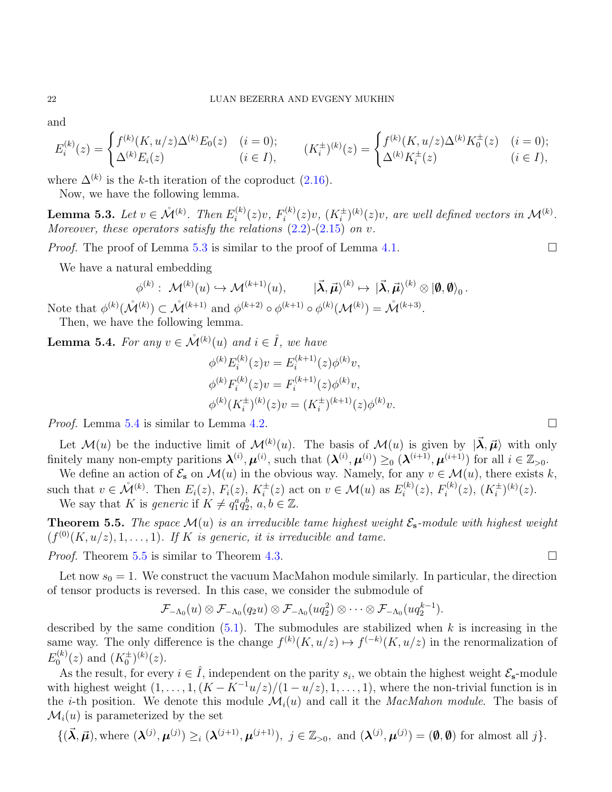and

$$
E_i^{(k)}(z) = \begin{cases} f^{(k)}(K, u/z) \Delta^{(k)} E_0(z) & (i = 0); \\ \Delta^{(k)} E_i(z) & (i \in I), \end{cases} \qquad (K_i^{\pm})^{(k)}(z) = \begin{cases} f^{(k)}(K, u/z) \Delta^{(k)} K_0^{\pm}(z) & (i = 0); \\ \Delta^{(k)} K_i^{\pm}(z) & (i \in I), \end{cases}
$$

where  $\Delta^{(k)}$  is the k-th iteration of the coproduct [\(2.16\)](#page-5-2).

Now, we have the following lemma.

<span id="page-21-0"></span>Lemma 5.3. Let  $v \in \mathring{\mathcal{M}}^{(k)}$ . Then  $E_i^{(k)}$  $f_i^{(k)}(z)v, F_i^{(k)}$  $i^{(k)}(z)v, (K_i^{\pm})^{(k)}(z)v,$  are well defined vectors in  $\mathcal{M}^{(k)}$ . Moreover, these operators satisfy the relations  $(2.2)$ - $(2.15)$  on v.

*Proof.* The proof of Lemma [5.3](#page-21-0) is similar to the proof of Lemma [4.1.](#page-12-1)

We have a natural embedding

$$
\phi^{(k)}:\; {\cal M}^{(k)}(u)\hookrightarrow {\cal M}^{(k+1)}(u),\qquad |\vec{\bm{\lambda}},\vec{\bm{\mu}}\rangle^{(k)}\mapsto\; |\vec{\bm{\lambda}},\vec{\bm{\mu}}\rangle^{(k)}\otimes\ket{\bm{\emptyset},\bm{\emptyset}}_0.
$$

Note that  $\phi^{(k)}(\mathring{M}^{(k)}) \subset \mathring{M}^{(k+1)}$  and  $\phi^{(k+2)} \circ \phi^{(k+1)} \circ \phi^{(k)}(\mathcal{M}^{(k)}) = \mathring{M}^{(k+3)}$ .

Then, we have the following lemma.

<span id="page-21-1"></span>**Lemma 5.4.** For any  $v \in \mathring{\mathcal{M}}^{(k)}(u)$  and  $i \in \hat{I}$ , we have

$$
\phi^{(k)} E_i^{(k)}(z)v = E_i^{(k+1)}(z)\phi^{(k)}v,
$$
  
\n
$$
\phi^{(k)} F_i^{(k)}(z)v = F_i^{(k+1)}(z)\phi^{(k)}v,
$$
  
\n
$$
\phi^{(k)}(K_i^{\pm})^{(k)}(z)v = (K_i^{\pm})^{(k+1)}(z)\phi^{(k)}v.
$$

*Proof.* Lemma [5.4](#page-21-1) is similar to Lemma [4.2.](#page-13-0)

Let  $\mathcal{M}(u)$  be the inductive limit of  $\mathcal{M}^{(k)}(u)$ . The basis of  $\mathcal{M}(u)$  is given by  $|\vec{\lambda}, \vec{\mu}\rangle$  with only finitely many non-empty paritions  $\mathbf{\lambda}^{(i)}$ ,  $\mathbf{\mu}^{(i)}$ , such that  $(\mathbf{\lambda}^{(i)}, \mathbf{\mu}^{(i)}) \geq_0 (\mathbf{\lambda}^{(i+1)}, \mathbf{\mu}^{(i+1)})$  for all  $i \in \mathbb{Z}_{>0}$ .

We define an action of  $\mathcal{E}_s$  on  $\mathcal{M}(u)$  in the obvious way. Namely, for any  $v \in \mathcal{M}(u)$ , there exists k, such that  $v \in \mathring{\mathcal{M}}^{(k)}$ . Then  $E_i(z)$ ,  $F_i(z)$ ,  $K_i^{\pm}(z)$  act on  $v \in \mathcal{M}(u)$  as  $E_i^{(k)}$  $f_i^{(k)}(z), F_i^{(k)}$  $i^{(k)}(z)$ ,  $(K_i^{\pm})^{(k)}(z)$ . We say that K is generic if  $K \neq q_1^a q_2^b, a, b \in \mathbb{Z}$ .

<span id="page-21-2"></span>**Theorem 5.5.** The space  $\mathcal{M}(u)$  is an irreducible tame highest weight  $\mathcal{E}_{s}$ -module with highest weight  $(f^{(0)}(K, u/z), 1, \ldots, 1)$ . If K is generic, it is irreducible and tame.

*Proof.* Theorem [5.5](#page-21-2) is similar to Theorem [4.3.](#page-13-1)

Let now  $s_0 = 1$ . We construct the vacuum MacMahon module similarly. In particular, the direction of tensor products is reversed. In this case, we consider the submodule of

$$
\mathcal{F}_{-\Lambda_0}(u)\otimes \mathcal{F}_{-\Lambda_0}(q_2u)\otimes \mathcal{F}_{-\Lambda_0}(uq_2^2)\otimes \cdots \otimes \mathcal{F}_{-\Lambda_0}(uq_2^{k-1}).
$$

described by the same condition  $(5.1)$ . The submodules are stabilized when k is increasing in the same way. The only difference is the change  $f^{(k)}(K, u/z) \mapsto f^{(-k)}(K, u/z)$  in the renormalization of  $E_0^{(k)}$  $\binom{k}{0}(z)$  and  $(K_0^{\pm})^{(k)}(z)$ .

As the result, for every  $i \in \hat{I}$ , independent on the parity  $s_i$ , we obtain the highest weight  $\mathcal{E}_{s}$ -module with highest weight  $(1, \ldots, 1, (K - K^{-1}u/z)/(1 - u/z), 1, \ldots, 1)$ , where the non-trivial function is in the *i*-th position. We denote this module  $\mathcal{M}_i(u)$  and call it the *MacMahon module*. The basis of  $\mathcal{M}_i(u)$  is parameterized by the set

$$
\{(\vec{\boldsymbol{\lambda}},\vec{\boldsymbol{\mu}}),\text{where }(\boldsymbol{\lambda}^{(j)},\boldsymbol{\mu}^{(j)})\geq_i(\boldsymbol{\lambda}^{(j+1)},\boldsymbol{\mu}^{(j+1)}),\ j\in\mathbb{Z}_{>0},\text{ and }(\boldsymbol{\lambda}^{(j)},\boldsymbol{\mu}^{(j)})=(\boldsymbol{\emptyset},\boldsymbol{\emptyset})\text{ for almost all }j\}.
$$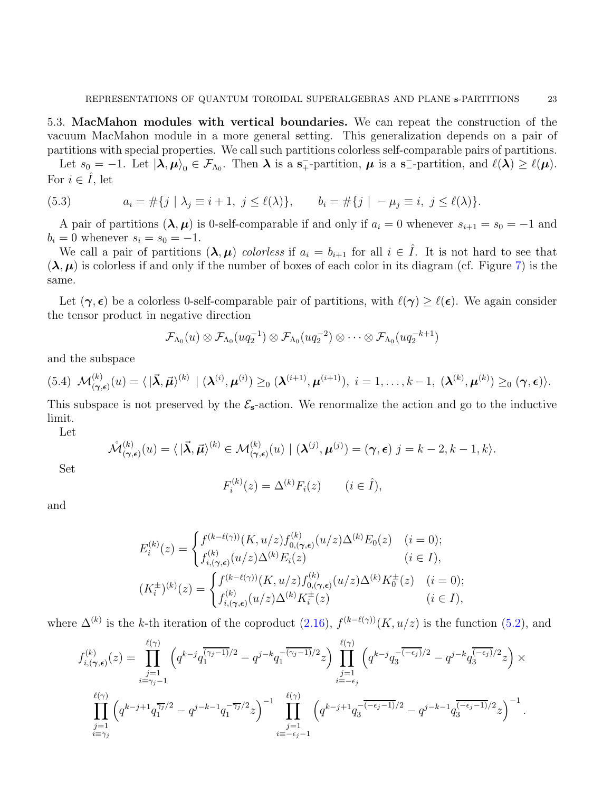5.3. MacMahon modules with vertical boundaries. We can repeat the construction of the vacuum MacMahon module in a more general setting. This generalization depends on a pair of partitions with special properties. We call such partitions colorless self-comparable pairs of partitions.

Let  $s_0 = -1$ . Let  $|\lambda, \mu\rangle_0 \in \mathcal{F}_{\Lambda_0}$ . Then  $\lambda$  is a  $s_+$ -partition,  $\mu$  is a  $s_-$ -partition, and  $\ell(\lambda) \geq \ell(\mu)$ . For  $i \in \hat{I}$ , let

<span id="page-22-0"></span>(5.3) 
$$
a_i = \#\{j \mid \lambda_j \equiv i+1, j \leq \ell(\lambda)\}, \qquad b_i = \#\{j \mid -\mu_j \equiv i, j \leq \ell(\lambda)\}.
$$

A pair of partitions  $(\lambda, \mu)$  is 0-self-comparable if and only if  $a_i = 0$  whenever  $s_{i+1} = s_0 = -1$  and  $b_i = 0$  whenever  $s_i = s_0 = -1$ .

We call a pair of partitions  $(\lambda, \mu)$  colorless if  $a_i = b_{i+1}$  for all  $i \in \hat{I}$ . It is not hard to see that  $(\lambda, \mu)$  is colorless if and only if the number of boxes of each color in its diagram (cf. Figure [7\)](#page-29-0) is the same.

Let  $(\gamma, \epsilon)$  be a colorless 0-self-comparable pair of partitions, with  $\ell(\gamma) \geq \ell(\epsilon)$ . We again consider the tensor product in negative direction

$$
\mathcal{F}_{\Lambda_0}(u)\otimes \mathcal{F}_{\Lambda_0}(uq_2^{-1})\otimes \mathcal{F}_{\Lambda_0}(uq_2^{-2})\otimes \cdots \otimes \mathcal{F}_{\Lambda_0}(uq_2^{-k+1})
$$

and the subspace

$$
(5.4) \mathcal{M}_{(\boldsymbol{\gamma},\boldsymbol{\epsilon})}^{(k)}(u) = \langle |\vec{\boldsymbol{\lambda}},\vec{\boldsymbol{\mu}}\rangle^{(k)} \mid (\boldsymbol{\lambda}^{(i)},\boldsymbol{\mu}^{(i)}) \geq_0 (\boldsymbol{\lambda}^{(i+1)},\boldsymbol{\mu}^{(i+1)}), i = 1,\ldots,k-1, (\boldsymbol{\lambda}^{(k)},\boldsymbol{\mu}^{(k)}) \geq_0 (\boldsymbol{\gamma},\boldsymbol{\epsilon})\rangle.
$$

This subspace is not preserved by the  $\mathcal{E}_{s}$ -action. We renormalize the action and go to the inductive limit.

Let

$$
\mathring{\mathcal{M}}_{(\gamma,\epsilon)}^{(k)}(u) = \langle |\vec{\boldsymbol{\lambda}},\vec{\boldsymbol{\mu}}\rangle^{(k)} \in \mathcal{M}_{(\gamma,\epsilon)}^{(k)}(u) \mid (\boldsymbol{\lambda}^{(j)},\boldsymbol{\mu}^{(j)}) = (\gamma,\epsilon) \; j = k-2, k-1, k \rangle.
$$

Set

$$
F_i^{(k)}(z) = \Delta^{(k)} F_i(z) \qquad (i \in \hat{I}),
$$

and

$$
E_i^{(k)}(z) = \begin{cases} f^{(k-\ell(\gamma))}(K, u/z) f_{0,(\gamma,\epsilon)}^{(k)}(u/z) \Delta^{(k)} E_0(z) & (i = 0);\\ f_{i,(\gamma,\epsilon)}^{(k)}(u/z) \Delta^{(k)} E_i(z) & (i \in I),\\ (K_i^{\pm})^{(k)}(z) = \begin{cases} f^{(k-\ell(\gamma))}(K, u/z) f_{0,(\gamma,\epsilon)}^{(k)}(u/z) \Delta^{(k)} K_0^{\pm}(z) & (i = 0);\\ f_{i,(\gamma,\epsilon)}^{(k)}(u/z) \Delta^{(k)} K_i^{\pm}(z) & (i \in I), \end{cases}
$$

where  $\Delta^{(k)}$  is the k-th iteration of the coproduct  $(2.16)$ ,  $f^{(k-\ell(\gamma))}(K, u/z)$  is the function  $(5.2)$ , and

$$
f_{i,(\gamma,\epsilon)}^{(k)}(z) = \prod_{\substack{j=1 \ i \equiv \gamma_j-1}}^{\ell(\gamma)} \left( q^{k-j} q_1^{\overline{(\gamma_j-1)}/2} - q^{j-k} q_1^{-\overline{(\gamma_j-1)}/2} z \right) \prod_{\substack{j=1 \ i \equiv -\epsilon_j}}^{\ell(\gamma)} \left( q^{k-j} q_3^{-\overline{(-\epsilon_j)}/2} - q^{j-k} q_3^{\overline{(-\epsilon_j)}/2} z \right) \times \prod_{\substack{j=1 \ i \equiv -\epsilon_j}}^{\ell(\gamma)} \left( q^{k-j+1} q_1^{\overline{\gamma_j}/2} - q^{j-k-1} q_1^{-\overline{\gamma_j}/2} z \right)^{-1} \prod_{\substack{j=1 \ i \equiv -\epsilon_j-1}}^{\ell(\gamma)} \left( q^{k-j+1} q_3^{-\overline{(-\epsilon_j-1)}/2} - q^{j-k-1} q_3^{\overline{(-\epsilon_j-1)}/2} z \right)^{-1}.
$$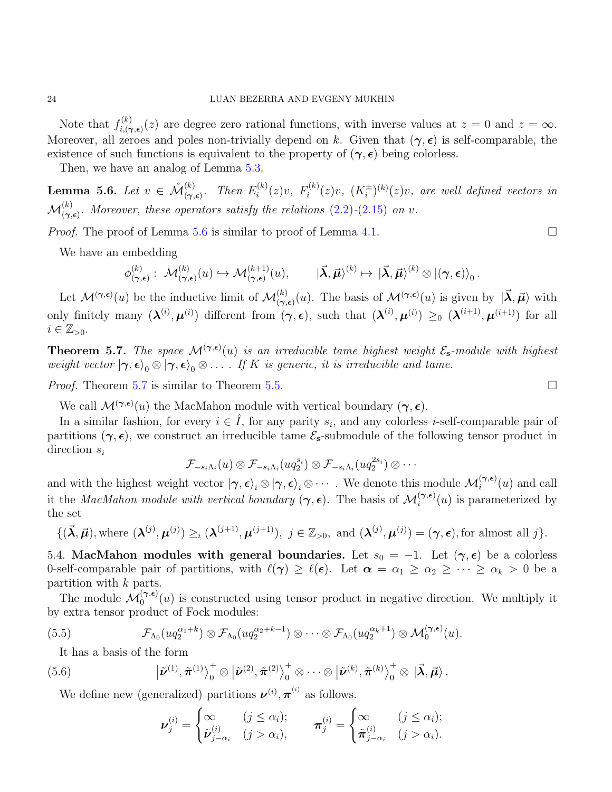Note that  $f_{i}^{(k)}$  $i_{i,(\gamma,\epsilon)}^{(\kappa)}(z)$  are degree zero rational functions, with inverse values at  $z=0$  and  $z=\infty$ . Moreover, all zeroes and poles non-trivially depend on k. Given that  $(\gamma, \epsilon)$  is self-comparable, the existence of such functions is equivalent to the property of  $(\gamma, \epsilon)$  being colorless.

Then, we have an analog of Lemma  $5.3$ .

<span id="page-23-0"></span>**Lemma 5.6.** Let  $v \in \mathcal{M}_{(\gamma,\epsilon)}^{(k)}$ . Then  $E_i^{(k)}$  $f_i^{(k)}(z)v, F_i^{(k)}$  $\tilde{g}_i^{(k)}(z)v, (K_i^{\pm})^{(k)}(z)v,$  are well defined vectors in  $\mathcal{M}^{(k)}_{(\gamma,\epsilon)}$ . Moreover, these operators satisfy the relations [\(2.2\)](#page-4-0)-[\(2.15\)](#page-5-0) on v.

*Proof.* The proof of Lemma [5.6](#page-23-0) is similar to proof of Lemma [4.1.](#page-12-1)

We have an embedding

$$
\phi^{(k)}_{(\gamma,\epsilon)}: \ \mathcal{M}^{(k)}_{(\gamma,\epsilon)}(u) \hookrightarrow \mathcal{M}^{(k+1)}_{(\gamma,\epsilon)}(u), \qquad |\vec{\pmb{\lambda}},\vec{\pmb{\mu}}\rangle^{(k)} \mapsto |\vec{\pmb{\lambda}},\vec{\pmb{\mu}}\rangle^{(k)} \otimes |(\gamma,\epsilon)\rangle_0 \, .
$$

Let  $\mathcal{M}^{(\gamma,\epsilon)}(u)$  be the inductive limit of  $\mathcal{M}^{(k)}_{(\gamma,\epsilon)}(u)$ . The basis of  $\mathcal{M}^{(\gamma,\epsilon)}(u)$  is given by  $|\vec{\lambda}, \vec{\mu}\rangle$  with only finitely many  $(\lambda^{(i)}, \mu^{(i)})$  different from  $(\gamma, \epsilon)$ , such that  $(\lambda^{(i)}, \mu^{(i)}) \geq_0 (\lambda^{(i+1)}, \mu^{(i+1)})$  for all  $i \in \mathbb{Z}_{>0}$ .

<span id="page-23-1"></span>**Theorem 5.7.** The space  $\mathcal{M}^{(\gamma,\epsilon)}(u)$  is an irreducible tame highest weight  $\mathcal{E}_{s}$ -module with highest weight vector  $|\gamma, \epsilon\rangle_0 \otimes |\gamma, \epsilon\rangle_0 \otimes \ldots$  If K is generic, it is irreducible and tame.

*Proof.* Theorem [5.7](#page-23-1) is similar to Theorem [5.5.](#page-21-2)

We call  $\mathcal{M}^{(\gamma,\epsilon)}(u)$  the MacMahon module with vertical boundary  $(\gamma,\epsilon)$ .

In a similar fashion, for every  $i \in \hat{I}$ , for any parity  $s_i$ , and any colorless *i*-self-comparable pair of partitions  $(\gamma, \epsilon)$ , we construct an irreducible tame  $\mathcal{E}_{s}$ -submodule of the following tensor product in direction  $s_i$ 

$$
\mathcal{F}_{-s_i\Lambda_i}(u)\otimes \mathcal{F}_{-s_i\Lambda_i}(uq_2^{s_i})\otimes \mathcal{F}_{-s_i\Lambda_i}(uq_2^{2s_i})\otimes\cdots
$$

and with the highest weight vector  $|\gamma, \epsilon\rangle_i \otimes |\gamma, \epsilon\rangle_i \otimes \cdots$  . We denote this module  $\mathcal{M}_i^{(\gamma, \epsilon)}(u)$  and call it the MacMahon module with vertical boundary  $(\gamma, \epsilon)$ . The basis of  $\mathcal{M}_i^{(\gamma, \epsilon)}(u)$  is parameterized by the set

$$
\{(\vec{\boldsymbol{\lambda}},\vec{\boldsymbol{\mu}}),\text{where }(\boldsymbol{\lambda}^{(j)},\boldsymbol{\mu}^{(j)})\geq_i(\boldsymbol{\lambda}^{(j+1)},\boldsymbol{\mu}^{(j+1)}),\ j\in\mathbb{Z}_{>0},\text{ and }(\boldsymbol{\lambda}^{(j)},\boldsymbol{\mu}^{(j)})=(\boldsymbol{\gamma},\boldsymbol{\epsilon}),\text{for almost all }j\}.
$$

5.4. MacMahon modules with general boundaries. Let  $s_0 = -1$ . Let  $(\gamma, \epsilon)$  be a colorless 0-self-comparable pair of partitions, with  $\ell(\gamma) \geq \ell(\epsilon)$ . Let  $\alpha = \alpha_1 \geq \alpha_2 \geq \cdots \geq \alpha_k > 0$  be a partition with k parts.

The module  $\mathcal{M}_0^{(\gamma,\epsilon)}(u)$  is constructed using tensor product in negative direction. We multiply it by extra tensor product of Fock modules:

<span id="page-23-2"></span>(5.5) 
$$
\mathcal{F}_{\Lambda_0}(uq_2^{\alpha_1+k}) \otimes \mathcal{F}_{\Lambda_0}(uq_2^{\alpha_2+k-1}) \otimes \cdots \otimes \mathcal{F}_{\Lambda_0}(uq_2^{\alpha_k+1}) \otimes \mathcal{M}_0^{(\gamma,\epsilon)}(u).
$$

It has a basis of the form

<span id="page-23-3"></span>(5.6) 
$$
\left|\tilde{\boldsymbol{\nu}}^{(1)}, \tilde{\boldsymbol{\pi}}^{(1)}\right\rangle_0^+ \otimes \left|\tilde{\boldsymbol{\nu}}^{(2)}, \tilde{\boldsymbol{\pi}}^{(2)}\right\rangle_0^+ \otimes \cdots \otimes \left|\tilde{\boldsymbol{\nu}}^{(k)}, \tilde{\boldsymbol{\pi}}^{(k)}\right\rangle_0^+ \otimes \left|\vec{\boldsymbol{\lambda}}, \vec{\boldsymbol{\mu}}\right\rangle.
$$

We define new (generalized) partitions  $\nu^{(i)}$ ,  $\pi^{(i)}$  as follows.

$$
\nu_j^{(i)} = \begin{cases} \infty & (j \leq \alpha_i); \\ \tilde{\nu}_{j-\alpha_i}^{(i)} & (j > \alpha_i), \end{cases} \qquad \pi_j^{(i)} = \begin{cases} \infty & (j \leq \alpha_i); \\ \tilde{\pi}_{j-\alpha_i}^{(i)} & (j > \alpha_i). \end{cases}
$$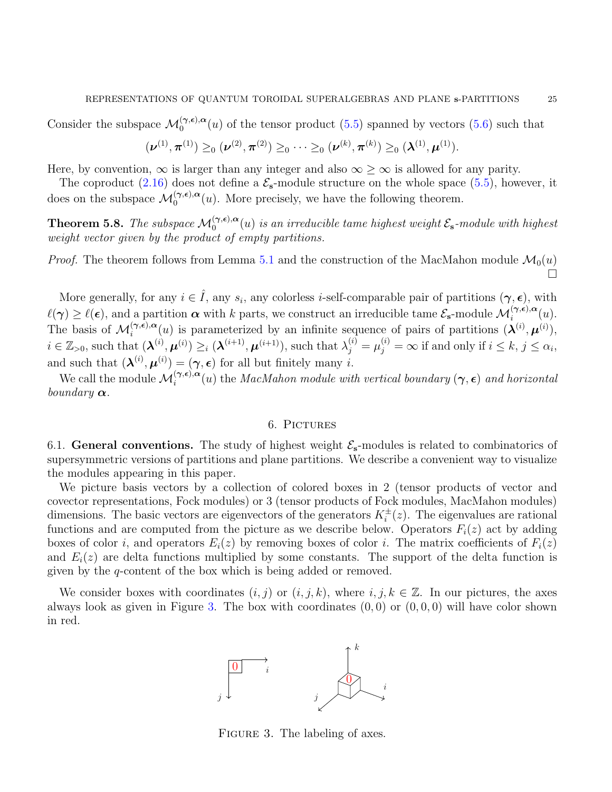Consider the subspace  $\mathcal{M}_0^{(\gamma,\epsilon),\alpha}(u)$  of the tensor product [\(5.5\)](#page-23-2) spanned by vectors [\(5.6\)](#page-23-3) such that

$$
(\boldsymbol{\nu}^{(1)}, \boldsymbol{\pi}^{(1)}) \geq_0 (\boldsymbol{\nu}^{(2)}, \boldsymbol{\pi}^{(2)}) \geq_0 \cdots \geq_0 (\boldsymbol{\nu}^{(k)}, \boldsymbol{\pi}^{(k)}) \geq_0 (\boldsymbol{\lambda}^{(1)}, \boldsymbol{\mu}^{(1)}).
$$

Here, by convention,  $\infty$  is larger than any integer and also  $\infty \geq \infty$  is allowed for any parity.

The coproduct [\(2.16\)](#page-5-2) does not define a  $\mathcal{E}_{s}$ -module structure on the whole space [\(5.5\)](#page-23-2), however, it does on the subspace  $\mathcal{M}_0^{(\gamma,\epsilon),\alpha}(u)$ . More precisely, we have the following theorem.

<span id="page-24-2"></span>**Theorem 5.8.** The subspace  $\mathcal{M}_0^{(\gamma,\epsilon),\alpha}(u)$  is an irreducible tame highest weight  $\mathcal{E}_s$ -module with highest weight vector given by the product of empty partitions.

*Proof.* The theorem follows from Lemma [5.1](#page-18-1) and the construction of the MacMahon module  $\mathcal{M}_0(u)$  $\Box$ 

More generally, for any  $i \in \hat{I}$ , any  $s_i$ , any colorless *i*-self-comparable pair of partitions  $(\gamma, \epsilon)$ , with  $\ell(\gamma) \geq \ell(\epsilon)$ , and a partition  $\alpha$  with k parts, we construct an irreducible tame  $\mathcal{E}_{s}$ -module  $\mathcal{M}_{i}^{(\gamma,\epsilon),\alpha}(u)$ . The basis of  $\mathcal{M}_i^{(\gamma,\epsilon),\alpha}(u)$  is parameterized by an infinite sequence of pairs of partitions  $(\lambda^{(i)},\mu^{(i)}),$  $i \in \mathbb{Z}_{>0}$ , such that  $(\boldsymbol{\lambda}^{(i)}, \boldsymbol{\mu}^{(i)}) \geq_i (\boldsymbol{\lambda}^{(i+1)}, \boldsymbol{\mu}^{(i+1)}),$  such that  $\lambda_j^{(i)} = \mu_j^{(i)} = \infty$  if and only if  $i \leq k, j \leq \alpha_i$ , and such that  $(\mathbf{\lambda}^{(i)}, \mathbf{\mu}^{(i)}) = (\gamma, \epsilon)$  for all but finitely many *i*.

We call the module  $\mathcal{M}_i^{(\gamma,\epsilon),\alpha}(u)$  the *MacMahon module with vertical boundary*  $(\gamma,\epsilon)$  *and horizontal* boundary  $\alpha$ .

### 6. PICTURES

<span id="page-24-0"></span>6.1. General conventions. The study of highest weight  $\mathcal{E}_{s}$ -modules is related to combinatorics of supersymmetric versions of partitions and plane partitions. We describe a convenient way to visualize the modules appearing in this paper.

We picture basis vectors by a collection of colored boxes in 2 (tensor products of vector and covector representations, Fock modules) or 3 (tensor products of Fock modules, MacMahon modules) dimensions. The basic vectors are eigenvectors of the generators  $K_i^{\pm}(z)$ . The eigenvalues are rational functions and are computed from the picture as we describe below. Operators  $F_i(z)$  act by adding boxes of color i, and operators  $E_i(z)$  by removing boxes of color i. The matrix coefficients of  $F_i(z)$ and  $E_i(z)$  are delta functions multiplied by some constants. The support of the delta function is given by the q-content of the box which is being added or removed.

We consider boxes with coordinates  $(i, j)$  or  $(i, j, k)$ , where  $i, j, k \in \mathbb{Z}$ . In our pictures, the axes always look as given in Figure [3.](#page-24-1) The box with coordinates  $(0, 0)$  or  $(0, 0, 0)$  will have color shown in red.



<span id="page-24-1"></span>FIGURE 3. The labeling of axes.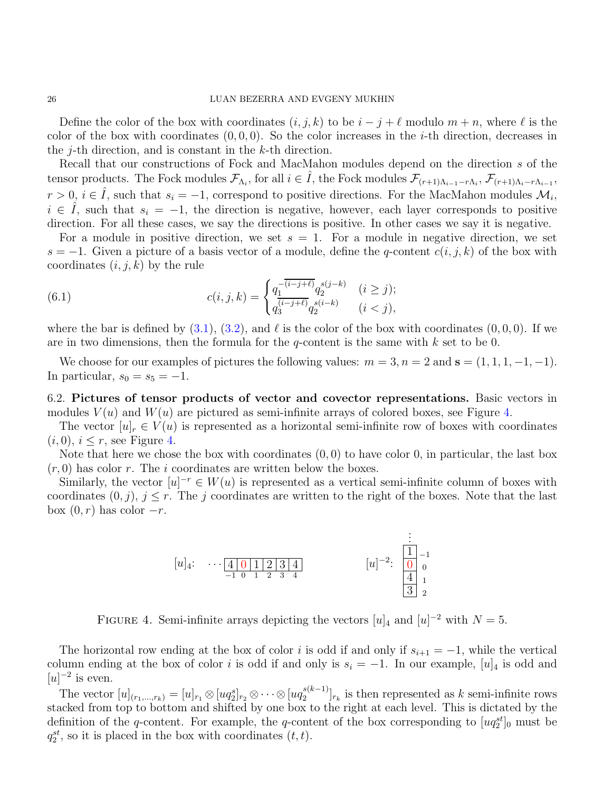Define the color of the box with coordinates  $(i, j, k)$  to be  $i - j + \ell$  modulo  $m + n$ , where  $\ell$  is the color of the box with coordinates  $(0, 0, 0)$ . So the color increases in the *i*-th direction, decreases in the  $j$ -th direction, and is constant in the  $k$ -th direction.

Recall that our constructions of Fock and MacMahon modules depend on the direction s of the tensor products. The Fock modules  $\mathcal{F}_{\Lambda_i}$ , for all  $i \in \hat{I}$ , the Fock modules  $\mathcal{F}_{(r+1)\Lambda_{i-1}-r\Lambda_i}$ ,  $\mathcal{F}_{(r+1)\Lambda_i-r\Lambda_{i-1}}$ ,  $r > 0$ ,  $i \in \hat{I}$ , such that  $s_i = -1$ , correspond to positive directions. For the MacMahon modules  $\mathcal{M}_i$ ,  $i \in I$ , such that  $s_i = -1$ , the direction is negative, however, each layer corresponds to positive direction. For all these cases, we say the directions is positive. In other cases we say it is negative.

For a module in positive direction, we set  $s = 1$ . For a module in negative direction, we set  $s = -1$ . Given a picture of a basis vector of a module, define the q-content  $c(i, j, k)$  of the box with coordinates  $(i, j, k)$  by the rule

<span id="page-25-2"></span>(6.1) 
$$
c(i,j,k) = \begin{cases} q_1^{-(i-j+\ell)} q_2^{s(j-k)} & (i \ge j); \\ q_3^{(i-j+\ell)} q_2^{s(i-k)} & (i < j), \end{cases}
$$

where the bar is defined by  $(3.1)$ ,  $(3.2)$ , and  $\ell$  is the color of the box with coordinates  $(0, 0, 0)$ . If we are in two dimensions, then the formula for the q-content is the same with  $k$  set to be 0.

We choose for our examples of pictures the following values:  $m = 3, n = 2$  and  $\mathbf{s} = (1, 1, 1, -1, -1)$ . In particular,  $s_0 = s_5 = -1$ .

<span id="page-25-1"></span>6.2. Pictures of tensor products of vector and covector representations. Basic vectors in modules  $V(u)$  and  $W(u)$  are pictured as semi-infinite arrays of colored boxes, see Figure [4.](#page-25-0)

The vector  $[u]_r \in V(u)$  is represented as a horizontal semi-infinite row of boxes with coordinates  $(i, 0), i \leq r$ , see Figure [4.](#page-25-0)

Note that here we chose the box with coordinates  $(0,0)$  to have color 0, in particular, the last box  $(r, 0)$  has color r. The i coordinates are written below the boxes.

Similarly, the vector  $[u]^{-r} \in W(u)$  is represented as a vertical semi-infinite column of boxes with coordinates  $(0, j)$ ,  $j \leq r$ . The j coordinates are written to the right of the boxes. Note that the last box  $(0, r)$  has color  $-r$ .



<span id="page-25-0"></span>FIGURE 4. Semi-infinite arrays depicting the vectors  $[u]_4$  and  $[u]^{-2}$  with  $N = 5$ .

The horizontal row ending at the box of color i is odd if and only if  $s_{i+1} = -1$ , while the vertical column ending at the box of color i is odd if and only is  $s_i = -1$ . In our example,  $[u]_4$  is odd and  $[u]^{-2}$  is even.

The vector  $[u]_{(r_1,...,r_k)} = [u]_{r_1} \otimes [uq_2^{s}]_{r_2} \otimes \cdots \otimes [uq_2^{s(k-1)}]$  $\binom{s(k-1)}{2}r_k$  is then represented as k semi-infinite rows stacked from top to bottom and shifted by one box to the right at each level. This is dictated by the definition of the q-content. For example, the q-content of the box corresponding to  $[uq_2^{st}]_0$  must be  $q_2^{st}$ , so it is placed in the box with coordinates  $(t, t)$ .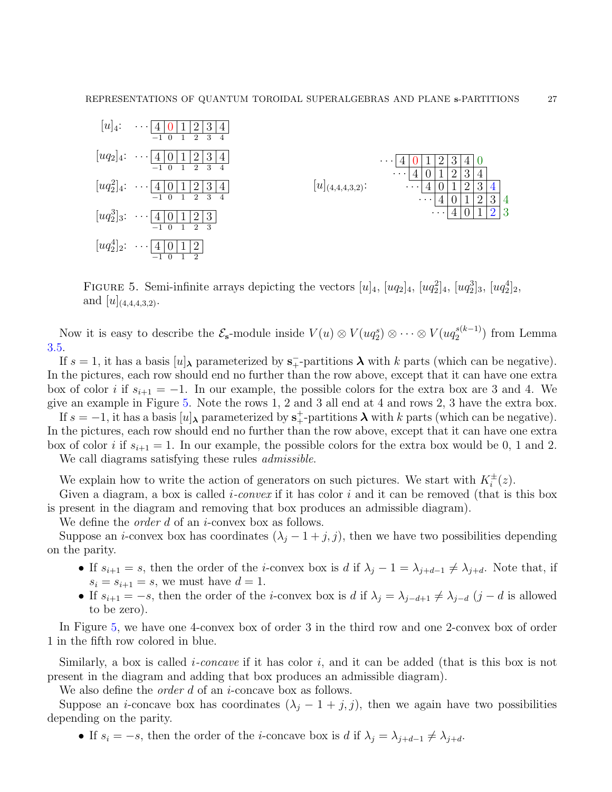| $ u _4$ :                  | $\overline{2}$<br> 3 <br>4<br>$\vert$ 0 $\vert$<br>$\left 4\right $<br>$\cdots$<br>3<br>$\mathcal{D}$<br>$-1\quad0$<br>$\mathbf{1}$<br>4 |                       |                                                                                                                                                                |
|----------------------------|------------------------------------------------------------------------------------------------------------------------------------------|-----------------------|----------------------------------------------------------------------------------------------------------------------------------------------------------------|
| $\lfloor uq_2 \rfloor_4$ : | $2\vert$<br>3 4<br>$\cdots$ [4   0   1  <br>3<br>$-1\quad$<br>$\mathcal{D}_{\mathcal{L}}$<br>$\overline{1}$                              |                       | $\overline{2}$<br>3<br>U<br>$\cdots$<br>$\perp$<br>4<br>$\mathbf 4$                                                                                            |
|                            | $[uq_2^2]_4$ : $\cdots$ 4 0 1<br>$\left 2\right $<br>3 4                                                                                 | $[u]_{(4,4,4,3,2)}$ : | 3<br>$\overline{2}$<br>4<br>$\sim$ $\sim$ $\sim$<br>$\mathbf +$<br>2<br>3<br>$\mathbf{1}$<br>$\theta$<br>4<br>$\left 4\right $<br>$\cdots$                     |
|                            | 3<br>$-1 \ 0$<br>$\mathcal{D}$<br>$[uq_2^3]_3$ : $\cdots$ 4 0 1 2 3<br>$-1$ 0 1<br>$\overline{2}$<br>$\overline{\phantom{a}3}$           |                       | 3<br>$\overline{2}$<br>$\mathbf{1}$<br>$\theta$<br>$\overline{4}$<br>4<br>$\cdots$<br>$\mathbf{1}$<br>2 <sub>1</sub><br>$\Omega$<br>$\overline{3}$<br>$\cdots$ |
| $[uq_2^4]_2$ :             | $\overline{2}$<br>0 <sup> 1</sup><br>$ \cdots $ 4<br>$\overline{2}$<br>$-1$<br>$\Omega$                                                  |                       |                                                                                                                                                                |

<span id="page-26-0"></span>FIGURE 5. Semi-infinite arrays depicting the vectors  $[u]_4$ ,  $[uq_2]_4$ ,  $[uq_2^2]_4$ ,  $[uq_2^3]_3$ ,  $[uq_2^4]_2$ , and  $[u]_{(4,4,4,3,2)}$ .

Now it is easy to describe the  $\mathcal{E}_{s}$ -module inside  $V(u) \otimes V(uq_{2}^{s}) \otimes \cdots \otimes V(uq_{2}^{s(k-1)})$  $2^{s(\kappa-1)}$  from Lemma [3.5.](#page-9-1)

If  $s = 1$ , it has a basis  $[u]_{\lambda}$  parameterized by  $s_{+}^{-}$ -partitions  $\lambda$  with k parts (which can be negative). In the pictures, each row should end no further than the row above, except that it can have one extra box of color i if  $s_{i+1} = -1$ . In our example, the possible colors for the extra box are 3 and 4. We give an example in Figure [5.](#page-26-0) Note the rows 1, 2 and 3 all end at 4 and rows 2, 3 have the extra box.

If  $s = -1$ , it has a basis  $[u]$ <sub>λ</sub> parameterized by  $s^+$ -partitions  $\lambda$  with k parts (which can be negative). In the pictures, each row should end no further than the row above, except that it can have one extra box of color i if  $s_{i+1} = 1$ . In our example, the possible colors for the extra box would be 0, 1 and 2.

We call diagrams satisfying these rules *admissible*.

We explain how to write the action of generators on such pictures. We start with  $K_i^{\pm}(z)$ .

Given a diagram, a box is called *i-convex* if it has color  $i$  and it can be removed (that is this box is present in the diagram and removing that box produces an admissible diagram).

We define the *order d* of an *i*-convex box as follows.

Suppose an *i*-convex box has coordinates  $(\lambda_j - 1 + j, j)$ , then we have two possibilities depending on the parity.

- If  $s_{i+1} = s$ , then the order of the *i*-convex box is d if  $\lambda_j 1 = \lambda_{j+d-1} \neq \lambda_{j+d}$ . Note that, if  $s_i = s_{i+1} = s$ , we must have  $d = 1$ .
- If  $s_{i+1} = -s$ , then the order of the *i*-convex box is d if  $\lambda_j = \lambda_{j-d+1} \neq \lambda_{j-d}$  (j − d is allowed to be zero).

In Figure [5,](#page-26-0) we have one 4-convex box of order 3 in the third row and one 2-convex box of order 1 in the fifth row colored in blue.

Similarly, a box is called *i-concave* if it has color *i*, and it can be added (that is this box is not present in the diagram and adding that box produces an admissible diagram).

We also define the *order d* of an *i*-concave box as follows.

Suppose an *i*-concave box has coordinates  $(\lambda_j - 1 + j, j)$ , then we again have two possibilities depending on the parity.

• If  $s_i = -s$ , then the order of the *i*-concave box is d if  $\lambda_j = \lambda_{j+d-1} \neq \lambda_{j+d}$ .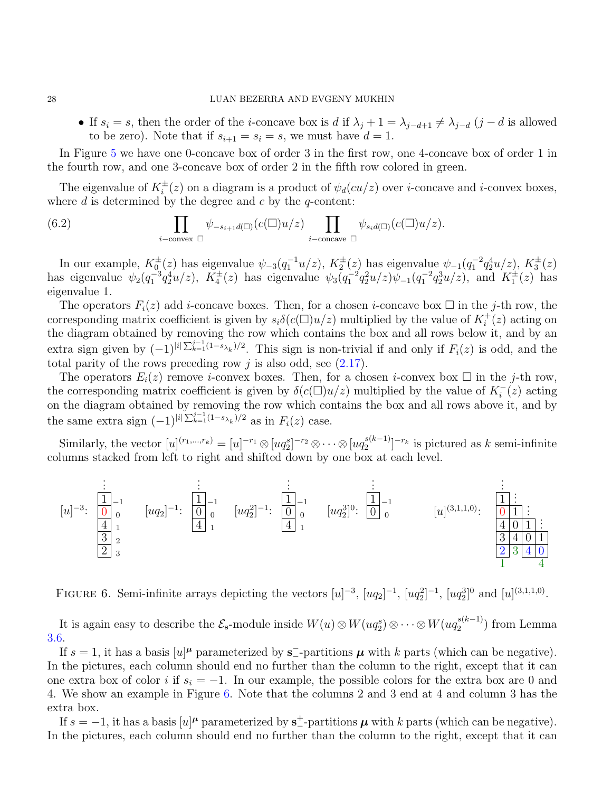#### 28 LUAN BEZERRA AND EVGENY MUKHIN

• If  $s_i = s$ , then the order of the *i*-concave box is d if  $\lambda_j + 1 = \lambda_{j-d+1} \neq \lambda_{j-d}$  (j − d is allowed to be zero). Note that if  $s_{i+1} = s_i = s$ , we must have  $d = 1$ .

In Figure [5](#page-26-0) we have one 0-concave box of order 3 in the first row, one 4-concave box of order 1 in the fourth row, and one 3-concave box of order 2 in the fifth row colored in green.

The eigenvalue of  $K_i^{\pm}(z)$  on a diagram is a product of  $\psi_d(cu/z)$  over *i*-concave and *i*-convex boxes, where  $d$  is determined by the degree and  $c$  by the  $q$ -content:

<span id="page-27-1"></span>(6.2) 
$$
\prod_{i-\text{convex } \Box} \psi_{-s_{i+1}d(\Box)}(c(\Box)u/z) \prod_{i-\text{concave } \Box} \psi_{s_i d(\Box)}(c(\Box)u/z).
$$

In our example,  $K_0^{\pm}(z)$  has eigenvalue  $\psi_{-3}(q_1^{-1}u/z)$ ,  $K_2^{\pm}(z)$  has eigenvalue  $\psi_{-1}(q_1^{-2}q_2^4u/z)$ ,  $K_3^{\pm}(z)$ has eigenvalue  $\psi_2(q_1^{-3}q_2^4u/z)$ ,  $K_4^{\pm}(z)$  has eigenvalue  $\psi_3(q_1^{-2}q_2^2u/z)\psi_{-1}(q_1^{-2}q_2^3u/z)$ , and  $K_1^{\pm}(z)$  has eigenvalue 1.

The operators  $F_i(z)$  add *i*-concave boxes. Then, for a chosen *i*-concave box  $\square$  in the *j*-th row, the corresponding matrix coefficient is given by  $s_i\delta(c(\square)u/z)$  multiplied by the value of  $K_i^+(z)$  acting on the diagram obtained by removing the row which contains the box and all rows below it, and by an extra sign given by  $(-1)^{|i|\sum_{k=1}^{j-1}(1-s_{\lambda_k})/2}$ . This sign is non-trivial if and only if  $F_i(z)$  is odd, and the total parity of the rows preceding row  $j$  is also odd, see  $(2.17)$ .

The operators  $E_i(z)$  remove *i*-convex boxes. Then, for a chosen *i*-convex box  $\square$  in the *j*-th row, the corresponding matrix coefficient is given by  $\delta(c(\Box)u/z)$  multiplied by the value of  $K_i^-(z)$  acting on the diagram obtained by removing the row which contains the box and all rows above it, and by on the diagram obtained by removing the row which contains the box and all rows above it, and by the same extra sign  $(-1)^{|i| \sum_{k=1}^{j-1} (1-s_{\lambda_k})/2}$  as in  $F_i(z)$  case.

Similarly, the vector  $[u]^{(r_1,...,r_k)} = [u]^{-r_1} \otimes [uq_2^{s}]^{-r_2} \otimes \cdots \otimes [uq_2^{s(k-1)}]$  $2^{s(k-1)}$ ]<sup>-r<sub>k</sub></sup> is pictured as k semi-infinite columns stacked from left to right and shifted down by one box at each level.



<span id="page-27-0"></span>FIGURE 6. Semi-infinite arrays depicting the vectors  $[u]^{-3}$ ,  $[uq_2]^{-1}$ ,  $[uq_2^2]^{-1}$ ,  $[uq_2^3]^{0}$  and  $[u]^{(3,1,1,0)}$ .

It is again easy to describe the  $\mathcal{E}_s$ -module inside  $W(u) \otimes W(uq_2^s) \otimes \cdots \otimes W(uq_2^{s(k-1)})$  $_2^{s(\kappa-1)}$  from Lemma [3.6.](#page-10-0)

If  $s = 1$ , it has a basis  $[u]^{\mu}$  parameterized by s<sup>-</sup>-partitions  $\mu$  with k parts (which can be negative). In the pictures, each column should end no further than the column to the right, except that it can one extra box of color i if  $s_i = -1$ . In our example, the possible colors for the extra box are 0 and 4. We show an example in Figure [6.](#page-27-0) Note that the columns 2 and 3 end at 4 and column 3 has the extra box.

If  $s = -1$ , it has a basis  $[u]^{\mu}$  parameterized by  $s_{-}^{\pm}$ -partitions  $\mu$  with k parts (which can be negative). In the pictures, each column should end no further than the column to the right, except that it can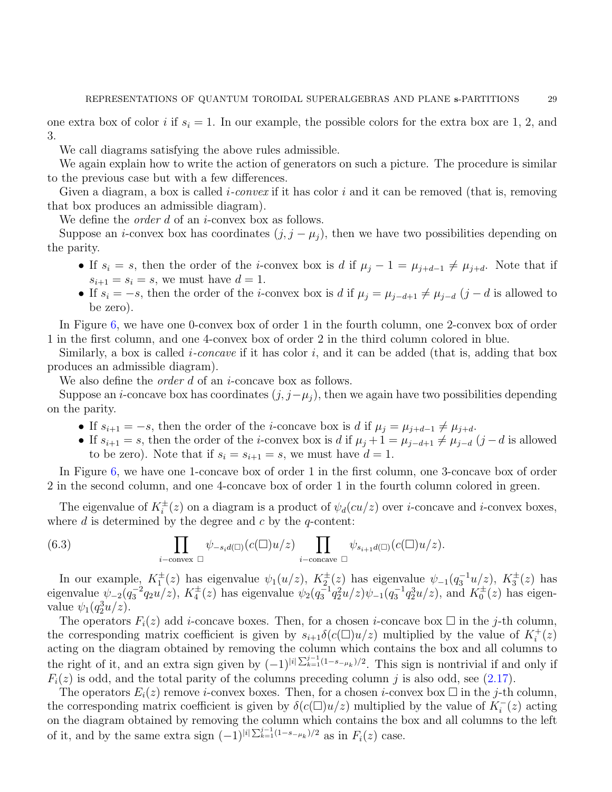one extra box of color i if  $s_i = 1$ . In our example, the possible colors for the extra box are 1, 2, and 3.

We call diagrams satisfying the above rules admissible.

We again explain how to write the action of generators on such a picture. The procedure is similar to the previous case but with a few differences.

Given a diagram, a box is called *i-convex* if it has color i and it can be removed (that is, removing that box produces an admissible diagram).

We define the *order d* of an *i*-convex box as follows.

Suppose an *i*-convex box has coordinates  $(j, j - \mu_i)$ , then we have two possibilities depending on the parity.

- If  $s_i = s$ , then the order of the *i*-convex box is d if  $\mu_j 1 = \mu_{j+d-1} \neq \mu_{j+d}$ . Note that if  $s_{i+1} = s_i = s$ , we must have  $d = 1$ .
- If  $s_i = -s$ , then the order of the *i*-convex box is d if  $\mu_j = \mu_{j-d+1} \neq \mu_{j-d}$  (j − d is allowed to be zero).

In Figure [6,](#page-27-0) we have one 0-convex box of order 1 in the fourth column, one 2-convex box of order 1 in the first column, and one 4-convex box of order 2 in the third column colored in blue.

Similarly, a box is called *i-concave* if it has color i, and it can be added (that is, adding that box produces an admissible diagram).

We also define the *order d* of an *i*-concave box as follows.

Suppose an *i*-concave box has coordinates  $(j, j - \mu_j)$ , then we again have two possibilities depending on the parity.

- If  $s_{i+1} = -s$ , then the order of the *i*-concave box is d if  $\mu_j = \mu_{j+d-1} \neq \mu_{j+d}$ .
- If  $s_{i+1} = s$ , then the order of the *i*-convex box is d if  $\mu_j + 1 = \mu_{j-d+1} \neq \mu_{j-d}$  (j − d is allowed to be zero). Note that if  $s_i = s_{i+1} = s$ , we must have  $d = 1$ .

In Figure [6,](#page-27-0) we have one 1-concave box of order 1 in the first column, one 3-concave box of order 2 in the second column, and one 4-concave box of order 1 in the fourth column colored in green.

The eigenvalue of  $K_i^{\pm}(z)$  on a diagram is a product of  $\psi_d(cu/z)$  over *i*-concave and *i*-convex boxes, where  $d$  is determined by the degree and  $c$  by the  $q$ -content:

<span id="page-28-0"></span>(6.3) 
$$
\prod_{i-\text{convex }\square}\psi_{-s_i d(\square)}(c(\square)u/z)\prod_{i-\text{concave }\square}\psi_{s_{i+1}d(\square)}(c(\square)u/z).
$$

In our example,  $K_1^{\pm}(z)$  has eigenvalue  $\psi_1(u/z)$ ,  $K_2^{\pm}(z)$  has eigenvalue  $\psi_{-1}(q_3^{-1}u/z)$ ,  $K_3^{\pm}(z)$  has eigenvalue  $\psi_{-2}(q_3^{-2}q_2u/z)$ ,  $K_4^{\pm}(z)$  has eigenvalue  $\psi_2(q_3^{-1}q_2^2u/z)\psi_{-1}(q_3^{-1}q_2^3u/z)$ , and  $K_0^{\pm}(z)$  has eigenvalue  $\psi_1(q_2^3u/z)$ .

The operators  $F_i(z)$  add *i*-concave boxes. Then, for a chosen *i*-concave box  $\Box$  in the *j*-th column, the corresponding matrix coefficient is given by  $s_{i+1}\delta(c(\Box)u/z)$  multiplied by the value of  $K_i^+(z)$ acting on the diagram obtained by removing the column which contains the box and all columns to the right of it, and an extra sign given by  $(-1)^{|i|\sum_{k=1}^{j-1}(1-s-\mu_k)/2}$ . This sign is nontrivial if and only if  $F_i(z)$  is odd, and the total parity of the columns preceding column j is also odd, see [\(2.17\)](#page-6-1).

The operators  $E_i(z)$  remove *i*-convex boxes. Then, for a chosen *i*-convex box  $\Box$  in the *j*-th column, the corresponding matrix coefficient is given by  $\delta(c(\Box)u/z)$  multiplied by the value of  $K_i^-(z)$  acting on the diagram obtained by removing the column which contains the box and all columns to the left of it, and by the same extra sign  $(-1)^{|i|\sum_{k=1}^{j-1}(1-s-\mu_k)/2}$  as in  $F_i(z)$  case.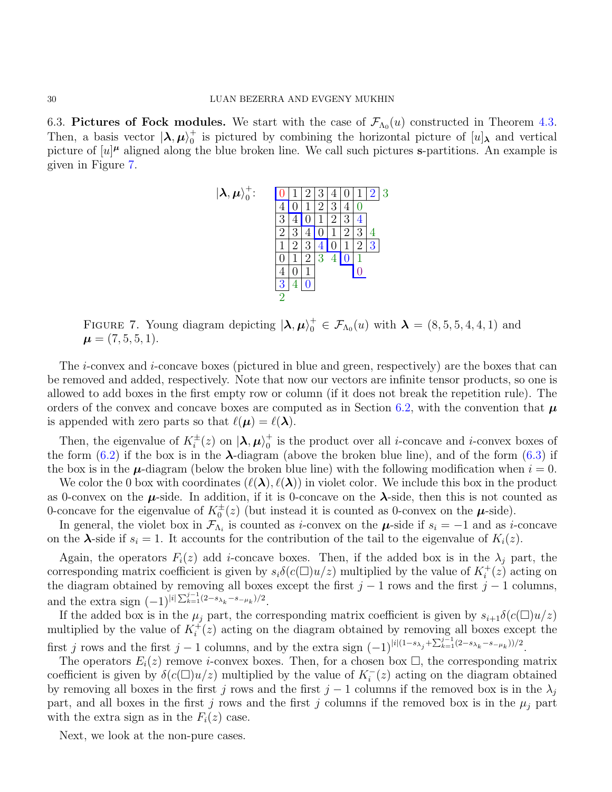6.3. Pictures of Fock modules. We start with the case of  $\mathcal{F}_{\Lambda_0}(u)$  constructed in Theorem [4.3.](#page-13-1) Then, a basis vector  $|\lambda, \mu\rangle_0^+$  $\eta$ <sup>+</sup> is pictured by combining the horizontal picture of  $[u]$ <sup> $\lambda$ </sup> and vertical picture of  $[u]^{\mu}$  aligned along the blue broken line. We call such pictures s-partitions. An example is given in Figure [7.](#page-29-0)



<span id="page-29-0"></span>FIGURE 7. Young diagram depicting  $|\lambda, \mu\rangle_0^+ \in \mathcal{F}_{\Lambda_0}(u)$  with  $\lambda = (8, 5, 5, 4, 4, 1)$  and  $\mu = (7, 5, 5, 1).$ 

The *i*-convex and *i*-concave boxes (pictured in blue and green, respectively) are the boxes that can be removed and added, respectively. Note that now our vectors are infinite tensor products, so one is allowed to add boxes in the first empty row or column (if it does not break the repetition rule). The orders of the convex and concave boxes are computed as in Section [6.2,](#page-25-1) with the convention that  $\mu$ is appended with zero parts so that  $\ell(\mu) = \ell(\lambda)$ .

Then, the eigenvalue of  $K_i^{\pm}(z)$  on  $\ket{\lambda,\mu}_0^+$  $\eta$ <sup>+</sup> is the product over all *i*-concave and *i*-convex boxes of the form  $(6.2)$  if the box is in the  $\lambda$ -diagram (above the broken blue line), and of the form  $(6.3)$  if the box is in the  $\mu$ -diagram (below the broken blue line) with the following modification when  $i = 0$ .

We color the 0 box with coordinates  $(\ell(\lambda), \ell(\lambda))$  in violet color. We include this box in the product as 0-convex on the  $\mu$ -side. In addition, if it is 0-concave on the  $\lambda$ -side, then this is not counted as 0-concave for the eigenvalue of  $K_0^{\pm}(z)$  (but instead it is counted as 0-convex on the  $\mu$ -side).

In general, the violet box in  $\mathcal{F}_{\Lambda_i}$  is counted as *i*-convex on the  $\mu$ -side if  $s_i = -1$  and as *i*-concave on the  $\lambda$ -side if  $s_i = 1$ . It accounts for the contribution of the tail to the eigenvalue of  $K_i(z)$ .

Again, the operators  $F_i(z)$  add *i*-concave boxes. Then, if the added box is in the  $\lambda_i$  part, the corresponding matrix coefficient is given by  $s_i\delta(c(\Box)u/z)$  multiplied by the value of  $K_i^+(z)$  acting on the diagram obtained by removing all boxes except the first  $j - 1$  rows and the first  $j - 1$  columns, and the extra sign  $(-1)^{|i| \sum_{k=1}^{j-1} (2-s_{\lambda_k}-s_{-\mu_k})/2}$ .

If the added box is in the  $\mu_j$  part, the corresponding matrix coefficient is given by  $s_{i+1}\delta(c(\Box)u/z)$ multiplied by the value of  $K_i^+(z)$  acting on the diagram obtained by removing all boxes except the first j rows and the first j – 1 columns, and by the extra sign  $(-1)^{|i|(1-s_{\lambda_j}+\sum_{k=1}^{j-1}(2-s_{\lambda_k}-s_{-\mu_k}))/2}$ .

The operators  $E_i(z)$  remove *i*-convex boxes. Then, for a chosen box  $\Box$ , the corresponding matrix coefficient is given by  $\delta(c(\Box)u/z)$  multiplied by the value of  $K_i^-(z)$  acting on the diagram obtained by removing all boxes in the first j rows and the first j – 1 columns if the removed box is in the  $\lambda_j$ part, and all boxes in the first j rows and the first j columns if the removed box is in the  $\mu_j$  part with the extra sign as in the  $F_i(z)$  case.

Next, we look at the non-pure cases.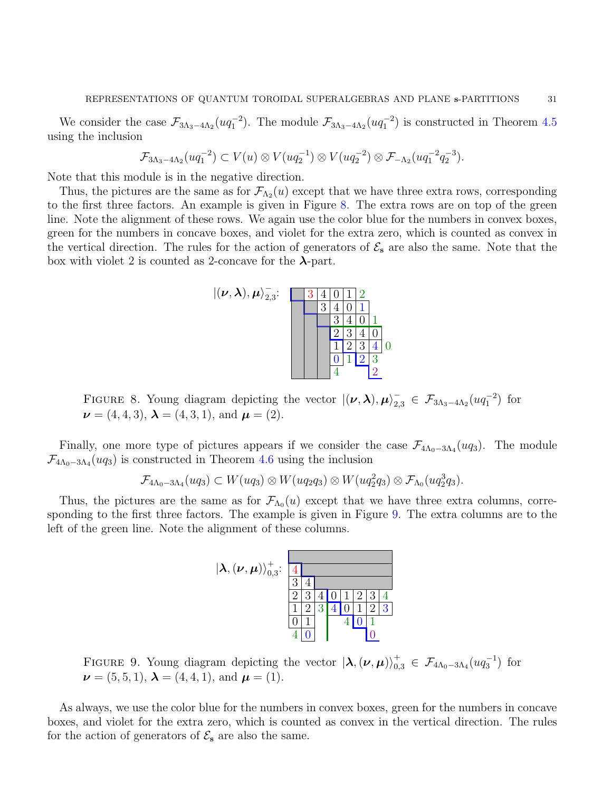We consider the case  $\mathcal{F}_{3\Lambda_3-4\Lambda_2}(uq_1^{-2})$ . The module  $\mathcal{F}_{3\Lambda_3-4\Lambda_2}(uq_1^{-2})$  is constructed in Theorem [4.5](#page-17-0) using the inclusion

$$
\mathcal{F}_{3\Lambda_3-4\Lambda_2}(uq_1^{-2}) \subset V(u) \otimes V(uq_2^{-1}) \otimes V(uq_2^{-2}) \otimes \mathcal{F}_{-\Lambda_2}(uq_1^{-2}q_2^{-3}).
$$

Note that this module is in the negative direction.

Thus, the pictures are the same as for  $\mathcal{F}_{\Lambda_2}(u)$  except that we have three extra rows, corresponding to the first three factors. An example is given in Figure [8.](#page-30-0) The extra rows are on top of the green line. Note the alignment of these rows. We again use the color blue for the numbers in convex boxes, green for the numbers in concave boxes, and violet for the extra zero, which is counted as convex in the vertical direction. The rules for the action of generators of  $\mathcal{E}_s$  are also the same. Note that the box with violet 2 is counted as 2-concave for the  $\lambda$ -part.



<span id="page-30-0"></span>FIGURE 8. Young diagram depicting the vector  $|(\nu, \lambda), \mu\rangle_{2,3}^-\in\mathcal{F}_{3\Lambda_3-4\Lambda_2}(uq_1^{-2})$  for  $\nu = (4, 4, 3), \lambda = (4, 3, 1), \text{ and } \mu = (2).$ 

Finally, one more type of pictures appears if we consider the case  $\mathcal{F}_{4\Lambda_0-3\Lambda_4}(uq_3)$ . The module  $\mathcal{F}_{4\Lambda_0 - 3\Lambda_4}(uq_3)$  is constructed in Theorem [4.6](#page-17-1) using the inclusion

$$
\mathcal{F}_{4\Lambda_0-3\Lambda_4}(uq_3) \subset W(uq_3) \otimes W(uq_2q_3) \otimes W(uq_2^2q_3) \otimes \mathcal{F}_{\Lambda_0}(uq_2^3q_3).
$$

Thus, the pictures are the same as for  $\mathcal{F}_{\Lambda_0}(u)$  except that we have three extra columns, corresponding to the first three factors. The example is given in Figure [9.](#page-30-1) The extra columns are to the left of the green line. Note the alignment of these columns.



<span id="page-30-1"></span>FIGURE 9. Young diagram depicting the vector  $|\lambda, (\nu, \mu)\rangle_{0,3}^+ \in \mathcal{F}_{4\Lambda_0-3\Lambda_4}(uq_3^{-1})$  for  $\nu = (5, 5, 1), \lambda = (4, 4, 1), \text{ and } \mu = (1).$ 

As always, we use the color blue for the numbers in convex boxes, green for the numbers in concave boxes, and violet for the extra zero, which is counted as convex in the vertical direction. The rules for the action of generators of  $\mathcal{E}_s$  are also the same.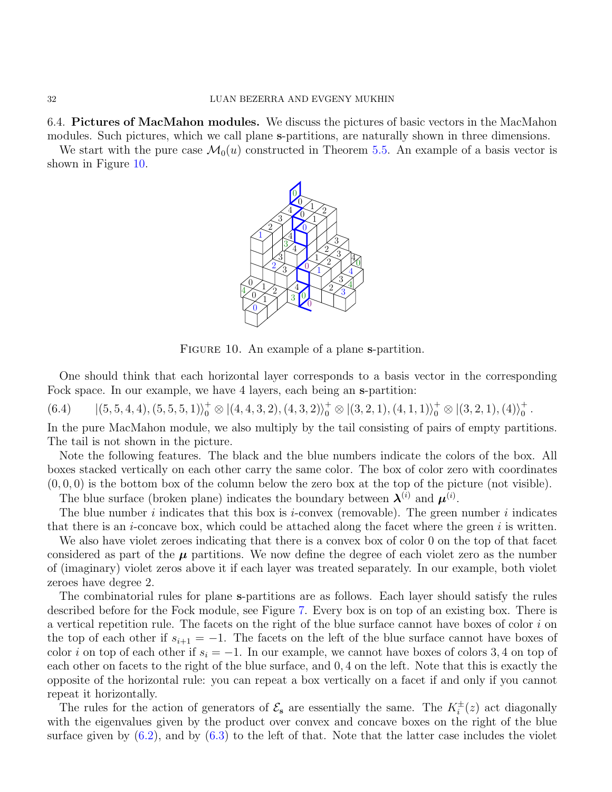6.4. Pictures of MacMahon modules. We discuss the pictures of basic vectors in the MacMahon modules. Such pictures, which we call plane s-partitions, are naturally shown in three dimensions.

We start with the pure case  $\mathcal{M}_0(u)$  constructed in Theorem [5.5.](#page-21-2) An example of a basis vector is shown in Figure [10.](#page-31-0)



<span id="page-31-0"></span>FIGURE 10. An example of a plane s-partition.

One should think that each horizontal layer corresponds to a basis vector in the corresponding Fock space. In our example, we have 4 layers, each being an s-partition:

<span id="page-31-1"></span> $|(5, 5, 4, 4), (5, 5, 5, 1)\rangle^{\dagger}_{0} \otimes |(4, 4, 3, 2), (4, 3, 2)\rangle^{\dagger}_{0} \otimes |(3, 2, 1), (4, 1, 1)\rangle^{\dagger}_{0} \otimes |(3, 2, 1), (4)\rangle^{\dagger}_{0}$  $(6.4)$   $|(5,5,4,4),(5,5,5,1)\rangle^+_0 \otimes |(4,4,3,2),(4,3,2)\rangle^+_0 \otimes |(3,2,1),(4,1,1)\rangle^+_0 \otimes |(3,2,1),(4)\rangle^+_0.$ 

In the pure MacMahon module, we also multiply by the tail consisting of pairs of empty partitions. The tail is not shown in the picture.

Note the following features. The black and the blue numbers indicate the colors of the box. All boxes stacked vertically on each other carry the same color. The box of color zero with coordinates  $(0, 0, 0)$  is the bottom box of the column below the zero box at the top of the picture (not visible).

The blue surface (broken plane) indicates the boundary between  $\lambda^{(i)}$  and  $\mu^{(i)}$ .

The blue number i indicates that this box is i-convex (removable). The green number i indicates that there is an *i*-concave box, which could be attached along the facet where the green  $i$  is written.

We also have violet zeroes indicating that there is a convex box of color 0 on the top of that facet considered as part of the  $\mu$  partitions. We now define the degree of each violet zero as the number of (imaginary) violet zeros above it if each layer was treated separately. In our example, both violet zeroes have degree 2.

The combinatorial rules for plane s-partitions are as follows. Each layer should satisfy the rules described before for the Fock module, see Figure [7.](#page-29-0) Every box is on top of an existing box. There is a vertical repetition rule. The facets on the right of the blue surface cannot have boxes of color  $i$  on the top of each other if  $s_{i+1} = -1$ . The facets on the left of the blue surface cannot have boxes of color i on top of each other if  $s_i = -1$ . In our example, we cannot have boxes of colors 3, 4 on top of each other on facets to the right of the blue surface, and 0, 4 on the left. Note that this is exactly the opposite of the horizontal rule: you can repeat a box vertically on a facet if and only if you cannot repeat it horizontally.

The rules for the action of generators of  $\mathcal{E}_s$  are essentially the same. The  $K_i^{\pm}(z)$  act diagonally with the eigenvalues given by the product over convex and concave boxes on the right of the blue surface given by  $(6.2)$ , and by  $(6.3)$  to the left of that. Note that the latter case includes the violet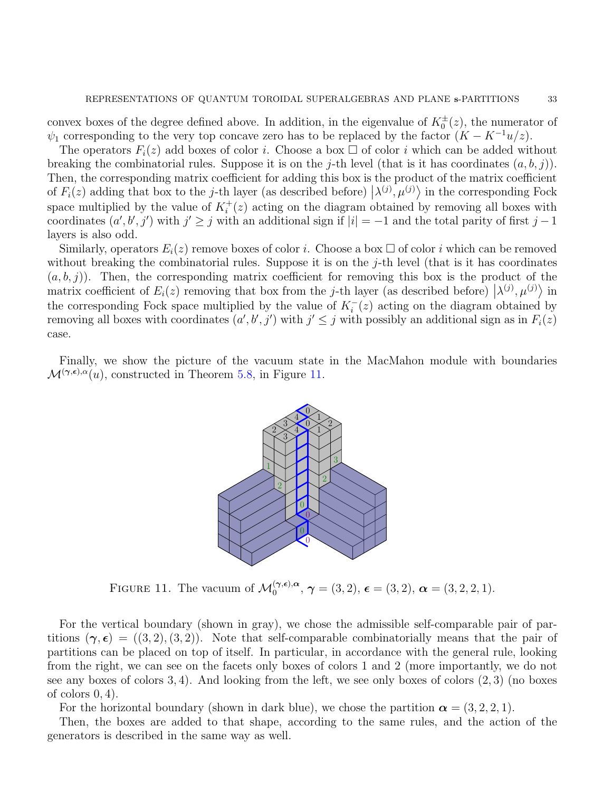convex boxes of the degree defined above. In addition, in the eigenvalue of  $K_0^{\pm}(z)$ , the numerator of  $\psi_1$  corresponding to the very top concave zero has to be replaced by the factor  $(K - K^{-1}u/z)$ .

The operators  $F_i(z)$  add boxes of color *i*. Choose a box  $\Box$  of color *i* which can be added without breaking the combinatorial rules. Suppose it is on the j-th level (that is it has coordinates  $(a, b, j)$ ). Then, the corresponding matrix coefficient for adding this box is the product of the matrix coefficient of  $F_i(z)$  adding that box to the j-th layer (as described before)  $\langle \lambda^{(j)}, \mu^{(j)} \rangle$  in the corresponding Fock space multiplied by the value of  $K_i^+(z)$  acting on the diagram obtained by removing all boxes with coordinates  $(a', b', j')$  with  $j' \geq j$  with an additional sign if  $|i| = -1$  and the total parity of first  $j - 1$ layers is also odd.

Similarly, operators  $E_i(z)$  remove boxes of color i. Choose a box  $\Box$  of color i which can be removed without breaking the combinatorial rules. Suppose it is on the  $j$ -th level (that is it has coordinates  $(a, b, j)$ . Then, the corresponding matrix coefficient for removing this box is the product of the matrix coefficient of  $E_i(z)$  removing that box from the j-th layer (as described before)  $\left(\lambda^{(j)}, \mu^{(j)}\right)$  in the corresponding Fock space multiplied by the value of  $K_i^$  $i(i)$  acting on the diagram obtained by removing all boxes with coordinates  $(a', b', j')$  with  $j' \leq j$  with possibly an additional sign as in  $F_i(z)$ case.

Finally, we show the picture of the vacuum state in the MacMahon module with boundaries  $\mathcal{M}^{(\gamma,\epsilon),\alpha}(u)$ , constructed in Theorem [5.8,](#page-24-2) in Figure [11.](#page-32-0)



<span id="page-32-0"></span>FIGURE 11. The vacuum of  $\mathcal{M}_0^{(\gamma,\epsilon),\alpha}$ ,  $\gamma = (3,2)$ ,  $\epsilon = (3,2)$ ,  $\alpha = (3,2,2,1)$ .

For the vertical boundary (shown in gray), we chose the admissible self-comparable pair of partitions  $(\gamma, \epsilon) = ((3, 2), (3, 2))$ . Note that self-comparable combinatorially means that the pair of partitions can be placed on top of itself. In particular, in accordance with the general rule, looking from the right, we can see on the facets only boxes of colors 1 and 2 (more importantly, we do not see any boxes of colors  $3, 4$ ). And looking from the left, we see only boxes of colors  $(2, 3)$  (no boxes of colors  $0, 4$ ).

For the horizontal boundary (shown in dark blue), we chose the partition  $\alpha = (3, 2, 2, 1)$ .

Then, the boxes are added to that shape, according to the same rules, and the action of the generators is described in the same way as well.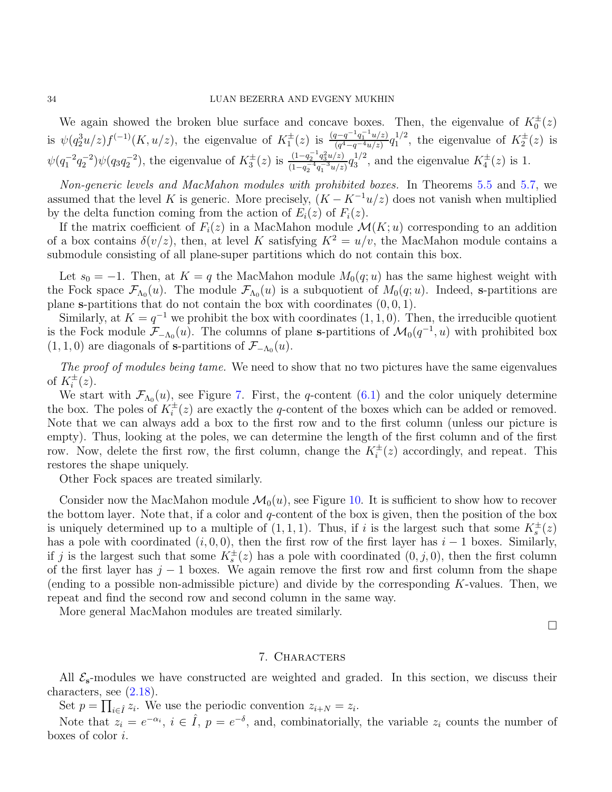We again showed the broken blue surface and concave boxes. Then, the eigenvalue of  $K_0^{\pm}(z)$ is  $\psi(q_2^3u/z)f^{(-1)}(K,u/z)$ , the eigenvalue of  $K_1^{\pm}(z)$  is  $\frac{(q-q^{-1}q_1^{-1}u/z)}{(q^4-q^{-4}u/z)}$  $\frac{q^{-q^{-1}q_1^{-1}u/z)}}{(q^4-q^{-4}u/z)}q_1^{1/2}$  $1/2$ , the eigenvalue of  $K_2^{\pm}(z)$  is  $\psi(q_1^{-2}q_2^{-2})\psi(q_3q_2^{-2})$ , the eigenvalue of  $K_3^{\pm}(z)$  is  $\frac{(1-q_2^{-1}q_3^2u/z)}{(1-q_3^{-4}q_3^{-3}u/z)}$  $\frac{(1-q_2^{-1}q_3^2u/z)}{(1-q_2^{-4}q_1^{-3}u/z)}q_3^{1/2}$  $s_3^{1/2}$ , and the eigenvalue  $K_4^{\pm}(z)$  is 1.

Non-generic levels and MacMahon modules with prohibited boxes. In Theorems [5.5](#page-21-2) and [5.7,](#page-23-1) we assumed that the level K is generic. More precisely,  $(K - K^{-1}u/z)$  does not vanish when multiplied by the delta function coming from the action of  $E_i(z)$  of  $F_i(z)$ .

If the matrix coefficient of  $F_i(z)$  in a MacMahon module  $\mathcal{M}(K; u)$  corresponding to an addition of a box contains  $\delta(v/z)$ , then, at level K satisfying  $K^2 = u/v$ , the MacMahon module contains a submodule consisting of all plane-super partitions which do not contain this box.

Let  $s_0 = -1$ . Then, at  $K = q$  the MacMahon module  $M_0(q; u)$  has the same highest weight with the Fock space  $\mathcal{F}_{\Lambda_0}(u)$ . The module  $\mathcal{F}_{\Lambda_0}(u)$  is a subquotient of  $M_0(q;u)$ . Indeed, s-partitions are plane s-partitions that do not contain the box with coordinates  $(0, 0, 1)$ .

Similarly, at  $K = q^{-1}$  we prohibit the box with coordinates  $(1, 1, 0)$ . Then, the irreducible quotient is the Fock module  $\mathcal{F}_{-\Lambda_0}(u)$ . The columns of plane s-partitions of  $\mathcal{M}_0(q^{-1}, u)$  with prohibited box  $(1, 1, 0)$  are diagonals of **s**-partitions of  $\mathcal{F}_{-\Lambda_0}(u)$ .

The proof of modules being tame. We need to show that no two pictures have the same eigenvalues of  $K_i^{\pm}(z)$ .

We start with  $\mathcal{F}_{\Lambda_0}(u)$ , see Figure [7.](#page-29-0) First, the q-content  $(6.1)$  and the color uniquely determine the box. The poles of  $K_i^{\pm}(z)$  are exactly the q-content of the boxes which can be added or removed. Note that we can always add a box to the first row and to the first column (unless our picture is empty). Thus, looking at the poles, we can determine the length of the first column and of the first row. Now, delete the first row, the first column, change the  $K_i^{\pm}(z)$  accordingly, and repeat. This restores the shape uniquely.

Other Fock spaces are treated similarly.

Consider now the MacMahon module  $\mathcal{M}_0(u)$ , see Figure [10.](#page-31-0) It is sufficient to show how to recover the bottom layer. Note that, if a color and  $q$ -content of the box is given, then the position of the box is uniquely determined up to a multiple of  $(1,1,1)$ . Thus, if i is the largest such that some  $K_s^{\pm}(z)$ has a pole with coordinated  $(i, 0, 0)$ , then the first row of the first layer has  $i - 1$  boxes. Similarly, if j is the largest such that some  $K_s^{\pm}(z)$  has a pole with coordinated  $(0, j, 0)$ , then the first column of the first layer has  $j - 1$  boxes. We again remove the first row and first column from the shape (ending to a possible non-admissible picture) and divide by the corresponding  $K$ -values. Then, we repeat and find the second row and second column in the same way.

<span id="page-33-0"></span>More general MacMahon modules are treated similarly.

 $\Box$ 

### 7. Characters

All  $\mathcal{E}_{s}$ -modules we have constructed are weighted and graded. In this section, we discuss their characters, see  $(2.18)$ .

Set  $p = \prod_{i \in \hat{I}} z_i$ . We use the periodic convention  $z_{i+N} = z_i$ .

Note that  $z_i = e^{-\alpha_i}$ ,  $i \in \hat{I}$ ,  $p = e^{-\delta}$ , and, combinatorially, the variable  $z_i$  counts the number of boxes of color i.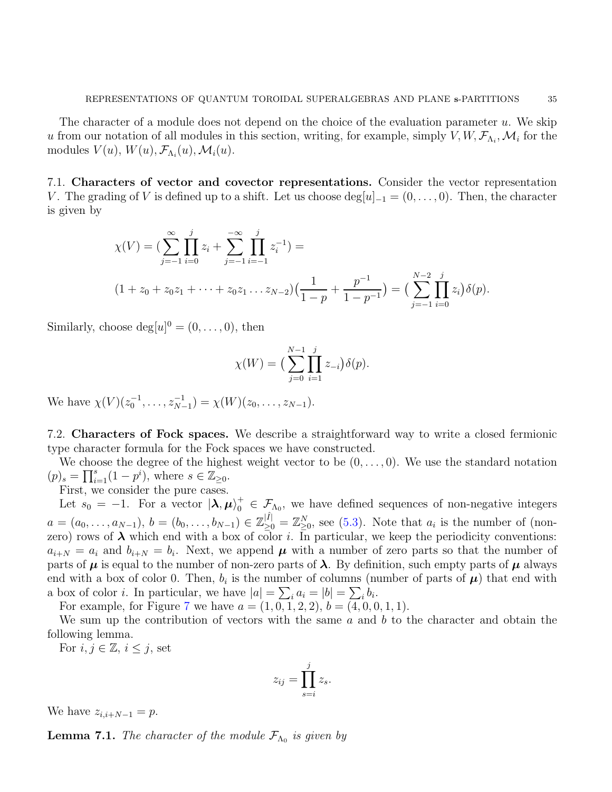The character of a module does not depend on the choice of the evaluation parameter  $u$ . We skip u from our notation of all modules in this section, writing, for example, simply  $V, W, \mathcal{F}_{\Lambda_i}, \mathcal{M}_i$  for the modules  $V(u)$ ,  $W(u)$ ,  $\mathcal{F}_{\Lambda_i}(u)$ ,  $\mathcal{M}_i(u)$ .

7.1. Characters of vector and covector representations. Consider the vector representation V. The grading of V is defined up to a shift. Let us choose  $\deg[u]_{-1} = (0, \ldots, 0)$ . Then, the character is given by

$$
\chi(V) = \left(\sum_{j=-1}^{\infty} \prod_{i=0}^{j} z_i + \sum_{j=-1}^{-\infty} \prod_{i=-1}^{j} z_i^{-1}\right) =
$$
\n
$$
(1 + z_0 + z_0 z_1 + \dots + z_0 z_1 \dots z_{N-2})\left(\frac{1}{1-p} + \frac{p^{-1}}{1-p^{-1}}\right) = \left(\sum_{j=-1}^{N-2} \prod_{i=0}^{j} z_i\right) \delta(p).
$$

Similarly, choose  $\text{deg}[u]^0 = (0, \ldots, 0)$ , then

$$
\chi(W) = \big(\sum_{j=0}^{N-1} \prod_{i=1}^{j} z_{-i}\big) \delta(p).
$$

We have  $\chi(V)(z_0^{-1}, \ldots, z_{N-1}^{-1}) = \chi(W)(z_0, \ldots, z_{N-1}).$ 

7.2. Characters of Fock spaces. We describe a straightforward way to write a closed fermionic type character formula for the Fock spaces we have constructed.

We choose the degree of the highest weight vector to be  $(0, \ldots, 0)$ . We use the standard notation  $(p)_s = \prod_{i=1}^s (1 - p^i)$ , where  $s \in \mathbb{Z}_{\geq 0}$ .

First, we consider the pure cases.

Let  $s_0 = -1$ . For a vector  $|\lambda, \mu\rangle_0^+ \in \mathcal{F}_{\Lambda_0}$ , we have defined sequences of non-negative integers  $a = (a_0, \ldots, a_{N-1}), b = (b_0, \ldots, b_{N-1}) \in \mathbb{Z}_{\geq 0}^{|\hat{I}|} = \mathbb{Z}_{\geq 0}^N$ , see [\(5.3\)](#page-22-0). Note that  $a_i$  is the number of (nonzero) rows of  $\lambda$  which end with a box of color *i*. In particular, we keep the periodicity conventions:  $a_{i+N} = a_i$  and  $b_{i+N} = b_i$ . Next, we append  $\mu$  with a number of zero parts so that the number of parts of  $\mu$  is equal to the number of non-zero parts of  $\lambda$ . By definition, such empty parts of  $\mu$  always end with a box of color 0. Then,  $b_i$  is the number of columns (number of parts of  $\mu$ ) that end with a box of color *i*. In particular, we have  $|a| = \sum_i a_i = |b| = \sum_i b_i$ .

For example, for Figure [7](#page-29-0) we have  $a = (1, 0, 1, 2, 2), b = (4, 0, 0, 1, 1).$ 

We sum up the contribution of vectors with the same  $a$  and  $b$  to the character and obtain the following lemma.

For  $i, j \in \mathbb{Z}, i \leq j$ , set

$$
z_{ij} = \prod_{s=i}^{j} z_s.
$$

We have  $z_{i,i+N-1} = p$ .

**Lemma 7.1.** The character of the module  $\mathcal{F}_{\Lambda_0}$  is given by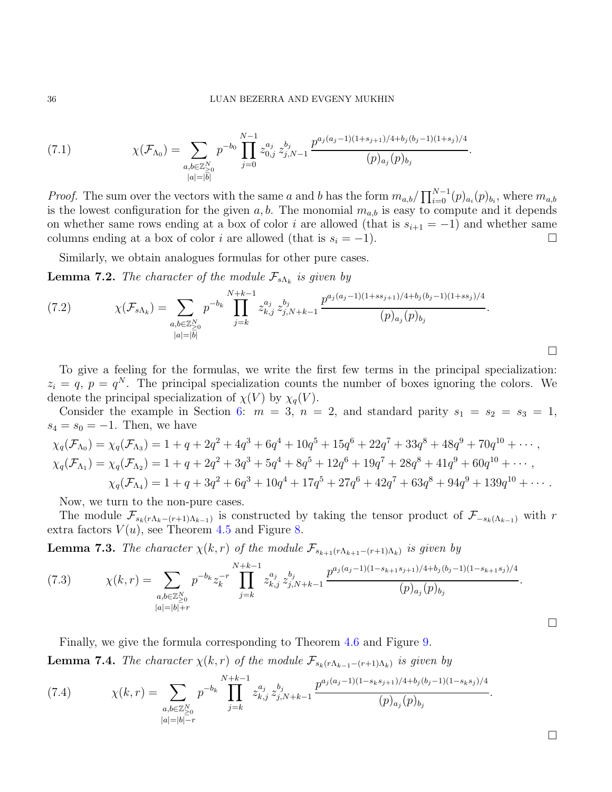#### 36 LUAN BEZERRA AND EVGENY MUKHIN

<span id="page-35-0"></span>(7.1) 
$$
\chi(\mathcal{F}_{\Lambda_0}) = \sum_{\substack{a,b \in \mathbb{Z}_{\geq 0}^N \\ |a| = |b|}} p^{-b_0} \prod_{j=0}^{N-1} z_{0,j}^{a_j} z_{j,N-1}^{b_j} \frac{p^{a_j(a_j-1)(1+s_{j+1})/4 + b_j(b_j-1)(1+s_j)/4}}{(p)_{a_j}(p)_{b_j}}.
$$

*Proof.* The sum over the vectors with the same a and b has the form  $m_{a,b}/\prod_{i=0}^{N-1}(p)_{a_i}(p)_{b_i}$ , where  $m_{a,b}$ is the lowest configuration for the given  $a, b$ . The monomial  $m_{a,b}$  is easy to compute and it depends on whether same rows ending at a box of color i are allowed (that is  $s_{i+1} = -1$ ) and whether same columns ending at a box of color *i* are allowed (that is  $s_i = -1$ ).

Similarly, we obtain analogues formulas for other pure cases.

<span id="page-35-2"></span>**Lemma 7.2.** The character of the module  $\mathcal{F}_{s\Lambda_k}$  is given by

<span id="page-35-1"></span>
$$
(7.2) \t\t \chi(\mathcal{F}_{s\Lambda_k}) = \sum_{\substack{a,b \in \mathbb{Z}_{\geq 0}^N \\ |a| = |b|}} p^{-b_k} \prod_{j=k}^{N+k-1} z_{k,j}^{a_j} z_{j,N+k-1}^{b_j} \frac{p^{a_j(a_j-1)(1+ss_{j+1})/4+b_j(b_j-1)(1+ss_j)/4}}{(p)_{a_j}(p)_{b_j}}.
$$

To give a feeling for the formulas, we write the first few terms in the principal specialization:  $z_i = q, p = q^N$ . The principal specialization counts the number of boxes ignoring the colors. We denote the principal specialization of  $\chi(V)$  by  $\chi_q(V)$ .

Consider the example in Section [6:](#page-24-0)  $m = 3$ ,  $n = 2$ , and standard parity  $s_1 = s_2 = s_3 = 1$ ,  $s_4 = s_0 = -1$ . Then, we have

$$
\chi_q(\mathcal{F}_{\Lambda_0}) = \chi_q(\mathcal{F}_{\Lambda_3}) = 1 + q + 2q^2 + 4q^3 + 6q^4 + 10q^5 + 15q^6 + 22q^7 + 33q^8 + 48q^9 + 70q^{10} + \cdots,
$$
  
\n
$$
\chi_q(\mathcal{F}_{\Lambda_1}) = \chi_q(\mathcal{F}_{\Lambda_2}) = 1 + q + 2q^2 + 3q^3 + 5q^4 + 8q^5 + 12q^6 + 19q^7 + 28q^8 + 41q^9 + 60q^{10} + \cdots,
$$
  
\n
$$
\chi_q(\mathcal{F}_{\Lambda_4}) = 1 + q + 3q^2 + 6q^3 + 10q^4 + 17q^5 + 27q^6 + 42q^7 + 63q^8 + 94q^9 + 139q^{10} + \cdots.
$$

Now, we turn to the non-pure cases.

The module  $\mathcal{F}_{s_k(r\Lambda_k-(r+1)\Lambda_{k-1})}$  is constructed by taking the tensor product of  $\mathcal{F}_{-s_k(\Lambda_{k-1})}$  with r extra factors  $V(u)$ , see Theorem [4.5](#page-17-0) and Figure [8.](#page-30-0)

**Lemma 7.3.** The character  $\chi(k,r)$  of the module  $\mathcal{F}_{s_{k+1}(r\Lambda_{k+1}-(r+1)\Lambda_k)}$  is given by

(7.3) 
$$
\chi(k,r) = \sum_{\substack{a,b \in \mathbb{Z}_{\geq 0}^N \\ |a|=|b|+r}} p^{-b_k} z_k^{-r} \prod_{j=k}^{N+k-1} z_{k,j}^{a_j} z_{j,N+k-1}^{b_j} \frac{p^{a_j(a_j-1)(1-s_{k+1}s_{j+1})/4+b_j(b_j-1)(1-s_{k+1}s_j)/4}}{(p)_{a_j}(p)_{b_j}}.
$$

Finally, we give the formula corresponding to Theorem [4.6](#page-17-1) and Figure [9.](#page-30-1)

**Lemma 7.4.** The character  $\chi(k,r)$  of the module  $\mathcal{F}_{s_k(r\Lambda_{k-1}-(r+1)\Lambda_k)}$  is given by

(7.4) 
$$
\chi(k,r) = \sum_{\substack{a,b \in \mathbb{Z}_{\geq 0}^N \\ |a|=|b|=r}} p^{-b_k} \prod_{j=k}^{N+k-1} z_{k,j}^{a_j} z_{j,N+k-1}^{b_j} \frac{p^{a_j(a_j-1)(1-s_ks_{j+1})/4+b_j(b_j-1)(1-s_ks_j)/4}}{(p)_{a_j}(p)_{b_j}}.
$$

 $\Box$ 

 $\Box$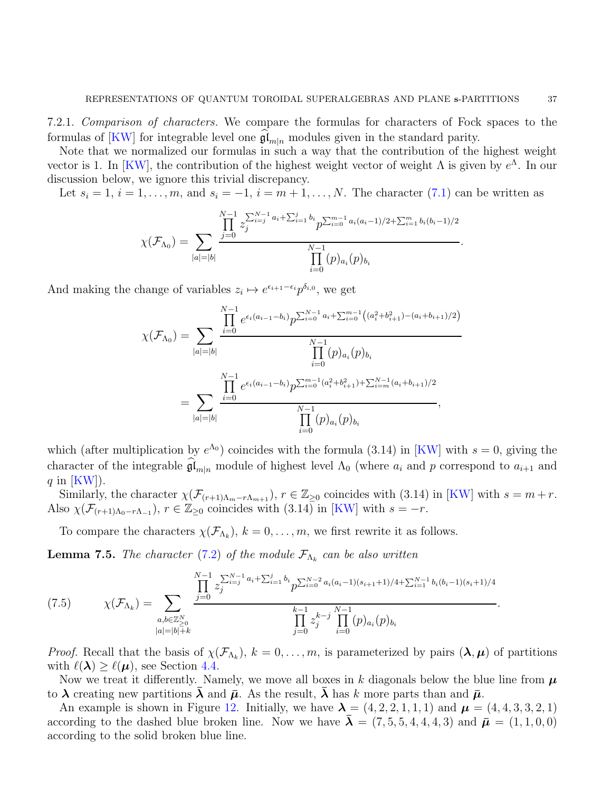7.2.1. Comparison of characters. We compare the formulas for characters of Fock spaces to the formulas of [\[KW\]](#page-41-19) for integrable level one  $\mathfrak{gl}_{m|n}$  modules given in the standard parity.

Note that we normalized our formulas in such a way that the contribution of the highest weight vector is 1. In [\[KW\]](#page-41-19), the contribution of the highest weight vector of weight  $\Lambda$  is given by  $e^{\Lambda}$ . In our discussion below, we ignore this trivial discrepancy.

Let  $s_i = 1, i = 1, \ldots, m$ , and  $s_i = -1, i = m+1, \ldots, N$ . The character [\(7.1\)](#page-35-0) can be written as

$$
\chi(\mathcal{F}_{\Lambda_0}) = \sum_{|a|=|b|} \frac{\prod_{j=0}^{N-1} z_j^{\sum_{i=j}^{N-1} a_i + \sum_{i=1}^j b_i} p^{\sum_{i=0}^{m-1} a_i(a_i-1)/2 + \sum_{i=1}^m b_i(b_i-1)/2}}{\prod_{i=0}^{N-1} (p)_{a_i}(p)_{b_i}}.
$$

And making the change of variables  $z_i \mapsto e^{\epsilon_{i+1} - \epsilon_i} p^{\delta_{i,0}},$  we get

$$
\chi(\mathcal{F}_{\Lambda_0}) = \sum_{|a|=|b|} \frac{\prod_{i=0}^{N-1} e^{\epsilon_i (a_{i-1}-b_i)} p^{\sum_{i=0}^{N-1} a_i + \sum_{i=0}^{m-1} ((a_i^2+b_{i+1}^2)-(a_i+b_{i+1})/2)}}{\prod_{i=0}^{N-1} (p)_{a_i} (p)_{b_i}}
$$
  
= 
$$
\sum_{|a|=|b|} \frac{\prod_{i=0}^{N-1} e^{\epsilon_i (a_{i-1}-b_i)} p^{\sum_{i=0}^{m-1} (a_i^2+b_{i+1}^2)+\sum_{i=m}^{N-1} (a_i+b_{i+1})/2}}{\prod_{i=0}^{N-1} (p)_{a_i} (p)_{b_i}},
$$

which (after multiplication by  $e^{\Lambda_0}$ ) coincides with the formula (3.14) in [\[KW\]](#page-41-19) with  $s = 0$ , giving the character of the integrable  $\mathfrak{gl}_{m|n}$  module of highest level  $\Lambda_0$  (where  $a_i$  and p correspond to  $a_{i+1}$  and q in  $|KW|)$ .

Similarly, the character  $\chi(\mathcal{F}_{(r+1)\Lambda_m-r\Lambda_{m+1}}), r \in \mathbb{Z}_{\geq 0}$  coincides with (3.14) in [\[KW\]](#page-41-19) with  $s = m+r$ . Also  $\chi(\mathcal{F}_{(r+1)\Lambda_0-r\Lambda_{-1}}), r \in \mathbb{Z}_{\geq 0}$  coincides with  $(3.14)$  in [\[KW\]](#page-41-19) with  $s = -r$ .

To compare the characters  $\chi(\mathcal{F}_{\Lambda_k}), k = 0, \ldots, m$ , we first rewrite it as follows.

**Lemma 7.5.** The character [\(7.2\)](#page-35-1) of the module  $\mathcal{F}_{\Lambda_k}$  can be also written

<span id="page-36-0"></span>(7.5) 
$$
\chi(\mathcal{F}_{\Lambda_k}) = \sum_{\substack{a,b \in \mathbb{Z}_{\geq 0}^N \\ |a| = |b| + k}} \frac{\prod_{j=0}^{N-1} z_j^{\sum_{i=j}^{N-1} a_i + \sum_{i=1}^j b_i} p^{\sum_{i=0}^{N-2} a_i (a_i - 1)(s_{i+1} + 1)/4 + \sum_{i=1}^{N-1} b_i (b_i - 1)(s_i + 1)/4}}{\prod_{j=0}^{k-1} z_j^{k-j} \prod_{i=0}^{N-1} (p)_{a_i} (p)_{b_i}}.
$$

*Proof.* Recall that the basis of  $\chi(\mathcal{F}_{\Lambda_k})$ ,  $k=0,\ldots,m$ , is parameterized by pairs  $(\lambda,\mu)$  of partitions with  $\ell(\lambda) \geq \ell(\mu)$ , see Section [4.4.](#page-16-1)

Now we treat it differently. Namely, we move all boxes in k diagonals below the blue line from  $\mu$ to  $\lambda$  creating new partitions  $\lambda$  and  $\bar{\mu}$ . As the result,  $\lambda$  has k more parts than and  $\bar{\mu}$ .

An example is shown in Figure [12.](#page-37-0) Initially, we have  $\lambda = (4, 2, 2, 1, 1, 1)$  and  $\mu = (4, 4, 3, 3, 2, 1)$ according to the dashed blue broken line. Now we have  $\bar{\boldsymbol{\lambda}} = (7, 5, 5, 4, 4, 4, 3)$  and  $\bar{\boldsymbol{\mu}} = (1, 1, 0, 0)$ according to the solid broken blue line.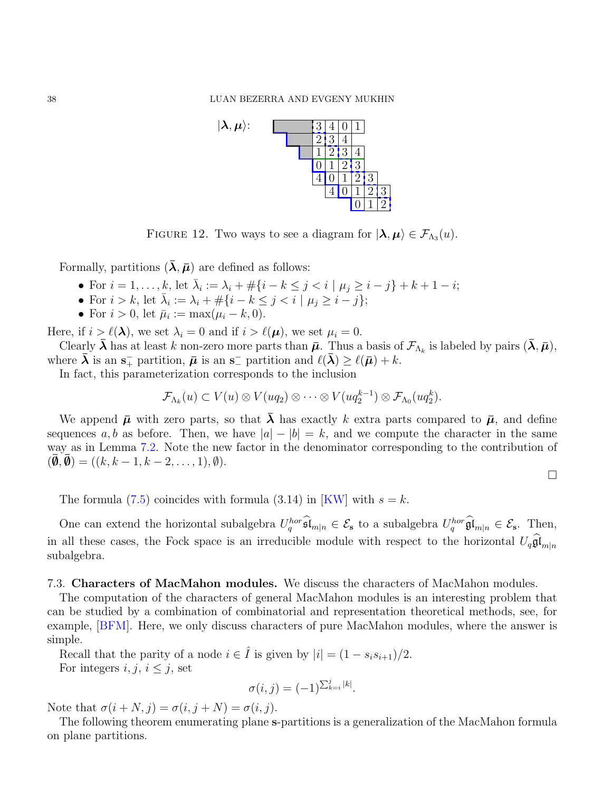

<span id="page-37-0"></span>FIGURE 12. Two ways to see a diagram for  $|\lambda, \mu\rangle \in \mathcal{F}_{\Lambda_3}(u)$ .

Formally, partitions  $(\lambda, \bar{\mu})$  are defined as follows:

- For  $i = 1, ..., k$ , let  $\bar{\lambda}_i := \lambda_i + \#\{i k \leq j < i \mid \mu_j \geq i j\} + k + 1 i;$
- For  $i > k$ , let  $\bar{\lambda}_i := \lambda_i + \#\{i k \leq j < i \mid \mu_j \geq i j\};$
- For  $i > 0$ , let  $\bar{\mu}_i := \max(\mu_i k, 0)$ .

Here, if  $i \geq \ell(\lambda)$ , we set  $\lambda_i = 0$  and if  $i > \ell(\mu)$ , we set  $\mu_i = 0$ .

Clearly  $\bar{\boldsymbol{\lambda}}$  has at least k non-zero more parts than  $\bar{\boldsymbol{\mu}}$ . Thus a basis of  $\mathcal{F}_{\Lambda_k}$  is labeled by pairs  $(\bar{\boldsymbol{\lambda}}, \bar{\boldsymbol{\mu}})$ , where  $\bar{\boldsymbol{\lambda}}$  is an  $\mathbf{s}_+^-$  partition,  $\bar{\boldsymbol{\mu}}$  is an  $\mathbf{s}_-^-$  partition and  $\ell(\bar{\boldsymbol{\lambda}}) \geq \ell(\bar{\boldsymbol{\mu}}) + k$ .

In fact, this parameterization corresponds to the inclusion

$$
\mathcal{F}_{\Lambda_k}(u) \subset V(u) \otimes V(uq_2) \otimes \cdots \otimes V(uq_2^{k-1}) \otimes \mathcal{F}_{\Lambda_0}(uq_2^k).
$$

We append  $\bar{\mu}$  with zero parts, so that  $\bar{\lambda}$  has exactly k extra parts compared to  $\bar{\mu}$ , and define sequences a, b as before. Then, we have  $|a| - |b| = k$ , and we compute the character in the same way as in Lemma [7.2.](#page-35-2) Note the new factor in the denominator corresponding to the contribution of  $(\overline{\mathbf{\emptyset}}, \overline{\mathbf{\emptyset}}) = ((k, k-1, k-2, \ldots, 1), \emptyset).$ 

 $\Box$ 

The formula  $(7.5)$  coincides with formula  $(3.14)$  in [\[KW\]](#page-41-19) with  $s = k$ .

One can extend the horizontal subalgebra  $U_q^{hor} \mathfrak{sl}_{m|n} \in \mathcal{E}_s$  to a subalgebra  $U_q^{hor} \mathfrak{gl}_{m|n} \in \mathcal{E}_s$ . Then, in all these cases, the Fock space is an irreducible module with respect to the horizontal  $U_q\mathfrak{gl}_{m|n}$ subalgebra.

### 7.3. Characters of MacMahon modules. We discuss the characters of MacMahon modules.

The computation of the characters of general MacMahon modules is an interesting problem that can be studied by a combination of combinatorial and representation theoretical methods, see, for example, [\[BFM\]](#page-41-20). Here, we only discuss characters of pure MacMahon modules, where the answer is simple.

Recall that the parity of a node  $i \in \hat{I}$  is given by  $|i| = (1 - s_i s_{i+1})/2$ . For integers  $i, j, i \leq j$ , set

$$
\sigma(i,j) = (-1)^{\sum_{k=i}^j |k|}.
$$

Note that  $\sigma(i+N, j) = \sigma(i, j+N) = \sigma(i, j)$ .

The following theorem enumerating plane s-partitions is a generalization of the MacMahon formula on plane partitions.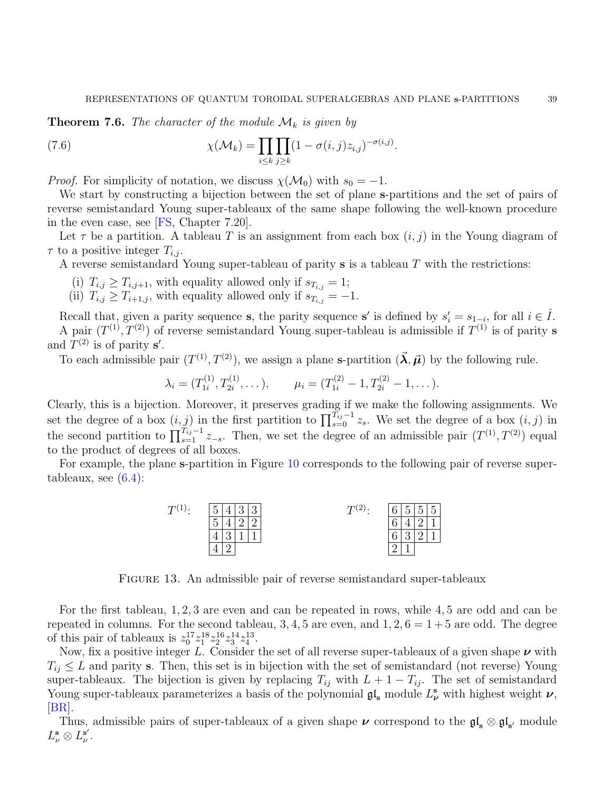<span id="page-38-1"></span>**Theorem 7.6.** The character of the module  $\mathcal{M}_k$  is given by

<span id="page-38-0"></span>(7.6) 
$$
\chi(\mathcal{M}_k) = \prod_{i \leq k} \prod_{j \geq k} (1 - \sigma(i,j)z_{i,j})^{-\sigma(i,j)}.
$$

*Proof.* For simplicity of notation, we discuss  $\chi(\mathcal{M}_0)$  with  $s_0 = -1$ .

We start by constructing a bijection between the set of plane s-partitions and the set of pairs of reverse semistandard Young super-tableaux of the same shape following the well-known procedure in the even case, see [\[FS,](#page-41-21) Chapter 7.20].

Let  $\tau$  be a partition. A tableau T is an assignment from each box  $(i, j)$  in the Young diagram of  $\tau$  to a positive integer  $T_{i,j}$ .

A reverse semistandard Young super-tableau of parity s is a tableau T with the restrictions:

- (i)  $T_{i,j} \geq T_{i,j+1}$ , with equality allowed only if  $s_{T_{i,j}} = 1$ ;
- (ii)  $T_{i,j} \geq T_{i+1,j}$ , with equality allowed only if  $s_{T_{i,j}} = -1$ .

Recall that, given a parity sequence **s**, the parity sequence **s'** is defined by  $s'_i = s_{1-i}$ , for all  $i \in \hat{I}$ . A pair  $(T^{(1)}, T^{(2)})$  of reverse semistandard Young super-tableau is admissible if  $T^{(1)}$  is of parity s and  $T^{(2)}$  is of parity s'.

To each admissible pair  $(T^{(1)}, T^{(2)})$ , we assign a plane s-partition  $(\vec{\lambda}, \vec{\mu})$  by the following rule.

$$
\lambda_i = (T_{1i}^{(1)}, T_{2i}^{(1)}, \dots), \qquad \mu_i = (T_{1i}^{(2)} - 1, T_{2i}^{(2)} - 1, \dots).
$$

Clearly, this is a bijection. Moreover, it preserves grading if we make the following assignments. We set the degree of a box  $(i, j)$  in the first partition to  $\prod_{s=0}^{T_{ij}-1} z_s$ . We set the degree of a box  $(i, j)$  in the second partition to  $\prod_{s=1}^{T_{ij}-1} z_{-s}$ . Then, we set the degree of an admissible pair  $(T^{(1)}, T^{(2)})$  equal to the product of degrees of all boxes.

For example, the plane s-partition in Figure [10](#page-31-0) corresponds to the following pair of reverse supertableaux, see  $(6.4)$ :



Figure 13. An admissible pair of reverse semistandard super-tableaux

For the first tableau, 1, 2, 3 are even and can be repeated in rows, while 4, 5 are odd and can be repeated in columns. For the second tableau, 3, 4, 5 are even, and  $1, 2, 6 = 1 + 5$  are odd. The degree of this pair of tableaux is  $z_0^{17} z_1^{18} z_2^{16} z_3^{14} z_4^{13}$ .

Now, fix a positive integer L. Consider the set of all reverse super-tableaux of a given shape  $\nu$  with  $T_{ij} \leq L$  and parity s. Then, this set is in bijection with the set of semistandard (not reverse) Young super-tableaux. The bijection is given by replacing  $T_{ij}$  with  $L + 1 - T_{ij}$ . The set of semistandard Young super-tableaux parameterizes a basis of the polynomial  $\mathfrak{gl}_s$  module  $L^s_{\nu}$  with highest weight  $\nu$ , [\[BR\]](#page-41-22).

Thus, admissible pairs of super-tableaux of a given shape  $\nu$  correspond to the  $\mathfrak{gl}_s \otimes \mathfrak{gl}_{s'}$  module  $L_{\nu}^{\mathbf{s}}\otimes L_{\nu}^{\mathbf{s}'}$  $_{\nu}^{\mathrm{s}'}$  .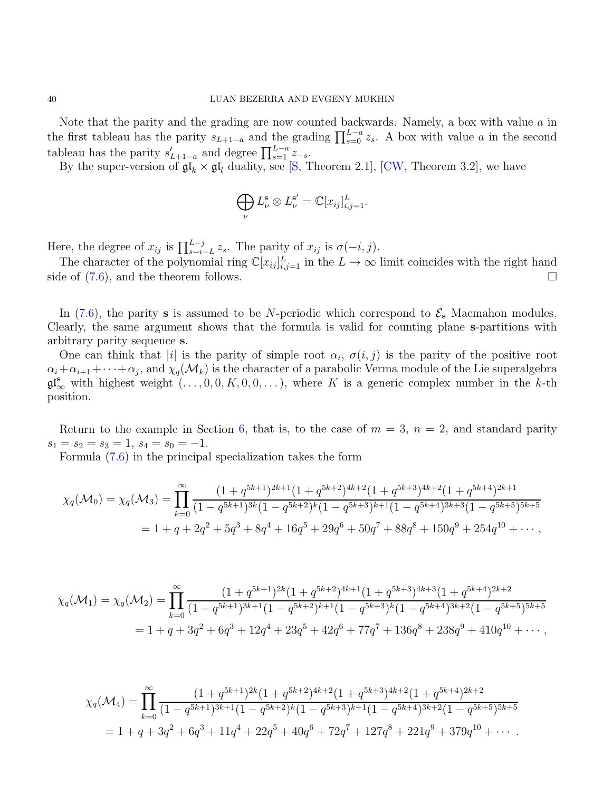Note that the parity and the grading are now counted backwards. Namely, a box with value  $a$  in the first tableau has the parity  $s_{L+1-a}$  and the grading  $\prod_{s=0}^{L-a} z_s$ . A box with value a in the second tableau has the parity  $s'_{L+1-a}$  and degree  $\prod_{s=1}^{L-a} z_{-s}$ .

By the super-version of  $\mathfrak{gl}_k \times \mathfrak{gl}_l$  duality, see [\[S,](#page-41-17) Theorem 2.1], [\[CW,](#page-41-18) Theorem 3.2], we have

$$
\bigoplus_{\nu} L_{\nu}^{\mathbf{s}} \otimes L_{\nu}^{\mathbf{s}'} = \mathbb{C}[x_{ij}]_{i,j=1}^{L}.
$$

Here, the degree of  $x_{ij}$  is  $\prod_{s=i-L}^{L-j} z_s$ . The parity of  $x_{ij}$  is  $\sigma(-i, j)$ .

The character of the polynomial ring  $\mathbb{C}[x_{ij}]_{i,j=1}^L$  in the  $L \to \infty$  limit coincides with the right hand side of  $(7.6)$ , and the theorem follows.

In [\(7.6\)](#page-38-0), the parity s is assumed to be N-periodic which correspond to  $\mathcal{E}_{s}$  Macmahon modules. Clearly, the same argument shows that the formula is valid for counting plane s-partitions with arbitrary parity sequence s.

One can think that |i| is the parity of simple root  $\alpha_i$ ,  $\sigma(i, j)$  is the parity of the positive root  $\alpha_i+\alpha_{i+1}+\cdots+\alpha_j,$  and  $\chi_q(\mathcal{M}_k)$  is the character of a parabolic Verma module of the Lie superalgebra  $\mathfrak{gl}_{\infty}^{\mathbf{s}}$  with highest weight  $(\ldots, 0, 0, K, 0, 0, \ldots)$ , where K is a generic complex number in the k-th position.

Return to the example in Section [6,](#page-24-0) that is, to the case of  $m = 3$ ,  $n = 2$ , and standard parity  $s_1 = s_2 = s_3 = 1, s_4 = s_0 = -1.$ 

Formula [\(7.6\)](#page-38-0) in the principal specialization takes the form

$$
\chi_q(\mathcal{M}_0) = \chi_q(\mathcal{M}_3) = \prod_{k=0}^{\infty} \frac{(1+q^{5k+1})^{2k+1} (1+q^{5k+2})^{4k+2} (1+q^{5k+3})^{4k+2} (1+q^{5k+4})^{2k+1}}{(1-q^{5k+1})^{3k} (1-q^{5k+2})^k (1-q^{5k+3})^{k+1} (1-q^{5k+4})^{3k+3} (1-q^{5k+5})^{5k+5}}
$$
  
= 1 + q + 2q<sup>2</sup> + 5q<sup>3</sup> + 8q<sup>4</sup> + 16q<sup>5</sup> + 29q<sup>6</sup> + 50q<sup>7</sup> + 88q<sup>8</sup> + 150q<sup>9</sup> + 254q<sup>10</sup> + ...,

$$
\chi_q(\mathcal{M}_1) = \chi_q(\mathcal{M}_2) = \prod_{k=0}^{\infty} \frac{(1+q^{5k+1})^{2k}(1+q^{5k+2})^{4k+1}(1+q^{5k+3})^{4k+3}(1+q^{5k+4})^{2k+2}}{(1-q^{5k+1})^{3k+1}(1-q^{5k+2})^{k+1}(1-q^{5k+3})^k(1-q^{5k+4})^{3k+2}(1-q^{5k+5})^{5k+5}}
$$
  
= 1 + q + 3q<sup>2</sup> + 6q<sup>3</sup> + 12q<sup>4</sup> + 23q<sup>5</sup> + 42q<sup>6</sup> + 77q<sup>7</sup> + 136q<sup>8</sup> + 238q<sup>9</sup> + 410q<sup>10</sup> + ...,

$$
\chi_q(\mathcal{M}_4) = \prod_{k=0}^{\infty} \frac{(1+q^{5k+1})^{2k}(1+q^{5k+2})^{4k+2}(1+q^{5k+3})^{4k+2}(1+q^{5k+4})^{2k+2}}{(1-q^{5k+1})^{3k+1}(1-q^{5k+2})^k(1-q^{5k+3})^{k+1}(1-q^{5k+4})^{3k+2}(1-q^{5k+5})^{5k+5}}
$$
  
= 1 + q + 3q<sup>2</sup> + 6q<sup>3</sup> + 11q<sup>4</sup> + 22q<sup>5</sup> + 40q<sup>6</sup> + 72q<sup>7</sup> + 127q<sup>8</sup> + 221q<sup>9</sup> + 379q<sup>10</sup> + ...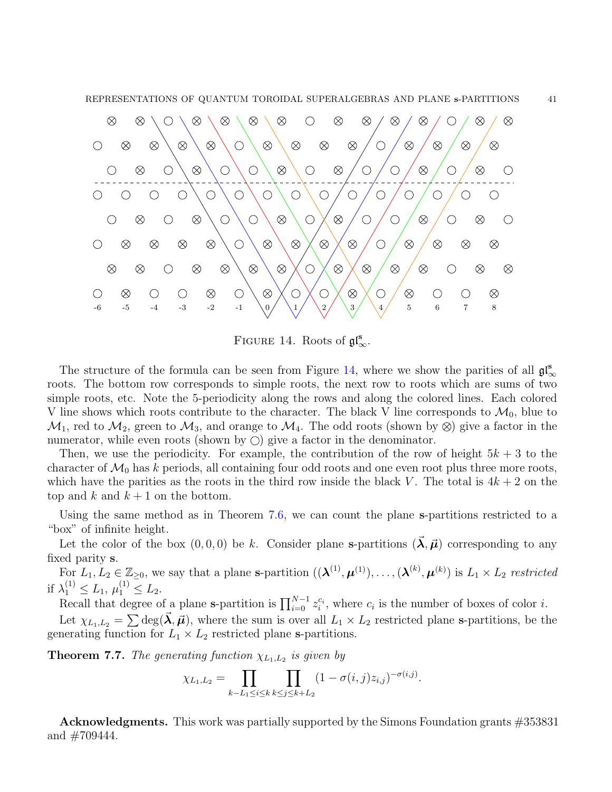

<span id="page-40-0"></span>FIGURE 14. Roots of  $\mathfrak{gl}_{\infty}^{\mathbf{s}}$ .

The structure of the formula can be seen from Figure [14,](#page-40-0) where we show the parities of all  $\mathfrak{gl}_{\infty}^{\mathbf{s}}$ roots. The bottom row corresponds to simple roots, the next row to roots which are sums of two simple roots, etc. Note the 5-periodicity along the rows and along the colored lines. Each colored V line shows which roots contribute to the character. The black V line corresponds to  $\mathcal{M}_0$ , blue to  $\mathcal{M}_1$ , red to  $\mathcal{M}_2$ , green to  $\mathcal{M}_3$ , and orange to  $\mathcal{M}_4$ . The odd roots (shown by  $\otimes$ ) give a factor in the numerator, while even roots (shown by  $\circ$ ) give a factor in the denominator.

Then, we use the periodicity. For example, the contribution of the row of height  $5k + 3$  to the character of  $\mathcal{M}_0$  has k periods, all containing four odd roots and one even root plus three more roots, which have the parities as the roots in the third row inside the black V. The total is  $4k + 2$  on the top and k and  $k + 1$  on the bottom.

Using the same method as in Theorem [7.6,](#page-38-1) we can count the plane s-partitions restricted to a "box" of infinite height.

Let the color of the box  $(0, 0, 0)$  be k. Consider plane s-partitions  $(\vec{\lambda}, \vec{\mu})$  corresponding to any fixed parity s.

For  $L_1, L_2 \in \mathbb{Z}_{\geq 0}$ , we say that a plane s-partition  $((\lambda^{(1)}, \mu^{(1)}), \ldots, (\lambda^{(k)}, \mu^{(k)})$  is  $L_1 \times L_2$  restricted if  $\lambda_1^{(1)} \le L_1, \mu_1^{(1)} \le L_2.$ 

Recall that degree of a plane s-partition is  $\prod_{i=0}^{N-1} z_i^{c_i}$ , where  $c_i$  is the number of boxes of color *i*.

Let  $\chi_{L_1,L_2} = \sum \deg(\vec{\lambda}, \vec{\mu})$ , where the sum is over all  $L_1 \times L_2$  restricted plane s-partitions, be the generating function for  $L_1 \times L_2$  restricted plane s-partitions.

**Theorem 7.7.** The generating function  $\chi_{L_1,L_2}$  is given by

$$
\chi_{L_1,L_2} = \prod_{k-L_1 \leq i \leq k} \prod_{k \leq j \leq k+L_2} (1 - \sigma(i,j)z_{i,j})^{-\sigma(i,j)}.
$$

Acknowledgments. This work was partially supported by the Simons Foundation grants #353831 and  $\#709444$ .